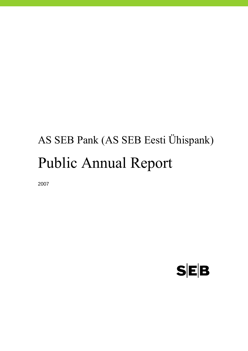# AS SEB Pank (AS SEB Eesti Ühispank) Public Annual Report

2007

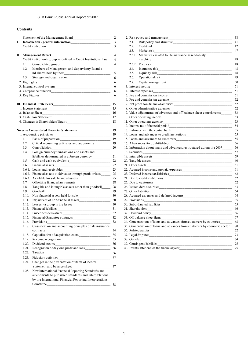#### **Contents**

|    |               |                                                                      | 2              |                                                                                  |
|----|---------------|----------------------------------------------------------------------|----------------|----------------------------------------------------------------------------------|
| I. |               |                                                                      | 3              | 2.1.                                                                             |
|    |               |                                                                      |                | 2.2.                                                                             |
|    |               |                                                                      |                | 2.3.                                                                             |
|    |               | <b>II.</b> Management Report                                         | 4              | 2.3.1. Market risk related to life insurance asset-liability                     |
|    |               | 1. Credit institution's group as defined in Credit Institutions Law_ | $\overline{4}$ | matching                                                                         |
|    | 1.1.          | Consolidated group_                                                  | $\overline{4}$ |                                                                                  |
|    | 1.2.          | Members of Management and Supervisory Board a                        |                | 2.4.                                                                             |
|    |               |                                                                      | 5              | 2.5.                                                                             |
|    | 1.3.          |                                                                      | 6              | 2.6.                                                                             |
|    |               |                                                                      |                |                                                                                  |
|    | 2. Highlights |                                                                      |                | 2.7.<br>Capital management                                                       |
|    |               |                                                                      | 6              |                                                                                  |
|    |               |                                                                      | 6              |                                                                                  |
|    |               |                                                                      | 6              |                                                                                  |
|    |               |                                                                      |                |                                                                                  |
|    |               |                                                                      | 15             |                                                                                  |
|    |               |                                                                      | 15             |                                                                                  |
|    |               |                                                                      | 16             | 9. Value adjustments of advances and off-balance sheet commitments               |
|    |               |                                                                      | 17             |                                                                                  |
|    |               |                                                                      |                |                                                                                  |
|    |               |                                                                      |                |                                                                                  |
|    |               |                                                                      | 19             | 13. Balances with the central bank                                               |
|    |               | $\overline{\phantom{a}19}$<br>1. Accounting principles               |                | 14. Loans and advances to credit institutions___________________________________ |
|    | 1.1.          |                                                                      |                |                                                                                  |
|    | 1.2.          | Critical accounting estimates and judgements______________ 19        |                | 16. Allowances for doubtful debt                                                 |
|    | 1.3.          | Consolidation<br><u> 1980 - Johann Barbara, martxa</u>               | 20             | 17. Information about loans and advances, restructured during the 2007_______    |
|    | 1.4.          | Foreign currency transactions and assets and                         |                | 18. Securities                                                                   |
|    |               |                                                                      |                |                                                                                  |
|    | 1.5.          |                                                                      |                |                                                                                  |
|    | 1.6.          |                                                                      |                |                                                                                  |
|    |               | 1.6.1. Loans and receivables                                         |                |                                                                                  |
|    | 1.6.2.        | Financial assets at fair value through profit or loss_________ 25    |                |                                                                                  |
|    |               |                                                                      |                |                                                                                  |
|    | 1.7.          |                                                                      | 28             |                                                                                  |
|    | 1.8.          | Tangible and intangible assets other than goodwill________ 28        |                |                                                                                  |
|    | 1.9.          | Goodwill<br>$\frac{1}{29}$                                           |                | 27. Other liabilities                                                            |
|    | 1.10.         |                                                                      |                |                                                                                  |
|    | 1.11.         |                                                                      | 30             | 29. Provisions                                                                   |
|    | 1.12.         |                                                                      | 30             |                                                                                  |
|    | 1.13.         |                                                                      | 31             |                                                                                  |
|    | 1.14.         |                                                                      |                |                                                                                  |
|    |               |                                                                      | 32             |                                                                                  |
|    |               |                                                                      |                |                                                                                  |
|    |               | 1.17. Classification and accounting principles of life insurance     |                | 35. Concentration of loans and advances from customers by economic sector_70     |
|    |               |                                                                      | 34             |                                                                                  |
|    |               |                                                                      |                |                                                                                  |
|    |               |                                                                      |                |                                                                                  |
|    |               |                                                                      |                |                                                                                  |
|    |               |                                                                      |                |                                                                                  |
|    | 1.22.         |                                                                      |                |                                                                                  |
|    | 1.23.         |                                                                      |                |                                                                                  |
|    | 1.24.         | Changes in the presentation of items of income                       |                |                                                                                  |
|    |               |                                                                      |                |                                                                                  |
|    | 1.25.         | New International Financial Reporting Standards and                  |                |                                                                                  |
|    |               | amendments to published standards and interpretations                |                |                                                                                  |
|    |               | by the International Financial Reporting Interpretations             |                |                                                                                  |
|    |               |                                                                      |                |                                                                                  |

|    |               | Statement of the Management Board                                      | 2              | 2. Risk policy and management                                                                                                              | 38 |
|----|---------------|------------------------------------------------------------------------|----------------|--------------------------------------------------------------------------------------------------------------------------------------------|----|
| I. |               |                                                                        | $\overline{3}$ | 2.1.                                                                                                                                       | 41 |
|    |               |                                                                        | 3              | 2.2.                                                                                                                                       | 42 |
|    |               |                                                                        |                | Market risk<br>2.3.                                                                                                                        | 47 |
|    |               | II. Management Report                                                  | $\overline{4}$ | 2.3.1. Market risk related to life insurance asset-liability                                                                               |    |
|    |               | 1. Credit institution's group as defined in Credit Institutions Law_   | $\overline{4}$ | matching                                                                                                                                   | 48 |
|    | 1.1.          | Consolidated group                                                     | $\overline{4}$ | 2.3.2. Price risk<br><u> 1950 - Johann John Harry, mars and de Branch and de Branch and de Branch and de Branch and de Branch and de B</u> | 48 |
|    | 1.2.          | Members of Management and Supervisory Board a                          |                | 2.4.                                                                                                                                       | 48 |
|    |               |                                                                        | 5              | 2.5.                                                                                                                                       | 48 |
|    | 1.3.          |                                                                        | 6              | 2.6.                                                                                                                                       | 49 |
|    | 2. Highlights |                                                                        | 6              | 2.7.                                                                                                                                       | 50 |
|    |               |                                                                        | 6              |                                                                                                                                            |    |
|    |               |                                                                        | 6              |                                                                                                                                            | 51 |
|    |               |                                                                        | 6              |                                                                                                                                            | 51 |
|    |               |                                                                        |                |                                                                                                                                            | 52 |
|    |               |                                                                        |                |                                                                                                                                            | 52 |
|    |               |                                                                        | 15             |                                                                                                                                            | 52 |
|    |               |                                                                        |                | 9. Value adjustments of advances and off-balance sheet commitments                                                                         | 53 |
|    |               |                                                                        | 17             |                                                                                                                                            | 53 |
|    |               |                                                                        |                | 11. Other operating expense                                                                                                                | 53 |
|    |               |                                                                        |                |                                                                                                                                            | 54 |
|    |               |                                                                        |                |                                                                                                                                            | 55 |
|    |               | 1. Accounting principles                                               | 19             | 14. Loans and advances to credit institutions___________________________________                                                           | 55 |
|    | 1.1.          |                                                                        |                |                                                                                                                                            |    |
|    | 1.2.          | Critical accounting estimates and judgements_____________ 19           |                | 16. Allowances for doubtful debt                                                                                                           | 56 |
|    | 1.3.          | Consolidation<br>$\begin{array}{c c} \hline \end{array}$               |                | 17. Information about loans and advances, restructured during the 2007______                                                               | 56 |
|    | 1.4.          | Foreign currency transactions and assets and                           |                | 18. Securities                                                                                                                             | 57 |
|    |               |                                                                        |                |                                                                                                                                            | 59 |
|    | 1.5.          |                                                                        | 22             |                                                                                                                                            | 60 |
|    | 1.6.          |                                                                        |                |                                                                                                                                            | 61 |
|    |               |                                                                        |                |                                                                                                                                            | 61 |
|    |               |                                                                        |                |                                                                                                                                            | 62 |
|    |               |                                                                        |                |                                                                                                                                            | 62 |
|    | 1.7.          | $\frac{28}{2}$<br>Offsetting financial instruments                     |                |                                                                                                                                            | 62 |
|    | 1.8.          | Tangible and intangible assets other than goodwill________ 28          |                |                                                                                                                                            |    |
|    | 1.9.          | Goodwill                                                               |                | 27. Other liabilities                                                                                                                      | 64 |
|    | 1.10.         | $\frac{29}{1}$<br>Non-financial assets held for sale<br>$\frac{30}{2}$ |                | 28. Accrued expenses and deferred income<br><u> </u> 64                                                                                    |    |
|    | 1.11.         |                                                                        |                | 29. Provisions                                                                                                                             | 65 |
|    | 1.12.         |                                                                        |                |                                                                                                                                            | 65 |
|    | 1.13.         |                                                                        |                |                                                                                                                                            | 66 |
|    | 1.14.         |                                                                        |                |                                                                                                                                            | 66 |
|    | 1.15.         |                                                                        | 32             |                                                                                                                                            | 67 |
|    | 1.16.         | Provisions                                                             | 32             | 34. Concentration of loans and advances from customers by countries                                                                        | 68 |
|    |               | 1.17. Classification and accounting principles of life insurance       |                | 35. Concentration of loans and advances from customers by economic sector_70                                                               |    |
|    |               | contracts                                                              | 34             |                                                                                                                                            | 72 |
|    |               |                                                                        | 35             | 37. Legal disputes                                                                                                                         | 73 |
|    |               |                                                                        |                | 38. Overdue                                                                                                                                | 74 |
|    |               |                                                                        | 36             | 39. Contingent liabilities                                                                                                                 | 75 |
|    | 121           | Recognition of day one profit and loss<br>$\sim$ 36                    |                | 40 Events after end of the financial year                                                                                                  | 75 |
|    |               |                                                                        |                |                                                                                                                                            |    |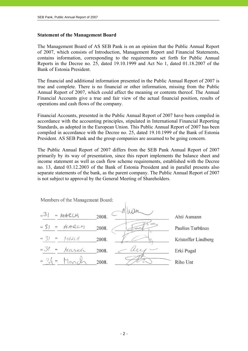#### **Statement of the Management Board**

The Management Board of AS SEB Pank is on an opinion that the Public Annual Report of 2007, which consists of Introduction, Management Report and Financial Statements, contains information, corresponding to the requirements set forth for Public Annual Reports in the Decree no. 25, dated 19.10.1999 and Act No 1, dated 01.18.2007 of the Bank of Estonia President.

The financial and additional information presented in the Public Annual Report of 2007 is true and complete. There is no financial or other information, missing from the Public Annual Report of 2007, which could affect the meaning or contents thereof. The Annual Financial Accounts give a true and fair view of the actual financial position, results of operations and cash flows of the company.

Financial Accounts, presented in the Public Annual Report of 2007 have been compiled in accordance with the accounting principles, stipulated in International Financial Reporting Standards, as adopted in the European Union. This Public Annual Report of 2007 has been compiled in accordance with the Decree no. 25, dated 19.10.1999 of the Bank of Estonia President. AS SEB Pank and the group companies are assumed to be going concern.

The Public Annual Report of 2007 differs from the SEB Pank Annual Report of 2007 primarily by its way of presentation, since this report implements the balance sheet and income statement as well as cash flow scheme requirements, established with the Decree no. 13, dated 03.12.2003 of the Bank of Estonia President and in parallel presents also separate statements of the bank, as the parent company. The Public Annual Report of 2007 is not subject to approval by the General Meeting of Shareholders.

Members of the Management Board:

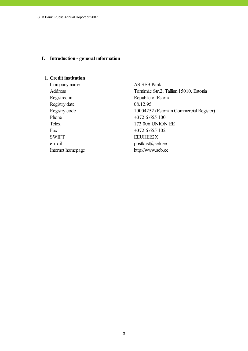#### **I. Introduction - general information**

#### **1. Credit institution**

Company name AS SEB Pank Address Tornimäe Str.2, Tallinn 15010, Estonia Registred in Republic of Estonia Registry date 08.12.95 Registry code 10004252 (Estonian Commercial Register) Phone  $+3726655100$ Telex 173 006 UNION EE Fax  $+3726655102$ SWIFT EEUHEE2X e-mail postkast@seb.ee Internet homepage http://www.seb.ee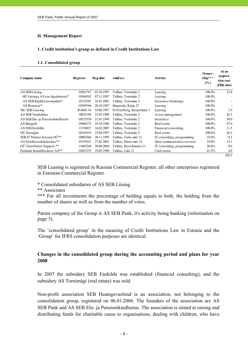#### **II. Management Report**

#### **1. Credit institution's group as defined in Credit Institutions Law**

#### **1.1. Consolidated group**

| Company name                        | Register  | Reg.date   | <b>Address</b>             | Activity                    | Owner-<br>ship***<br>$(\%)$ | At an<br>acquisi-<br>tion cost<br>(EEK mio) |
|-------------------------------------|-----------|------------|----------------------------|-----------------------------|-----------------------------|---------------------------------------------|
| AS SEB Liising                      | 10281767  | 03.10.1997 | Tallinn, Tornimäe 2        | Leasing                     | 100.0%                      | 23.4                                        |
| HF Liisingu AS (on liquidation) $*$ | 10304592  | 07.11.1997 | Tallinn, Tornimäe 2        | Leasing                     | 100.0%                      |                                             |
| AS SEB Kindlustusmaakler*           | 10723587  | 16.01.2001 | Tallinn, Tornimäe 2        | Insurance brokerage         | 100.0%                      |                                             |
| AS Rentacar*                        | 10303546  | 20.10.1997 | Haapsalu, Karja 27         | Leasing                     | 100.0%                      |                                             |
| <b>JSC SEB Leasing</b>              | R-6603.16 | 19.06.1997 | St.Peterburg, Kropotkina 1 | Leasing                     | 100.0%                      | 1.9                                         |
| AS SEB Varahaldus                   | 10035169  | 22.05.1996 | Tallinn, Tornimäe 2        | Asset management            | 100.0%                      | 42.5                                        |
| AS SEB Elu- ja Pensionikindlustus   | 10525330  | 21.01.1999 | Tallinn, Tornimäe 2        | Insurance                   | 100.0%                      | 30.0                                        |
| AS Bangalo                          | 10088272  | 18.10.1996 | Tallinn, Tornimäe 2        | Real estate                 | 100.0%                      | 47.0                                        |
| AS SEB Enskilda                     | 11354037  | 16.02.2007 | Tallinn, Tornimäe 2        | Financial consulting        | 100.0%                      | 11.5                                        |
| OÜ Strongler                        | 10141919  | 23.04.1997 | Tallinn, Tornimäe 2        | Real estate                 | 100.0%                      | 26.2                                        |
| SEB IT Partner Estonia OÜ**         | 10002566  | 20.11.1995 | Tallinn, Tartu mnt 13      | IT consulting, programming  | 35.0%                       | 0.3                                         |
| AS Sertifits eerimis kes kus**      | 10747013  | 27.03.2001 | Tallinn, Pärnu mnt 12      | Data communication services | 25.0%                       | 15.1                                        |
| OÙ TietoEnator Support **           | 11065244  | 30.08.2004 | Tallinn, Roosikrantsi 11   | IT consulting, programming  | 20.0%                       | 0.6                                         |
| Pankade Kaardikeskuse AS**          | 10452335  | 19.05.1998 | Tallinn, Laki 12           | Card centre                 | 41.5%                       | 4.0                                         |
|                                     |           |            |                            |                             |                             | 202.5                                       |

SEB Leasing is registered in Russian Commercial Register, all other enterprises registered in Estonian Commercial Register.

#### \* Consolidated subsidaries of AS SEB Liising

\*\* Associates

\*\*\* For all investments the percentage of holding equals to both, the holding from the number of shares as well as from the number of votes.

Parent company of the Group is AS SEB Pank, it's activity being banking (information on page 3).

The 'consolidated group' in the meaning of Credit Institutions Law in Estonia and the 'Group' for IFRS consolidation purposes are identical.

#### **Changes in the consolidated group during the accounting period and plans for year 2008**

In 2007 the subsidary SEB Enskilda was established (financial consulting), and the subsidary AS Tornimägi (real estate) was sold.

Non-profit association SEB Heategevusfond is an association, not belonging to the consolidation group, registered on 06.01.2006. The founders of the association are AS SEB Pank and AS SEB Elu- ja Pensionikindlustus. The association is aimed at raising and distributing funds for charitable cause to organisations, dealing with children, who have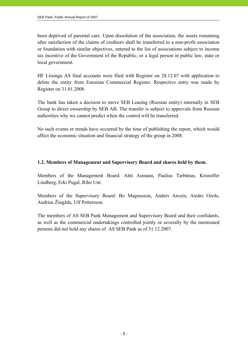been deprived of parental care. Upon dissolution of the association, the assets remaining after satisfaction of the claims of creditors shall be transferred to a non-profit association or foundation with similar objectives, entered to the list of associations subject to income tax incentive of the Government of the Republic, or a legal person in public law, state or local government.

HF Liisingu AS final accounts were filed with Register on 28.12.07 with application to delete the entity from Estonian Commercial Register. Respective entry was made by Register on 31.01.2008.

The bank has taken a decision to move SEB Leasing (Russian entity) internally in SEB Group to direct ownership by SEB AB. The transfer is subject to approvals from Russian authorities why we cannot predict when the control will be transferred.

No such events or trends have occurred by the time of publishing the report, which would affect the economic situation and financial strategy of the group in 2008.

# **1.2. Members of Management and Supervisory Board and shares held by them.**

Members of the Management Board: Ahti Asmann, Paulius Tarbūnas, Kristoffer Lindberg, Erki Pugal, Riho Unt.

Members of the Supervisory Board: Bo Magnusson, Anders Arozin, Ainārs Ozols, Audrius Žiugžda, Ulf Pettersson.

The members of AS SEB Pank Management and Supervisory Board and their confidants, as well as the commercial undertakings controlled jointly or severally by the mentioned persons did not hold any shares of AS SEB Pank as of 31.12.2007.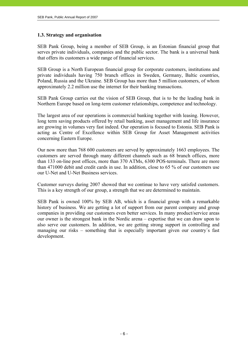#### **1.3. Strategy and organisation**

SEB Pank Group, being a member of SEB Group, is an Estonian financial group that serves private individuals, companies and the public sector. The bank is a universal bank that offers its customers a wide range of financial services.

SEB Group is a North European financial group for corporate customers, institutions and private individuals having 750 branch offices in Sweden, Germany, Baltic countries, Poland, Russia and the Ukraine. SEB Group has more than 5 million customers, of whom approximately 2.2 million use the internet for their banking transactions.

SEB Pank Group carries out the vision of SEB Group, that is to be the leading bank in Northern Europe based on long-term customer relationships, competence and technology.

The largest area of our operations is commercial banking together with leasing. However, long term saving products offered by retail banking, asset management and life insurance are growing in volumes very fast indeed. Our operation is focused to Estonia. SEB Pank is acting as Centre of Excellence within SEB Group for Asset Management activities concerning Eastern Europe.

Our now more than 768 600 customers are served by approximately 1663 employees. The customers are served through many different channels such as 68 branch offices, more than 133 on-line post offices, more than 370 ATMs, 6300 POS-terminals. There are more than 471000 debit and credit cards in use. In addition, close to 65 % of our customers use our U-Net and U-Net Business services.

Customer surveys during 2007 showed that we continue to have very satisfed customers. This is a key strength of our group, a strength that we are determined to maintain.

SEB Pank is owned 100% by SEB AB, which is a financial group with a remarkable history of business. We are getting a lot of support from our parent company and group companies in providing our customers even better services. In many product/service areas our owner is the strongest bank in the Nordic arena – expertise that we can draw upon to also serve our customers. In addition, we are getting strong support in controlling and managing our risks – something that is especially important given our country´s fast development.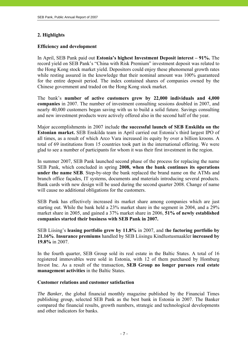# **2. Highlights**

## **Efficiency and development**

In April, SEB Pank paid out **Estonia's highest Investment Deposit interest – 91%.** The record yield on SEB Pank's "China with Risk Premium" investment deposit was related to the Hong Kong stock market yield. Depositors could enjoy these phenomenal growth rates while resting assured in the knowledge that their nominal amount was 100% guaranteed for the entire deposit period. The index contained shares of companies owned by the Chinese government and traded on the Hong Kong stock market.

The bank's **number of active customers grew by 22,000 individuals and 4,000 companies** in 2007. The number of investment consulting sessions doubled in 2007, and nearly 40,000 customers began saving with us to build a solid future. Savings consulting and new investment products were actively offered also in the second half of the year.

Major accomplishments in 2007 include **the successful launch of SEB Enskilda on the Estonian market.** SEB Enskilda team in April carried out Estonia's third largest IPO of all times, as a result of which Arco Vara increased its equity by over a billion kroons. A total of 69 institutions from 15 countries took part in the international offering. We were glad to see a number of participants for whom it was their first investment in the region.

In summer 2007, SEB Pank launched second phase of the process for replacing the name SEB Pank, which concluded in spring **2008, when the bank continues its operations under the name SEB**. Step-by-step the bank replaced the brand name on the ATMs and branch office façades, IT systems, documents and materials introducing several products. Bank cards with new design will be used during the second quarter 2008. Change of name will cause no additional obligations for the customers.

SEB Pank has effectively increased its market share among companies which are just starting out. While the bank held a 23% market share in the segment in 2004, and a 29% market share in 2005, and gained a 37% market share in 2006, **51% of newly established companies started their business with SEB Pank in 2007.**

SEB Liising's **leasing portfolio grew by 11.8%** in 2007, and t**he factoring portfolio by 21.16%**. **Insurance premiums** handled by SEB Liisingu Kindlustusmaakler **increased by 19.8%** in 2007.

In the fourth quarter, SEB Group sold its real estate in the Baltic States. A total of 16 registered immovables were sold in Estonia, with 12 of them purchased by Homburg Invest Inc. As a result of the transaction, **SEB Group no longer pursues real estate management activities** in the Baltic States.

#### **Customer relations and customer satisfaction**

*The Banker*, the global financial monthly magazine published by the Financial Times publishing group, selected SEB Pank as the best bank in Estonia in 2007. The Banker compared the financial results, growth numbers, strategic and technological developments and other indicators for banks.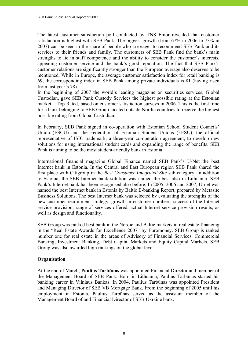The latest customer satisfaction poll conducted by TNS Emor revealed that customer satisfaction is highest with SEB Pank. The biggest growth (from 67% in 2006 to 73% in 2007) can be seen in the share of people who are eager to recommend SEB Pank and its services to their friends and family. The customers of SEB Pank find the bank's main strengths to lie in staff competence and the ability to consider the customer's interests, appealing customer service and the bank's good reputation. The fact that SEB Pank's customer relations are significantly stronger than the European average also deserves to be mentioned. While in Europe, the average customer satisfaction index for retail banking is 69, the corresponding index in SEB Pank among private individuals is 81 (having risen from last year's 78).

In the beginning of 2007 the world's leading magazine on securities services, Global Custodian, gave SEB Pank Custody Services the highest possible rating at the Estonian market – Top Rated, based on customer satisfaction surveys in 2006. This is the first time for a bank belonging to SEB Group located outside Nordic countries to receive the highest possible rating from Global Custodian.

In February, SEB Pank signed in co-operation with Estonian School Student Councils' Union (ESCU) and the Federation of Estonian Student Unions (FESU), the official representative of ISIC trademark, a three-year co-operation agreement, to develop new solutions for using international student cards and expanding the range of benefits. SEB Pank is aiming to be the most student-friendly bank in Estonia.

International financial magazine Global Finance named SEB Pank's U-Net the best Internet bank in Estonia. In the Central and East European region SEB Pank shared the first place with Citigroup in the *Best Consumer Integrated Site* sub-category. In addition to Estonia, the SEB Internet bank solution was named the best also in Lithuania. SEB Pank's Internet bank has been recognised also before. In 2005, 2006 and 2007, U-net was named the best Internet bank in Estonia by Baltic E-banking Report, prepared by Metasite Business Solutions. The best Internet bank was selected by evaluating the strengths of the new customer recruitment strategy, growth in customer numbers, success of the Internet service provision, range of services offered, actual Internet service provision results, as well as design and functionality.

SEB Group was ranked best bank in the Nordic and Baltic markets in real estate financing in the "Real Estate Awards for Excellence 2007" by Euromoney. SEB Group is ranked number one for real estate in the areas of Advisory of Financial Services, Commercial Banking, Investment Banking, Debt Capital Markets and Equity Capital Markets. SEB Group was also awarded high rankings on the global level.

#### **Organisation**

At the end of March, **Paulius Tarbūnas** was appointed Financial Director and member of the Management Board of SEB Pank. Born in Lithuania, Paulius Tarbūnas started his banking career in Vilniaus Bankas. In 2004, Paulius Tarbūnas was appointed President and Managing Director of SEB VB Mortgage Bank. From the beginning of 2005 until his employment in Estonia, Paulius Tarbūnas served as the assistant member of the Management Board of and Financial Director of SEB Ukraine bank.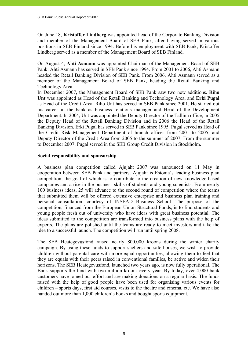On June 18, **Kristoffer Lindberg** was appointed head of the Corporate Banking Division and member of the Management Board of SEB Pank, after having served in various positions in SEB Finland since 1994. Before his employment with SEB Pank, Kristoffer Lindberg served as a member of the Management Board of SEB Finland.

On August 4, **Ahti Asmann** was appointed Chairman of the Management Board of SEB Pank. Ahti Asmann has served in SEB Pank since 1994. From 2001 to 2006, Ahti Asmann headed the Retail Banking Division of SEB Pank. From 2006, Ahti Asmann served as a member of the Management Board of SEB Pank, heading the Retail Banking and Technology Area.

In December 2007, the Management Board of SEB Pank saw two new additions. **Riho Unt** was appointed as Head of the Retail Banking and Technology Area, and **Erki Pugal**  as Head of the Credit Area. Riho Unt has served in SEB Pank since 2001. He started out his career in the bank as business relations manager and Head of the Development Department. In 2004, Unt was appointed the Deputy Director of the Tallinn office, in 2005 the Deputy Head of the Retail Banking Division and in 2006 the Head of the Retail Banking Division. Erki Pugal has served in SEB Pank since 1995. Pugal served as Head of the Credit Risk Management Department of branch offices from 2001 to 2005, and Deputy Director of the Credit Area from 2005 to the summer of 2007. From the summer to December 2007, Pugal served in the SEB Group Credit Division in Stockholm.

#### **Social responsibility and sponsorship**

A business plan competition called Ajujaht 2007 was announced on 11 May in cooperation between SEB Pank and partners. Ajujaht is Estonia's leading business plan competition, the goal of which is to contribute to the creation of new knowledge-based companies and a rise in the business skills of students and young scientists. From nearly 100 business ideas, 25 will advance to the second round of competition where the teams that submitted them will be offered extensive enterprise and business plan training and personal consultation, courtesy of INSEAD Business School. The purpose of the competition, financed from the European Union Structural Funds, is to find students and young people fresh out of university who have ideas with great business potential. The ideas submitted to the competition are transformed into business plans with the help of experts. The plans are polished until the teams are ready to meet investors and take the idea to a successful launch. The competition will run until spring 2008.

The SEB Heategevusfond raised nearly 800,000 kroons during the winter charity campaign. By using these funds to support shelters and safe-houses, we wish to provide children without parental care with more equal opportunities, allowing them to feel that they are equals with their peers raised in conventional families, be active and widen their horizons. The SEB Heategevusfond, launched two years ago, is now fully operational. The Bank supports the fund with two million kroons every year. By today, over 4,000 bank customers have joined our effort and are making donations on a regular basis. The funds raised with the help of good people have been used for organising various events for children – sports days, first aid courses, visits to the theatre and cinema, etc. We have also handed out more than 1,000 children's books and bought sports equipment.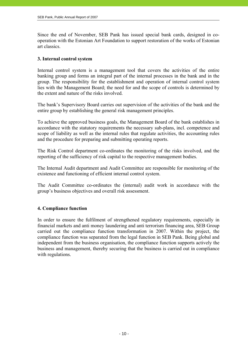Since the end of November, SEB Pank has issued special bank cards, designed in cooperation with the Estonian Art Foundation to support restoration of the works of Estonian art classics.

#### **3. Internal control system**

Internal control system is a management tool that covers the activities of the entire banking group and forms an integral part of the internal processes in the bank and in the group. The responsibility for the establishment and operation of internal control system lies with the Management Board; the need for and the scope of controls is determined by the extent and nature of the risks involved.

The bank's Supervisory Board carries out supervision of the activities of the bank and the entire group by establishing the general risk management principles.

To achieve the approved business goals, the Management Board of the bank establishes in accordance with the statutory requirements the necessary sub-plans, incl. competence and scope of liability as well as the internal rules that regulate activities, the accounting rules and the procedure for preparing and submitting operating reports.

The Risk Control department co-ordinates the monitoring of the risks involved, and the reporting of the sufficiency of risk capital to the respective management bodies.

The Internal Audit department and Audit Committee are responsible for monitoring of the existence and functioning of efficient internal control system.

The Audit Committee co-ordinates the (internal) audit work in accordance with the group's business objectives and overall risk assessment.

# **4. Compliance function**

In order to ensure the fulfilment of strengthened regulatory requirements, especially in financial markets and anti money laundering and anti terrorism financing area, SEB Group carried out the compliance function transformation in 2007. Within the project, the compliance function was separated from the legal function in SEB Pank. Being global and independent from the business organisation, the compliance function supports actively the business and management, thereby securing that the business is carried out in compliance with regulations.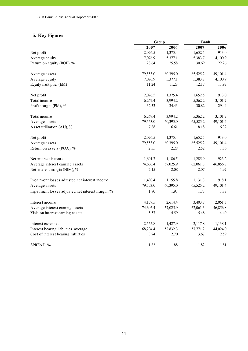# **5. Key Figures**

|                                                   |          | <b>Bank</b><br>Group |          |          |  |
|---------------------------------------------------|----------|----------------------|----------|----------|--|
|                                                   | 2007     | 2006                 | 2007     | 2006     |  |
| Net profit                                        | 2,026.5  | 1,375.4              | 1,652.5  | 913.0    |  |
| Average equity                                    | 7,076.9  | 5,377.1              | 5,383.7  | 4,100.9  |  |
| Return on equity (ROE), %                         | 28.64    | 25.58                | 30.69    | 22.26    |  |
| Average assets                                    | 79,553.0 | 60,395.0             | 65,525.2 | 49,101.4 |  |
| Average equity                                    | 7,076.9  | 5,377.1              | 5,383.7  | 4,100.9  |  |
| Equity multiplier (EM)                            | 11.24    | 11.23                | 12.17    | 11.97    |  |
| Net profit                                        | 2,026.5  | 1,375.4              | 1,652.5  | 913.0    |  |
| Total income                                      | 6,267.4  | 3,994.2              | 5,362.2  | 3,101.7  |  |
| Profit margin (PM), %                             | 32.33    | 34.43                | 30.82    | 29.44    |  |
| Total income                                      | 6,267.4  | 3,994.2              | 5,362.2  | 3,101.7  |  |
| Average assets                                    | 79,553.0 | 60,395.0             | 65,525.2 | 49,101.4 |  |
| Asset utilization (AU), %                         | 7.88     | 6.61                 | 8.18     | 6.32     |  |
| Net profit                                        | 2,026.5  | 1,375.4              | 1,652.5  | 913.0    |  |
| Average assets                                    | 79,553.0 | 60,395.0             | 65,525.2 | 49,101.4 |  |
| Return on assets (ROA), %                         | 2.55     | 2.28                 | 2.52     | 1.86     |  |
| Net interest income                               | 1,601.7  | 1,186.5              | 1,285.9  | 923.2    |  |
| Average interest earning assets                   | 74,606.4 | 57,025.9             | 62,061.3 | 46,856.8 |  |
| Net interest margin (NIM), %                      | 2.15     | 2.08                 | 2.07     | 1.97     |  |
| Impairment losses adjusted net interest income    | 1,430.4  | 1,155.8              | 1,131.3  | 918.1    |  |
| Average assets                                    | 79,553.0 | 60,395.0             | 65,525.2 | 49,101.4 |  |
| Impairment losses adjusted net interest margin, % | 1.80     | 1.91                 | 1.73     | 1.87     |  |
| Interest income                                   | 4,157.5  | 2,614.4              | 3,403.7  | 2,061.3  |  |
| Average interest earning assets                   | 74,606.4 | 57,025.9             | 62,061.3 | 46,856.8 |  |
| Yield on interest earning assets                  | 5.57     | 4.59                 | 5.48     | 4.40     |  |
| Interest expenses                                 | 2,555.8  | 1,427.9              | 2,117.8  | 1,138.1  |  |
| Interest bearing liabilities, average             | 68,294.4 | 52,832.3             | 57,771.2 | 44,024.0 |  |
| Cost of interest bearing liabilities              | 3.74     | 2.70                 | 3.67     | 2.59     |  |
| SPREAD, %                                         | 1.83     | 1.88                 | 1.82     | 1.81     |  |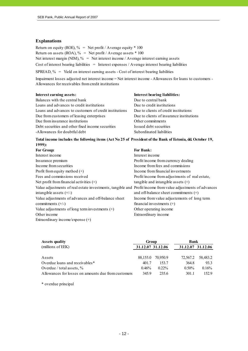#### **Explanations**

Return on equity (ROE),  $\%$  = Net profit / Average equity  $*$  100 Return on assets (ROA),  $\%$  = Net profit / Average assets  $*$  100 Net interest margin (NIM),  $\%$  = Net interest income / Average interest earning assets Cost of interest bearing liabilities = Interest expenses / Average interest bearing liabilities SPREAD,  $\%$  = Yield on interest earning assets - Cost of interest bearing liabilities

Impairment losses adjusted net interest income = Net interest income - Allowances for loans to customers - Allowances for receivables from credit institutions

| Interest earning assets:                                                                                                  |
|---------------------------------------------------------------------------------------------------------------------------|
| Balances with the central bank                                                                                            |
| Loans and advances to credit institutions                                                                                 |
| $\mathbf{r}$ . The second contract of the second contract $\mathbf{r}$ and $\mathbf{r}$ and $\mathbf{r}$ and $\mathbf{r}$ |

Loans and advances to customers of credit institutions Due to clients of credit institutions Due from customers of leasing enterprises Due to clients of insurance institutions Due from insurance institutions Other commitments Debt securities and other fixed income securities Issued debt securities -Allowances for doubtful debt Subordinated liabilities

# Due to central bank Due to credit institutions

**Interest bearing liabilities:** 

#### **Total income includes the following items (Act No 25 of President of the Bank of Estonia, dd. October 19, 1999):**

| For Group:                                                                                                  | <b>For Bank:</b>                               |
|-------------------------------------------------------------------------------------------------------------|------------------------------------------------|
| Interest income                                                                                             | Interest income                                |
| Insurance premium                                                                                           | Profit/income from currency dealing            |
| Income from securities                                                                                      | Income from fees and commissions               |
| Profit from equity method $(+)$                                                                             | Income from financial investments              |
| Fees and commissions received                                                                               | Profit/income from adjustments of real estate, |
| Net profit from financial activities $(+)$                                                                  | tangible and intangible assets $(+)$           |
| Value adjustments of real estate investments, tangible and Profit/income from value adjustments of advances |                                                |
| intangible assets $(+/-)$                                                                                   | and off-balance sheet commitments $(+)$        |
| Value adjustments of advances and off-balance sheet                                                         | Income from value adjustements of long term    |
| commitments $(+/-)$                                                                                         | financial investments $(+)$                    |
| Value adjustments of long term investments $(+)$                                                            | Other operating income                         |
| Other income                                                                                                | Extraordinary income                           |
| Extraordinary income/expense $(+)$                                                                          |                                                |

| <b>Assets quality</b>                               | Group             |          |                   | <b>Bank</b> |  |  |
|-----------------------------------------------------|-------------------|----------|-------------------|-------------|--|--|
| (millions of EEK)                                   | 31.12.07 31.12.06 |          | 31.12.07 31.12.06 |             |  |  |
|                                                     |                   |          |                   |             |  |  |
| Assets                                              | 88,155.0          | 70,950.9 | 72.567.2          | 58,483.2    |  |  |
| Overdue loans and receivables*                      | 401.7             | 153.7    | 364.8             | 933         |  |  |
| Overdue / total assets, $\%$                        | 0.46%             | $0.22\%$ | $0.50\%$          | 0.16%       |  |  |
| Allowances for losses on amounts due from customers | 3459              | 235.6    | 301.1             | 152.9       |  |  |

\* overdue principal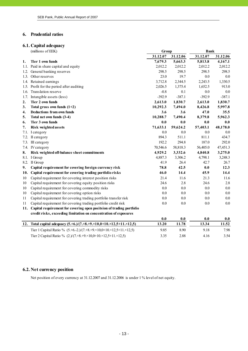#### **6. Prudential ratios**

# **6.1. Capital adequacy**

|      | (millions of EEK)                                                                          | Group    |          | <b>Bank</b> |          |  |
|------|--------------------------------------------------------------------------------------------|----------|----------|-------------|----------|--|
|      |                                                                                            | 31.12.07 | 31.12.06 | 31.12.07    | 31.12.06 |  |
| 1.   | Tier 1 own funds                                                                           | 7,679.3  | 5,663.3  | 5,813.8     | 4,167.1  |  |
|      | 1.1. Paid in share capital and equity                                                      | 2,012.2  | 2,012.2  | 2,012.2     | 2,012.2  |  |
|      | 1.2. General banking reserves                                                              | 298.5    | 298.5    | 298.5       | 298.5    |  |
|      | 1.3. Other reserves                                                                        | 23.0     | 19.7     | 0.0         | 0.0      |  |
|      | 1.4. Retained earnings                                                                     | 3,712.8  | 2,344.5  | 2,243.5     | 1,330.5  |  |
|      | 1.5. Profit for the period after auditing                                                  | 2,026.5  | 1,375.4  | 1,652.5     | 913.0    |  |
|      | 1.6. Translation reserve                                                                   | $-0.8$   | 0.1      | 0.0         | 0.0      |  |
| 1.7. | Intangible assets (less)                                                                   | $-392.9$ | $-387.1$ | $-392.9$    | $-387.1$ |  |
| 2.   | Tier 2 own funds                                                                           | 2,613.0  | 1,830.7  | 2,613.0     | 1,830.7  |  |
| 3.   | Total gross own funds $(1+2)$                                                              | 10,292.3 | 7,494.0  | 8,426.8     | 5,997.8  |  |
| 4.   | <b>Deductions from own funds</b>                                                           | 3.6      | 3.6      | 47.0        | 35.5     |  |
| 5.   | Total net own funds (3-4)                                                                  | 10,288.7 | 7,490.4  | 8,379.8     | 5,962.3  |  |
| 6.   | Tier 3 own funds                                                                           | 0.0      | $0.0\,$  | 0.0         | 0.0      |  |
| 7.   | Risk weighted assets                                                                       | 71,633.1 | 59,624.2 | 57,403.1    | 48,178.0 |  |
| 7.1. | I category                                                                                 | 0.0      | 0.0      | 0.0         | 0.0      |  |
|      | 7.2. II category                                                                           | 894.3    | 511.1    | 811.1       | 434.7    |  |
|      | 7.3. III category                                                                          | 192.2    | 294.8    | 187.0       | 292.0    |  |
|      | 7.4. IV category                                                                           | 70,546.6 | 58,818.3 | 56,405.0    | 47,451.3 |  |
| 8.   | Risk weighted off-balance sheet commitments                                                | 4,929.2  | 3,332.6  | 4,840.8     | 3,275.0  |  |
|      | 8.1. I Group                                                                               | 4,887.3  | 3,306.2  | 4,798.1     | 3,248.3  |  |
|      | 8.2. II Group                                                                              | 41.9     | 26.4     | 42.7        | 26.7     |  |
| 9.   | Capital requirement for covering foreign currency risk                                     | 78.8     | 42.5     | 0.0         | 12.3     |  |
| 10.  | Capital requirement for covering trading portfolio risks                                   | 46.0     | 14,4     | 45.9        | 14.4     |  |
| 10   | Capital requirement for covering interest position risks                                   | 21.4     | 11.6     | 21.3        | 11.6     |  |
| 10   | Capital requirement for covering equity position risks                                     | 24.6     | 2.8      | 24.6        | 2.8      |  |
| 10   | Capital requirement for covering commodity risks                                           | 0.0      | 0.0      | 0.0         | 0.0      |  |
| 10   | Capital requirement for covering option risks                                              | 0.0      | 0.0      | 0.0         | 0.0      |  |
| 11   | Capital requirement for covering trading portfolio transfer risk                           | 0.0      | 0.0      | 0.0         | 0.0      |  |
| 11   | Capital requirement for covering trading portfolio credit risk                             | 0.0      | 0.0      | 0.0         | 0.0      |  |
|      | 11. Capital requirement for covering open positsion of trading portfolio                   |          |          |             |          |  |
|      | credit risks, exceeding limitation on concentration of exposures                           |          |          |             |          |  |
|      |                                                                                            | 0.0      | 0.0      | 0.0         | 0.0      |  |
| 12.  | Total capital adequacy $(5.+6.)/(7.+8.+9. \times 10,0+10. \times 12,5+11. \times 12,5)$    | 13.20    | 11.78    | 13.34       | 11.52    |  |
|      | Tier 1 Capital Ratio % $(5.+6.-2)/(7.+8.+9)\times10,0+10)\times12,5+11\times12,5)$         | 9.85     | 8.90     | 9.18        | 7.98     |  |
|      | Tier 2 Capital Ratio % $(2.)/(7. +8. +9. \times 10.0 + 10. \times 12.5 + 11. \times 12.5)$ | 3.35     | 2.88     | 4.16        | 3.54     |  |

# **6.2. Net currency position**

Net position of every currency at 31.12.2007 and 31.12.2006 is under 1 % level of net equity.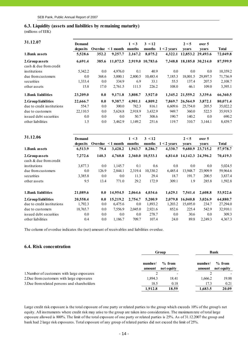#### **6.3. Liquidity (assets and liabilities by remaining maturity)**

(millions of EEK)

| 31.12.07                   | Demand   |         |                | 1 < 3   | 3 < 12           |               | 2 < 5                     | over 5            |          |
|----------------------------|----------|---------|----------------|---------|------------------|---------------|---------------------------|-------------------|----------|
|                            | deposits | Overdue | $\leq 1$ month | months  | months           | $1 < 2$ years | vears                     | vears             | Total    |
| 1. Bank assets             | 5,528.6  | 352.2   | 9,257.7        | 2,167.2 | 8,075.2          | 4,322.1       |                           | 12,853.2 29,493.6 | 72,049.8 |
| 2. Group assets            | 6,691.4  | 385.6   | 11,072.5       |         | 2,919.0 10,783.6 |               | 7,348.8 18,185.0 30,214.0 |                   | 87,599.9 |
| cash & due from credit     |          |         |                |         |                  |               |                           |                   |          |
| institutions               | 5,342.2  | $0.0\,$ | 4,976.0        | 0.1     | 40.9             | 0.0           | 0.0                       | 0.0               | 10,359.2 |
| due from customers         | 0.0      | 368.6   | 3,000.1        | 2,800.5 | 10,483.4         | 7,185.3       | 18,001.5                  | 29,897.5          | 71,736.9 |
| securities                 | 1,333.4  | 0.0     | 334.9          | 6.9     | 33.1             | 55.5          | 137.4                     | 207.5             | 2,108.7  |
| other assets               | 15.8     | 17.0    | 2,761.5        | 111.5   | 226.2            | 108.0         | 46.1                      | 109.0             | 3,395.1  |
| 1. Bank liabilities        | 23,209.0 | 0.0     | 9,171.8        | 3,808.7 | 3,927.0          |               | 1,345.2 21,559.2          | 3,339.6           | 66,360.5 |
| 2. Group liabilities       | 22,666.7 | 0.0     | 9,387.7        | 4,901.1 | 4,809.2          | 7,869.7       | 26,564.9                  | 3,872.1           | 80,071.4 |
| due to credit institutions | 554.7    | 0.0     | 300.0          | 782.3   | 816.1            | 6,609.6       | 25,754.0                  | 205.5             | 35,022.2 |
| due to customers           | 22,110.5 | 0.0     | 5,624.8        | 2,918.9 | 3,432.9          | 949.7         | 360.0                     | 522.5             | 35,919.3 |
| issued debt securities     | 0.0      | 0.0     | 0.0            | 50.7    | 308.6            | 190.7         | 140.2                     | 0.0               | 690.2    |
| other liabilities          | 1.5      | 0.0     | 3,462.9        | 1,149.2 | 251.6            | 119.7         | 310.7                     | 3,144.1           | 8,439.7  |

| 31.12.06                                  | Demand<br>deposits |         | Overdue $\leq 1$ month | 1 < 3<br>months | 3 < 12<br>months | $1 < 2$ years | 2 < 5<br>vears            | over 5<br>vears | <b>Total</b> |
|-------------------------------------------|--------------------|---------|------------------------|-----------------|------------------|---------------|---------------------------|-----------------|--------------|
| 1. Bank assets                            | 6,513.9            | 79.4    | 3,428.2                | 1,943.7         | 8,286.7          | 4,330.7       | 9,680.9                   | 23,715.2        | 57,978.7     |
| 2. Group assets<br>cash & due from credit | 7,272.6            | 140.3   | 4,760.8                |                 | 2,360.0 10,533.1 |               | 6,814.0 14,142.3 24,396.2 |                 | 70,419.3     |
| institutions                              | 3,877.3            | $0.0\,$ | 1,145.7                | 0.1             | 0.6              | 0.8           | 0.0                       | 0.0             | 5,024.5      |
| due from customers                        | 0.0                | 126.9   | 2,844.1                | 2,319.4         | 10,330.2         | 6,485.4       | 13,948.7                  | 23,909.9        | 59,964.6     |
| securities                                | 3,385.8            | 0.0     | 0.0                    | 11.3            | 29.4             | 18.7          | 191.7                     | 200.5           | 3,837.4      |
| other assets                              | 9.5                | 13.4    | 771.0                  | 29.2            | 172.9            | 309.1         | 1.9                       | 285.8           | 1,592.8      |
| 1. Bank liabilities                       | 21,089.6           | 0.0     | 14,954.5               | 2,064.6         | 4,034.6          | 1,629.1       | 7,541.4                   | 2,608.8         | 53,922.6     |
| 2. Group liabilities                      | 20,558.4           | 0.0     | 15,219.2               | 2,754.7         | 5,200.9          | 2,079.8       | 16,040.8                  | 3,026.9         | 64,880.7     |
| due to credit institutions                | 1,792.3            | 0.0     | 6,475.6                | $0.0\,$         | 1,893.2          | 1,203.2       | 15,695.0                  | 234.7           | 27,294.0     |
| due to customers                          | 18,765.7           | 0.0     | 7,556.9                | 2,045.0         | 2,921.6          | 852.6         | 225.4                     | 542.9           | 32,910.1     |
| issued debt securities                    | 0.0                | 0.0     | 0.0                    | 0.0             | 278.7            | 0.0           | 30.6                      | 0.0             | 309.3        |
| other liabilities                         | 0.4                | 0.0     | 1.186.7                | 709.7           | 107.4            | 24.0          | 89.8                      | 2,249.3         | 4,367.3      |

The column of overdue indicates the (net) amount of receivables and liabilities overdue.

#### **6.4. Risk concentration**

|                                              |                   | Group                  |                   | <b>Bank</b>            |  |
|----------------------------------------------|-------------------|------------------------|-------------------|------------------------|--|
|                                              | number/<br>amount | $%$ from<br>net equity | number/<br>amount | $%$ from<br>net equity |  |
| 1. Number of customers with large exposures  |                   |                        |                   |                        |  |
| 2. Due from customers with large exposures   | 1,894.3           | 18.41                  | 1,666.2           | 19.88                  |  |
| 3. Due from related persons and shareholders | 18.5              | 0.18                   | 17.3              | 0.21                   |  |
|                                              | 1,912.8           | 18.59                  | 1,683.5           | 20.09                  |  |

Large credit risk exposure is the total exposure of one party or related parties to the group which exceeds 10% of the group's net equity. All instruments where credit risk may arise to the group are taken into consideration. The maximum rate of total large exposure allowed is 800%. The limit of the total exposure of one party or related parties is 25%. As of 31.12.2007 the group and bank had 2 large risk exposures. Total exposure of any group of related parties did not exceed the limit of 25%.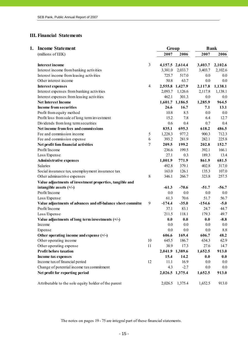# **III. Financial Statements**

| 1. | <b>Income Statement</b>                                     |                | Group    |                 | <b>Bank</b> |         |
|----|-------------------------------------------------------------|----------------|----------|-----------------|-------------|---------|
|    | (millions of EEK)                                           |                | 2007     | 2006            | 2007        | 2006    |
|    | <b>Interest income</b>                                      | $\mathfrak{Z}$ |          | 4,157.5 2,614.4 | 3,403.7     | 2,102.6 |
|    | Interest income from banking activities                     |                | 3,381.0  | 2,033.7         | 3,403.7     | 2,102.6 |
|    | Interest income from leasing activities                     |                | 725.7    | 517.0           | 0.0         | 0.0     |
|    | Other interest income                                       |                | 50.8     | 63.7            | 0.0         | 0.0     |
|    | <b>Interest expenses</b>                                    | 4              |          | 2,555.8 1,427.9 | 2,117.8     | 1,138.1 |
|    | Interest expenses from banking activities                   |                | 2,093.7  | 1,126.6         | 2,117.8     | 1,138.1 |
|    | Interest expenses from leasing activities                   |                | 462.1    | 301.3           | 0.0         | 0.0     |
|    | <b>Net Interest Income</b>                                  |                |          | 1,601.7 1,186.5 | 1,285.9     | 964.5   |
|    | <b>Income from securities</b>                               |                | 26.6     | 16.7            | 7.1         | 13.1    |
|    | Profit from equity method                                   |                | 10.8     | 8.5             | 0.0         | 0.0     |
|    | Profit/loss from sale of long term investment               |                | 15.2     | 7.8             | 6.4         | 12.7    |
|    | Dividends from long term securities                         |                | 0.6      | 0.4             | 0.7         | 0.4     |
|    | Net income from fees and commissions                        |                | 835.1    | 695.3           | 618.2       | 486.5   |
|    | Fee and commission income                                   | 5              | 1,228.3  | 977.2           | 900.3       | 712.3   |
|    | Fee and commission expense                                  | 6              | 393.2    | 281.9           | 282.1       | 225.8   |
|    | Net profit fom financial activities                         | 7              | 209.5    | 199.2           | 202.8       | 152.7   |
|    | Profit/Income                                               |                | 236.6    | 199.5           | 392.1       | 166.1   |
|    | Loss/Expense                                                |                | 27.1     | 0.3             | 189.3       | 13.4    |
|    | <b>Administrative expenses</b>                              |                | 1,001.9  | 771.9           | 861.9       | 681.5   |
|    | Salaries                                                    |                | 492.8    | 379.1           | 402.8       | 317.0   |
|    | Social insurance tax, unemployment insurance tax            |                | 163.0    | 126.1           | 135.3       | 107.0   |
|    | Other adminastrive expenses                                 | 8              | 346.1    | 266.7           | 323.8       | 257.5   |
|    | Value adjustments of investment properties, tangible and    |                |          |                 |             |         |
|    | intangible assets $(+/-)$                                   |                | $-61.3$  | $-70.6$         | $-51.7$     | $-56.7$ |
|    | Profit/Income                                               |                | 0.0      | 0.0             | 0.0         | 0.0     |
|    | Loss/Expense                                                |                | 61.3     | 70.6            | 51.7        | 56.7    |
|    | Value adjustments of advances and off-balance sheet commitm | 9              | $-174.4$ | $-35.0$         | $-154.6$    | $-5.0$  |
|    | Profit/Income                                               |                | 37.1     | 83.1            | 24.7        | 44.7    |
|    | Loss/Expense                                                |                | 211.5    | 118.1           | 179.3       | 49.7    |
|    | Value adjustments of long term investments $(+/-)$          |                | 0.0      | 0.0             | 0.0         | $-8.8$  |
|    | Income                                                      |                | 0.0      | 0.0             | 0.0         | 0.0     |
|    | Expense                                                     |                | 0.0      | 0.0             | 0.0         | 8.8     |
|    | Other operating income and expense $(+/-)$                  |                | 606.6    | 169.4           | 606.7       | 48.2    |
|    | Other operating income                                      | 10             | 645.5    | 186.7           | 634.3       | 62.9    |
|    | Other operating expense                                     | 11             | 38.9     | 17.3            | 27.6        | 14.7    |
|    | <b>Profit before taxation</b>                               |                |          | 2,041.9 1,389.6 | 1,652.5     | 913.0   |
|    | Income tax expenses                                         |                | 15.4     | 14.2            | 0.0         | 0.0     |
|    | Income tax of financial period                              | 12             | 11.1     | 16.9            | 0.0         | 0.0     |
|    | Change of potential income tax commitment                   |                | 4.3      | $-2.7$          | 0.0         | 0.0     |
|    | Net profit for reporting period                             |                |          | 2,026.5 1,375.4 | 1,652.5     | 913.0   |
|    | Attributable to the sole equity holder of the parent        |                | 2,026.5  | 1,375.4         | 1,652.5     | 913.0   |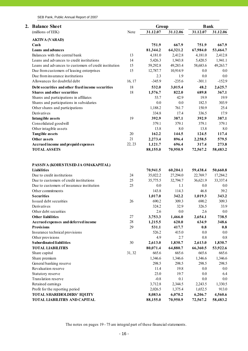| 2. | <b>Balance Sheet</b>                                  |        | Group    |          | <b>Bank</b> |          |
|----|-------------------------------------------------------|--------|----------|----------|-------------|----------|
|    | (millions of EEK)                                     | Note   | 31.12.07 | 31.12.06 | 31.12.07    | 31.12.06 |
|    | <b>AKTIVA (VARAD)</b>                                 |        |          |          |             |          |
|    | Cash                                                  |        | 751.9    | 667.9    | 751.9       | 667.9    |
|    | Loans and advances                                    |        | 81,344.2 | 64,321.2 | 67,984.0    | 53,464.7 |
|    | Balances with the central bank                        | 13     | 4,181.0  | 2,412.8  | 4,181.0     | 2,412.8  |
|    | Loans and advances to credit institutions             | 14     | 5,426.3  | 1,943.8  | 5,420.5     | 1,941.1  |
|    | Loans and advances to customers of credit institution | 15     | 59,292.8 | 49,283.4 | 58,683.6    | 49,263.7 |
|    | Due from customers of leasing enterprises             | 15     | 12,787.7 | 10,914.9 | 0.0         | 0.0      |
|    | Due from insurance institutions                       |        | 2.3      | 1.9      | 0.0         | 0.0      |
|    | Allowances for doubtful debt                          | 16, 17 | $-345.9$ | $-235.6$ | $-301.1$    | $-152.9$ |
|    | Debt securities and other fixed income securities     | 18     |          |          | 48.2        |          |
|    |                                                       |        | 532.0    | 3,015.4  |             | 2,625.7  |
|    | <b>Shares and other securities</b>                    | 18     | 1,576.7  | 822.0    | 689.8       | 367.1    |
|    | Shares and participations in affiliates               |        | 53.7     | 42.9     | 19.9        | 19.9     |
|    | Shares and participations in subsidaries              |        | 0.0      | 0.0      | 182.5       | 303.9    |
|    | Other shares and participations                       |        | 1,188.2  | 761.7    | 150.9       | 25.4     |
|    | Derivatives                                           |        | 334.8    | 17.4     | 336.5       | 17.9     |
|    | <b>Intangible assets</b>                              | 19     | 392.9    | 387.1    | 392.9       | 387.1    |
|    | Consolidated goodwill                                 |        | 379.1    | 379.1    | 379.1       | 379.1    |
|    | Other intagible assets                                |        | 13.8     | 8.0      | 13.8        | 8.0      |
|    | <b>Tangible assets</b>                                | 20     | 162.2    | 144.5    | 124.5       | 117.4    |
|    | Other assets                                          | 21     | 2,273.4  | 896.4    | 2,258.5     | 579.5    |
|    | Accrued income and prepaid expenses                   | 22, 23 | 1,121.7  | 696.4    | 317.4       | 273.8    |
|    | <b>TOTAL ASSETS</b>                                   |        | 88,155.0 | 70,950.9 | 72,567.2    | 58,483.2 |
|    |                                                       |        |          |          |             |          |
|    | PASSIVA (KOHUSTUSED JA OMAKAPITAL)                    |        |          |          |             |          |
|    | <b>Liabilities</b>                                    |        | 70,941.5 | 60,204.1 | 59,438.4    | 50,660.8 |
|    | Due to credit institutions                            | 24     | 35,022.2 | 27,294.0 | 22,769.7    | 17,284.2 |
|    | Due to customers of credit institutions               | 25     | 35,775.5 | 32,794.7 | 36,621.9    | 33,337.4 |
|    | Due to customers of insurance institution             | 25     | $0.0\,$  | 1.1      | 0.0         | 0.0      |
|    | Other commitments                                     |        | 143.8    | 114.3    | 46.8        | 39.2     |
|    | <b>Securities</b>                                     |        | 1,017.0  | 342.2    | 1,019.3     | 343.2    |
|    | Issued debt securities                                | 26     | 690.2    | 309.3    | 690.2       | 309.3    |
|    | Derivatives                                           |        | 324.2    | 32.9     | 326.5       | 33.9     |
|    | Other debt securities                                 |        | 2.6      | 0.0      | 2.6         | 0.0      |
|    | <b>Other liabilities</b>                              | 27     | 3,753.3  | 1,466.0  | 2,654.1     | 738.5    |
|    | Accrued expenses and deferred income                  | 28     | 1,215.5  | 620.0    | 634.9       | 348.6    |
|    | <b>Provisions</b>                                     | 29     | 531.1    | 417.7    | 0.8         | 0.8      |
|    | Insurance technical provisions                        |        | 526.2    | 415.0    | 0.0         | 0.0      |
|    | Other provisions                                      |        | 4.9      | 2.7      | 0.8         | 0.8      |
|    | Subordinated liabilities                              | 30     | 2,613.0  | 1,830.7  | 2,613.0     | 1,830.7  |
|    | <b>TOTAL LIABILITIES</b>                              |        | 80,071.4 | 64,880.7 | 66,360.5    | 53,922.6 |
|    | Share capital                                         | 31, 32 | 665.6    | 665.6    | 665.6       | 665.6    |
|    | Share premium                                         |        | 1,346.6  | 1,346.6  | 1,346.6     | 1,346.6  |
|    | General banking reserve                               |        | 298.5    | 298.5    | 298.5       | 298.5    |
|    | Revaluation reserve                                   |        | 11.4     | 19.8     | 0.0         | 0.0      |
|    | Statutory reserve                                     |        | 23.0     | 19.7     | 0.0         | 6.4      |
|    | Translation reserve                                   |        | $-0.8$   | 0.1      | 0.0         | 0.0      |
|    | Retained earnings                                     |        | 3,712.8  | 2,344.5  | 2,243.5     | 1,330.5  |
|    | Profit for the reporting period                       |        | 2,026.5  | 1,375.4  | 1,652.5     | 913.0    |
|    | <b>TOTAL SHAREHOLDERS' EQUITY</b>                     |        | 8,083.6  | 6,070.2  | 6,206.7     | 4,560.6  |
|    | <b>TOTAL LIABILITIES AND CAPITAL</b>                  |        | 88,155.0 | 70,950.9 | 72,567.2    | 58,483.2 |
|    |                                                       |        |          |          |             |          |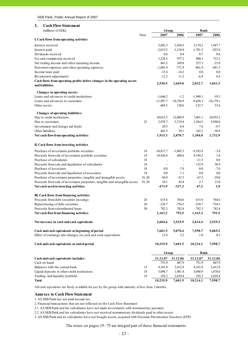#### **3. Cash Flow Statement**

| (millions of EEK)                                                           |        | Group                    |                          | <b>Bank</b>      |                   |
|-----------------------------------------------------------------------------|--------|--------------------------|--------------------------|------------------|-------------------|
|                                                                             | Note   | 2007                     | 2006                     | 2007             | 2006              |
| I. Cash flows from operating activities                                     |        |                          |                          |                  |                   |
| Interest received                                                           |        | 3,883.3                  | 2,430.5                  | 3,174.2          | 1,947.7           |
| Interest paid                                                               |        | $-2,015.5$               | $-1,134.0$               | $-1,701.5$       | $-923.0$          |
| Dividends received                                                          |        | 0.6                      | 0.4                      | 0.7              | 0.4               |
| Fee and commission received                                                 |        | 1,228.3                  | 977.2                    | 900.3            | 712.3             |
| Net trading income and other operating income                               |        | 463.3                    | 169.8                    | 527.3            | $-21.0$           |
| Personnel expenses and other operating expenses                             |        | $-1,001.9$               | $-771.9$                 | $-861.9$         | $-681.5$          |
| Income taxes paid                                                           |        | $-15.4$                  | $-14.2$                  | 0.0              | 0.0               |
| Revaluation adjustments                                                     |        | $-12.2$                  | 11.2                     | -6.4             | 6.4               |
| Cash flows from operating profits before changes in the operating assets    |        |                          |                          |                  |                   |
| and liabilities                                                             |        | 2,530.5                  | 1,669.0                  | 2,032.7          | 1,041.3           |
| Changes in operating assets:                                                |        |                          |                          |                  |                   |
| Loans and advances to credit institutions                                   |        | $-1,646.2$               | $-1.2$                   | $-1,948.1$       | $-19.3$           |
| Loans and advances to customers                                             |        | $-11,987.7$              | $-18,356.9$              | $-9,426.3$       | $-16, 179.1$      |
| Other assets                                                                |        | $-468.5$                 | 120.6                    | $-132.7$         | 53.4              |
| Changes of operating liabilities:                                           |        |                          |                          |                  |                   |
| Due to credit institutions                                                  |        | 10,015.5                 | 12,889.9                 | 7,401.1          | 10,955.2          |
| Due to customers                                                            | 25     | 2,979.7                  | 5,719.8                  | 3,284.5          | 5,950.0           |
| Government and foreign aid funds                                            |        | 29.5                     | 0.4                      | 7.6              | $-9.7$            |
| Other liabilities                                                           |        | 462.5                    | 29.1                     | 165.2            | $-58.9$           |
| Net cash flow from operating activities                                     |        | 1,915.3                  | 2,070.7                  | 1,384.0          | 1,732.9           |
| II. Cash flows from investing activities                                    |        |                          |                          |                  |                   |
| Purchase of investment portfolio securities                                 | 18     | $-10,817.7$              | $-1,005.3$               | $-9,183.8$       | $-3.4$            |
| Proceeds from sale of investment portfolio securities                       | 18     | 10,428.6                 | 680.6                    | 9,194.2          | 1.4               |
| Purchase of subsidaries                                                     | 18     |                          |                          | $-11.5$          | 0.0               |
| Proceeds from sale and liquidation of subsidaries                           | 18     | $\overline{\phantom{a}}$ | $\overline{\phantom{a}}$ | 132.9            | 38.9              |
| Purchase of associates                                                      | 18     | 0.0                      | $-7.0$                   | 0.0              | $-7.0$            |
| Proceeds from sale and liquidation of associates                            | 18     | 0.0                      | 1.1                      | 0.0              | 0.0               |
| Purchase of investment properties, tangible and intangible assets           | 19, 20 | $-94.9$                  | $-52.5$                  | $-67.3$          | $-39.0$           |
| Proceeds from sale of investment properties, tangible and intangible assets | 19, 20 | 10.1                     | 45.8                     | 2.7              | 13.0              |
| Net cash used in investing activities                                       |        | -473.9                   | $-337.3$                 | 67.2             | 3.9               |
|                                                                             |        |                          |                          |                  |                   |
| III. Cash flows from financing activities                                   |        | 615.6                    | 764.6                    | 615.6            | 764.6             |
| Proceeds from debt securities (issuing)                                     | 26     |                          |                          |                  |                   |
| Repurchasing of debt securities<br>Proceeds from subordinated loans         | 26     | $-234.7$<br>782.3        | $-754.5$<br>782.4        | $-234.7$         | $-754.5$<br>782.4 |
| Net cash flow from financing activities                                     | 30     | 1,163.2                  | 792.5                    | 782.3<br>1,163.2 | 792.5             |
| Net increase in cash and cash equivalents                                   |        | 2,604.6                  | 2,525.9                  | 2,614.4          | 2,529.3           |
|                                                                             |        |                          |                          |                  |                   |
| Cash and cash equivalents at beginning of period                            |        | 7,601.5                  | 5,070.4                  | 7,598.7          | 5,069.2           |
| Effect of exchange rate changes on cash and cash equivalents                |        | 13.8                     | 5.2                      | 1.0              | 0.2               |
| Cash and cash equivalents at end of period                                  |        | 10,219.9                 | 7,601.5                  | 10,214.1         | 7,598.7           |
|                                                                             |        | Group                    |                          | Bank             |                   |
| Cash and cash equivalents includes:                                         |        | 31.12.07                 | 31.12.06                 | 31.12.07         | 31.12.06          |
| Cash on hand                                                                |        | 751.9                    | 667.9                    | 751.9            | 667.9             |
| Balances with the central bank                                              | 13     | 4,181.0                  | 2,412.8                  | 4,181.0          | 2,412.8           |
| Liquid deposits in other credit institutions                                | 14     | 5,094.7                  | 1,881.4                  | 5,088.9          | 1,878.6           |
| Trading- and liquidity portfolio                                            | 18     | 192.3                    | 2,639.4                  | 192.3            | 2,639.4           |
| <b>Total</b>                                                                |        | 10,219.9                 | 7,601.5                  | 10,214.1         | 7,598.7           |

All cash eqivalents are freely available for use by the group with maturity of less than 3 months.

#### **Annexes to Cash Flow Statement**

1. AS SEB Pank has not paid income tax.

2. Financial transactions that are not reflected on the Cash Flow Statement:

2.1. AS SEB Pank and his subsidaries have not made investments with nonmonetary payment.

2.2. AS SEB Pank and his subsidaries have not received nonmonetary dividends paid in other assets.

3. AS SEB Pank and its subsidaries have not bought assets, acquired with Estonian Privatisation Vouchers (EVP)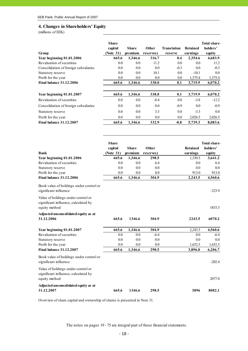#### **4. Changes in Shareholders' Equity**

(millions of EEK)

|                                                                                             | <b>Share</b><br>capital | <b>Share</b>   | Other        | <b>Translation</b> | <b>Retained</b>    | Total share<br>holders' |
|---------------------------------------------------------------------------------------------|-------------------------|----------------|--------------|--------------------|--------------------|-------------------------|
| Group                                                                                       | (Note 31)               | premium        | reserves)    | reserve            | earnings           | equity                  |
| Year beginning 01.01.2006                                                                   | 665.6                   | 1,346.6        | 316.7        | 0.4                | 2,354.6            | 4,683.9                 |
| Revaluation of securities                                                                   | 0.0                     | 0.0            | 11.2         | 0.0                | 0.0                | 11.2                    |
| Consolidation of foreign subsidaries                                                        | 0.0                     | 0.0            | 0.0          | $-0.3$             | 0.0                | $-0.3$                  |
| Statutory reserve                                                                           | 0.0                     | 0.0            | 10.1         | 0.0                | $-10.1$            | 0.0                     |
| Profit for the year                                                                         | 0.0                     | 0.0            | 0.0          | 0.0                | 1,375.4            | 1,375.4                 |
| <b>Final balance 31.12.2006</b>                                                             | 665.6                   | 1,346.6        | 338.0        | 0.1                | 3,719.9            | 6,070.2                 |
| Year beginning 01.01.2007                                                                   | 665.6                   | 1,346.6        | 338.0        | 0.1                | 3,719.9            | 6,070.2                 |
| Revaluation of securities                                                                   | 0.0                     | 0.0            | $-8.4$       | 0.0                | $-3.8$             | $-12.2$                 |
| Consolidation of foreign subsidaries                                                        | 0.0                     | 0.0            | 0.0          | $-0.9$             | 0.0                | $-0.9$                  |
| Statutory reserve                                                                           | 0.0                     | 0.0            | 3.3          | 0.0                | $-3.3$             | 0.0                     |
|                                                                                             |                         |                |              |                    |                    |                         |
| Profit for the year<br><b>Final balance 31.12.2007</b>                                      | 0.0<br>665.6            | 0.0<br>1,346.6 | 0.0<br>332.9 | 0.0<br>$-0.8$      | 2,026.5<br>5,739.3 | 2,026.5                 |
|                                                                                             |                         |                |              |                    |                    | 8,083.6                 |
|                                                                                             | <b>Share</b>            |                |              |                    |                    | Total share             |
|                                                                                             | capital                 | <b>Share</b>   | <b>Other</b> |                    | <b>Retained</b>    | holders'                |
| <b>Bank</b>                                                                                 | (Note 31)               | premium        | reserves)    |                    | earnings           | equity                  |
| Year beginning 01.01.2006                                                                   | 665.6                   | 1,346.6        | 298.5        |                    | 1,330.5            | 3,641.2                 |
| Revaluation of securities                                                                   | 0.0                     | 0.0            | 6.4          |                    | 0.0                | 6.4                     |
| Statutory reserve                                                                           | 0.0                     | 0.0            | 0.0          |                    | 0.0                | 0.0                     |
| Profit for the year                                                                         | 0.0                     | 0.0            | 0.0          |                    | 913.0              | 913.0                   |
| <b>Final balance 31.12.2006</b>                                                             | 665.6                   | 1,346.6        | 304.9        |                    | 2,243.5            | 4,560.6                 |
| Book value of holdings under control or<br>significant influence                            |                         |                |              |                    |                    | -323.9                  |
| Value of holdings under control or<br>significant influence, calculated by<br>equity method |                         |                |              |                    |                    | 1833.5                  |
|                                                                                             |                         |                |              |                    |                    |                         |
| Adjusted unconsolidated equity as at<br>31.12.2006                                          | 665.6                   | 1346.6         | 304.9        |                    | 2243.5             | 6070.2                  |
| Year beginning 01.01.2007                                                                   | 665.6                   | 1,346.6        | 304.9        |                    | 2,243.5            | 4,560.6                 |
| Revaluation of securities                                                                   | 0.0                     | 0.0            | $-6.4$       |                    | $0.0\,$            | $-6.4$                  |
| Statutory reserve                                                                           | 0.0                     | 0.0            | 0.0          |                    | $0.0\,$            | $0.0\,$                 |
| Profit for the year                                                                         | 0.0                     | 0.0            | 0.0          |                    | 1,652.5            | 1,652.5                 |
| <b>Final balance 31.12.2007</b>                                                             | 665.6                   | 1,346.6        | 298.5        |                    | 3,896.0            | 6,206.7                 |
| Book value of holdings under control or<br>significant influence                            |                         |                |              |                    |                    | $-202.4$                |
| Value of holdings under control or<br>significant influence, calculated by<br>equity method |                         |                |              |                    |                    | 2077.8                  |
| Adjusted unconsolidated equity as at<br>31.12.2007                                          | 665.6                   | 1346.6         | 298.5        |                    | 3896               | 8082.1                  |

Overview of share capital and ownership of shares is presented in Note 31.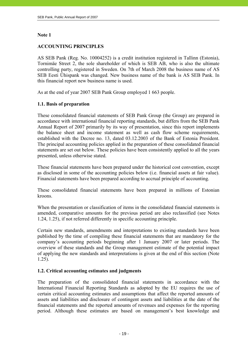### **Note 1**

## **ACCOUNTING PRINCIPLES**

AS SEB Pank (Reg. No. 10004252) is a credit institution registered in Tallinn (Estonia), Tornimäe Street 2, the sole shareholder of which is SEB AB, who is also the ultimate controlling party, registered in Sweden. On 7th of March 2008 the business name of AS SEB Eesti Ühispank was changed. New business name of the bank is AS SEB Pank. In this financial report new business name is used.

As at the end of year 2007 SEB Pank Group employed 1 663 people.

# **1.1. Basis of preparation**

These consolidated financial statements of SEB Pank Group (the Group) are prepared in accordance with international financial reporting standards, but differs from the SEB Pank Annual Report of 2007 primarily by its way of presentation, since this report implements the balance sheet and income statement as well as cash flow scheme requirements, established with the Decree no. 13, dated 03.12.2003 of the Bank of Estonia President. The principal accounting policies applied in the preparation of these consolidated financial statements are set out below. These policies have been consistently applied to all the years presented, unless otherwise stated.

These financial statements have been prepared under the historical cost convention, except as disclosed in some of the accounting policies below (i.e. financial assets at fair value). Financial statements have been prepared according to accrual principle of accounting.

These consolidated financial statements have been prepared in millions of Estonian kroons.

When the presentation or classification of items in the consolidated financial statements is amended, comparative amounts for the previous period are also reclassified (see Notes 1.24, 1.25), if not referred differently in specific accounting principle.

Certain new standards, amendments and interpretations to existing standards have been published by the time of compiling these financial statements that are mandatory for the company's accounting periods beginning after 1 January 2007 or later periods. The overview of these standards and the Group management estimate of the potential impact of applying the new standards and interpretations is given at the end of this section (Note 1.25).

# **1.2. Critical accounting estimates and judgments**

The preparation of the consolidated financial statements in accordance with the International Financial Reporting Standards as adopted by the EU requires the use of certain critical accounting estimates and assumptions that affect the reported amounts of assets and liabilities and disclosure of contingent assets and liabilities at the date of the financial statements and the reported amounts of revenues and expenses for the reporting period. Although these estimates are based on management's best knowledge and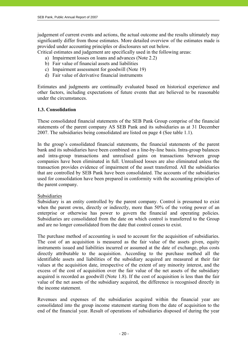judgement of current events and actions, the actual outcome and the results ultimately may significantly differ from those estimates. More detailed overview of the estimates made is provided under accounting principles or disclosures set out below.

Critical estimates and judgement are specifically used in the following areas:

- a) Impairment losses on loans and advances (Note 2.2)
- b) Fair value of financial assets and liabilities
- c) Impairment assessment for goodwill (Note 19)
- d) Fair value of derivative financial instruments

Estimates and judgments are continually evaluated based on historical experience and other factors, including expectations of future events that are believed to be reasonable under the circumstances.

# **1.3. Consolidation**

These consolidated financial statements of the SEB Pank Group comprise of the financial statements of the parent company AS SEB Pank and its subsidiaries as at 31 December 2007. The subsidiaries being consolidated are listed on page 4 (See table 1.1).

In the group's consolidated financial statements, the financial statements of the parent bank and its subsidiaries have been combined on a line-by-line basis. Intra-group balances and intra-group transactions and unrealised gains on transactions between group companies have been eliminated in full. Unrealised losses are also eliminated unless the transaction provides evidence of impairment of the asset transferred. All the subsidiaries that are controlled by SEB Pank have been consolidated. The accounts of the subsidiaries used for consolidation have been prepared in conformity with the accounting principles of the parent company.

#### Subsidiaries

Subsidiary is an entity controlled by the parent company. Control is presumed to exist when the parent owns, directly or indirectly, more than 50% of the voting power of an enterprise or otherwise has power to govern the financial and operating policies. Subsidiaries are consolidated from the date on which control is transferred to the Group and are no longer consolidated from the date that control ceases to exist.

The purchase method of accounting is used to account for the acquisition of subsidiaries. The cost of an acquisition is measured as the fair value of the assets given, equity instruments issued and liabilities incurred or assumed at the date of exchange, plus costs directly attributable to the acquisition. According to the purchase method all the identifiable assets and liabilities of the subsidiary acquired are measured at their fair values at the acquisition date, irrespective of the extent of any minority interest, and the excess of the cost of acquisition over the fair value of the net assets of the subsidiary acquired is recorded as goodwill (Note 1.8). If the cost of acquisition is less than the fair value of the net assets of the subsidiary acquired, the difference is recognised directly in the income statement.

Revenues and expenses of the subsidiaries acquired within the financial year are consolidated into the group income statement starting from the date of acquisition to the end of the financial year. Result of operations of subsidiaries disposed of during the year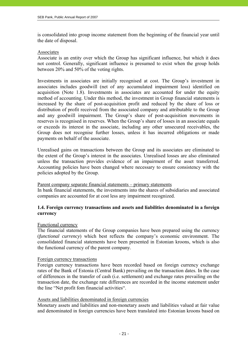is consolidated into group income statement from the beginning of the financial year until the date of disposal.

#### Associates

Associate is an entity over which the Group has significant influence, but which it does not control. Generally, significant influence is presumed to exist when the group holds between 20% and 50% of the voting rights.

Investments in associates are initially recognised at cost. The Group's investment in associates includes goodwill (net of any accumulated impairment loss) identified on acquisition (Note 1.8). Investments in associates are accounted for under the equity method of accounting. Under this method, the investment in Group financial statements is increased by the share of post-acquisition profit and reduced by the share of loss or distribution of profit received from the associated company and attributable to the Group and any goodwill impairment. The Group's share of post-acquisition movements in reserves is recognised in reserves. When the Group's share of losses in an associate equals or exceeds its interest in the associate, including any other unsecured receivables, the Group does not recognise further losses, unless it has incurred obligations or made payments on behalf of the associate.

Unrealised gains on transactions between the Group and its associates are eliminated to the extent of the Group's interest in the associates. Unrealised losses are also eliminated unless the transaction provides evidence of an impairment of the asset transferred. Accounting policies have been changed where necessary to ensure consistency with the policies adopted by the Group.

#### Parent company separate financial statements – primary statements

In bank financial statements, the investments into the shares of subsidiaries and associated companies are accounted for at cost less any impairment recognized.

#### **1.4. Foreign currency transactions and assets and liabilities denominated in a foreign currency**

#### Functional currency

The financial statements of the Group companies have been prepared using the currency (*functional currency*) which best reflects the company's economic environment. The consolidated financial statements have been presented in Estonian kroons, which is also the functional currency of the parent company.

#### Foreign currency transactions

Foreign currency transactions have been recorded based on foreign currency exchange rates of the Bank of Estonia (Central Bank) prevailing on the transaction dates. In the case of differences in the transfer of cash (i.e. settlement) and exchange rates prevailing on the transaction date, the exchange rate differences are recorded in the income statement under the line "Net profit fom financial activities".

#### Assets and liabilities denominated in foreign currencies

Monetary assets and liabilities and non-monetary assets and liabilities valued at fair value and denominated in foreign currencies have been translated into Estonian kroons based on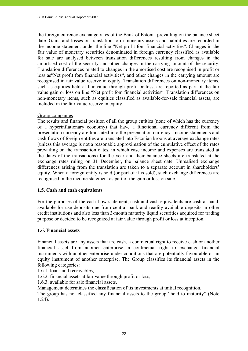the foreign currency exchange rates of the Bank of Estonia prevailing on the balance sheet date. Gains and losses on translation form monetary assets and liabilities are recorded in the income statement under the line "Net profit fom financial activities". Changes in the fair value of monetary securities denominated in foreign currency classified as available for sale are analysed between translation differences resulting from changes in the amortised cost of the security and other changes in the carrying amount of the security. Translation differences related to changes in the amortised cost are recognised in profit or loss as"Net profit fom financial activities", and other changes in the carrying amount are recognised in fair value reserve in equity. Translation differences on non-monetary items, such as equities held at fair value through profit or loss, are reported as part of the fair value gain or loss on line "Net profit fom financial activities". Translation differences on non-monetary items, such as equities classified as available-for-sale financial assets, are included in the fair value reserve in equity.

#### Group companies

The results and financial position of all the group entities (none of which has the currency of a hyperinflationary economy) that have a functional currency different from the presentation currency are translated into the presentation currency. Income statements and cash flows of foreign entities are translated into Estonian kroons at average exchange rates (unless this average is not a reasonable approximation of the cumulative effect of the rates prevailing on the transaction dates, in which case income and expenses are translated at the dates of the transactions) for the year and their balance sheets are translated at the exchange rates ruling on 31 December, the balance sheet date. Unrealised exchange differences arising from the translation are taken to a separate account in shareholders' equity. When a foreign entity is sold (or part of it is sold), such exchange differences are recognised in the income statement as part of the gain or loss on sale.

# **1.5. Cash and cash equivalents**

For the purposes of the cash flow statement, cash and cash equivalents are cash at hand, available for use deposits due from central bank and readily available deposits in other credit institutions and also less than 3-month maturity liquid securities acquired for trading purpose or decided to be recognized at fair value through profit or loss at inception.

#### **1.6. Financial assets**

Financial assets are any assets that are cash, a contractual right to receive cash or another financial asset from another enterprise, a contractual right to exchange financial instruments with another enterprise under conditions that are potentially favourable or an equity instrument of another enterprise. The Group classifies its financial assets in the following categories:

- 1.6.1. loans and receivables,
- 1.6.2. financial assets at fair value through profit or loss,
- 1.6.3. available for sale financial assets.

Management determines the classification of its investments at initial recognition.

The group has not classified any financial assets to the group "held to maturity" (Note 1.24).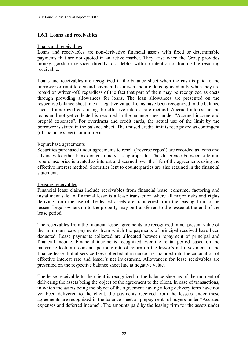#### **1.6.1. Loans and receivables**

#### Loans and receivables

Loans and receivables are non-derivative financial assets with fixed or determinable payments that are not quoted in an active market. They arise when the Group provides money, goods or services directly to a debtor with no intention of trading the resulting receivable.

Loans and receivables are recognized in the balance sheet when the cash is paid to the borrower or right to demand payment has arisen and are derecognized only when they are repaid or written-off, regardless of the fact that part of them may be recognized as costs through providing allowances for loans. The loan allowances are presented on the respective balance sheet line at negative value. Loans have been recognized in the balance sheet at amortized cost using the effective interest rate method. Accrued interest on the loans and not yet collected is recorded in the balance sheet under "Accrued income and prepaid expenses". For overdrafts and credit cards, the actual use of the limit by the borrower is stated in the balance sheet. The unused credit limit is recognized as contingent (off-balance sheet) commitment.

#### Repurchase agreements

Securities purchased under agreements to resell ('reverse repos') are recorded as loans and advances to other banks or customers, as appropriate. The difference between sale and repurchase price is treated as interest and accrued over the life of the agreements using the effective interest method. Securities lent to counterparties are also retained in the financial statements.

#### Leasing receivables

Financial lease claims include receivables from financial lease, consumer factoring and installment sale. A financial lease is a lease transaction where all major risks and rights deriving from the use of the leased assets are transferred from the leasing firm to the lessee. Legal ownership to the property may be transferred to the lessee at the end of the lease period.

The receivables from the financial lease agreements are recognized in net present value of the minimum lease payments, from which the payments of principal received have been deducted. Lease payments collected are allocated between repayment of principal and financial income. Financial income is recognized over the rental period based on the pattern reflecting a constant periodic rate of return on the lessor's net investment in the finance lease. Initial service fees collected at issuance are included into the calculation of effective interest rate and lessor's net investment. Allowances for lease receivables are presented on the respective balance sheet line at negative value.

The lease receivable to the client is recognized in the balance sheet as of the moment of delivering the assets being the object of the agreement to the client. In case of transactions, in which the assets being the object of the agreement having a long delivery term have not yet been delivered to the client, the payments received from the lessees under these agreements are recognized in the balance sheet as prepayments of buyers under "Accrued expenses and deferred income". The amounts paid by the leasing firm for the assets under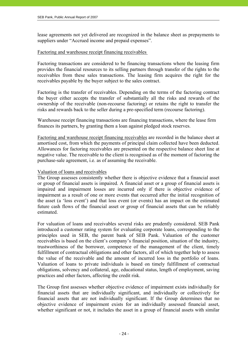lease agreements not yet delivered are recognized in the balance sheet as prepayments to suppliers under "Accrued income and prepaid expenses".

#### Factoring and warehouse receipt financing receivables

Factoring transactions are considered to be financing transactions where the leasing firm provides the financial resources to its selling partners through transfer of the rights to the receivables from these sales transactions. The leasing firm acquires the right for the receivables payable by the buyer subject to the sales contract.

Factoring is the transfer of receivables. Depending on the terms of the factoring contract the buyer either accepts the transfer of substantially all the risks and rewards of the ownership of the receivable (non-recourse factoring) or retains the right to transfer the risks and rewards back to the seller during a pre-specified term (recourse factoring).

Warehouse receipt financing transactions are financing transactions, where the lease firm finances its partners, by granting them a loan against pledged stock reserves.

Factoring and warehouse receipt financing receivables are recorded in the balance sheet at amortised cost, from which the payments of principal claim collected have been deducted. Allowances for factoring receivables are presented on the respective balance sheet line at negative value. The receivable to the client is recognised as of the moment of factoring the purchase-sale agreement, i.e. as of assuming the receivable.

#### Valuation of loans and receivables

The Group assesses consistently whether there is objective evidence that a financial asset or group of financial assets is impaired. A financial asset or a group of financial assets is impaired and impairment losses are incurred only if there is objective evidence of impairment as a result of one or more events that occurred after the initial recognition of the asset (a 'loss event') and that loss event (or events) has an impact on the estimated future cash flows of the financial asset or group of financial assets that can be reliably estimated.

For valuation of loans and receivables several risks are prudently considered. SEB Pank introduced a customer rating system for evaluating corporate loans, corresponding to the principles used in SEB, the parent bank of SEB Pank. Valuation of the customer receivables is based on the client's company's financial position, situation of the industry, trustworthiness of the borrower, competence of the management of the client, timely fulfillment of contractual obligations and other factors, all of which together help to assess the value of the receivable and the amount of incurred loss in the portfolio of loans. Valuation of loans to private individuals is based on timely fulfillment of contractual obligations, solvency and collateral, age, educational status, length of employment, saving practices and other factors, affecting the credit risk.

The Group first assesses whether objective evidence of impairment exists individually for financial assets that are individually significant, and individually or collectively for financial assets that are not individually significant. If the Group determines that no objective evidence of impairment exists for an individually assessed financial asset, whether significant or not, it includes the asset in a group of financial assets with similar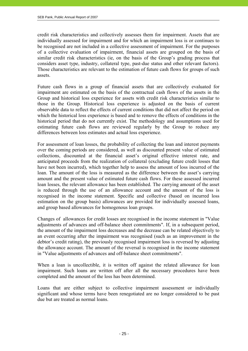credit risk characteristics and collectively assesses them for impairment. Assets that are individually assessed for impairment and for which an impairment loss is or continues to be recognised are not included in a collective assessment of impairment. For the purposes of a collective evaluation of impairment, financial assets are grouped on the basis of similar credit risk characteristics (ie, on the basis of the Group's grading process that considers asset type, industry, collateral type, past-due status and other relevant factors). Those characteristics are relevant to the estimation of future cash flows for groups of such assets.

Future cash flows in a group of financial assets that are collectively evaluated for impairment are estimated on the basis of the contractual cash flows of the assets in the Group and historical loss experience for assets with credit risk characteristics similar to those in the Group. Historical loss experience is adjusted on the basis of current observable data to reflect the effects of current conditions that did not affect the period on which the historical loss experience is based and to remove the effects of conditions in the historical period that do not currently exist. The methodology and assumptions used for estimating future cash flows are reviewed regularly by the Group to reduce any differences between loss estimates and actual loss experience.

For assessment of loan losses, the probability of collecting the loan and interest payments over the coming periods are considered, as well as discounted present value of estimated collections, discounted at the financial asset's original effective interest rate, and anticipated proceeds from the realization of collateral (excluding future credit losses that have not been incurred), which together help to assess the amount of loss incurred of the loan. The amount of the loss is measured as the difference between the asset's carrying amount and the present value of estimated future cash flows. For these assessed incurred loan losses, the relevant allowance has been established. The carrying amount of the asset is reduced through the use of an allowance account and the amount of the loss is recognised in the income statement. Specific and collective (based on incurred loss estimation on the group basis) allowances are provided for individually assessed loans, and group based allowances for homogenous loan groups.

Changes of allowances for credit losses are recognised in the income statement in "Value adjustments of advances and off-balance sheet commitments". If, in a subsequent period, the amount of the impairment loss decreases and the decrease can be related objectively to an event occurring after the impairment was recognised (such as an improvement in the debtor's credit rating), the previously recognised impairment loss is reversed by adjusting the allowance account. The amount of the reversal is recognised in the income statement in "Value adjustments of advances and off-balance sheet commitments".

When a loan is uncollectible, it is written off against the related allowance for loan impairment. Such loans are written off after all the necessary procedures have been completed and the amount of the loss has been determined.

Loans that are either subject to collective impairment assessment or individually significant and whose terms have been renegotiated are no longer considered to be past due but are treated as normal loans.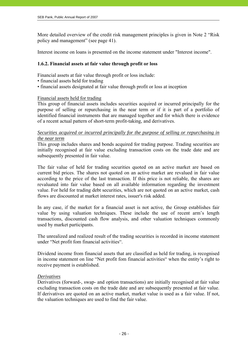More detailed overview of the credit risk management principles is given in Note 2 "Risk policy and management" (see page 41).

Interest income on loans is presented on the income statement under "Interest income".

## **1.6.2. Financial assets at fair value through profit or loss**

Financial assets at fair value through profit or loss include:

- financial assets held for trading
- financial assets designated at fair value through profit or loss at inception

#### Financial assets held for trading

This group of financial assets includes securities acquired or incurred principally for the purpose of selling or repurchasing in the near term or if it is part of a portfolio of identified financial instruments that are managed together and for which there is evidence of a recent actual pattern of short-term profit-taking, and derivatives.

#### *Securities acquired or incurred principally for the purpose of selling or repurchasing in the near term*

This group includes shares and bonds acquired for trading purpose. Trading securities are initially recognised at fair value excluding transaction costs on the trade date and are subsequently presented in fair value.

The fair value of held for trading securities quoted on an active market are based on current bid prices. The shares not quoted on an active market are revalued in fair value according to the price of the last transaction. If this price is not reliable, the shares are revaluated into fair value based on all available information regarding the investment value. For held for trading debt securities, which are not quoted on an active market, cash flows are discounted at market interest rates, issuer's risk added.

In any case, if the market for a financial asset is not active, the Group establishes fair value by using valuation techniques. These include the use of recent arm's length transactions, discounted cash flow analysis, and other valuation techniques commonly used by market participants.

The unrealized and realized result of the trading securities is recorded in income statement under "Net profit fom financial activities".

Dividend income from financial assets that are classified as held for trading, is recognised in income statement on line "Net profit fom financial activities" when the entity's right to receive payment is established.

#### *Derivatives*

Derivatives (forward-, swap- and option transactions) are initially recognised at fair value excluding transaction costs on the trade date and are subsequently presented at fair value. If derivatives are quoted on an active market, market value is used as a fair value. If not, the valuation techniques are used to find the fair value.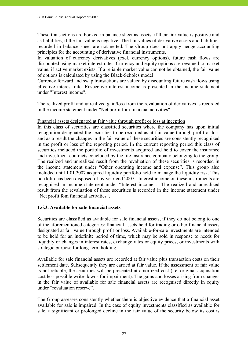These transactions are booked in balance sheet as assets, if their fair value is positive and as liabilities, if the fair value is negative. The fair values of derivative assets and liabilities recorded in balance sheet are not netted. The Group does not apply hedge accounting principles for the accounting of derivative financial instruments.

In valuation of currency derivatives (excl. currency options), future cash flows are discounted using market interest rates. Currency and equity options are revalued to market value, if active market exists. If a reliable market value can not be obtained, the fair value of options is calculated by using the Black-Scholes model.

Currency forward and swap transactions are valued by discounting future cash flows using effective interest rate. Respective interest income is presented in the income statement under "Interest income".

The realized profit and unrealized gain/loss from the revaluation of derivatives is recorded in the income statement under "Net profit fom financial activities".

#### Financial assets designated at fair value through profit or loss at inception

In this class of securities are classified securities where the company has upon initial recognition designated the securities to be recorded as at fair value through profit or loss and as a result the changes in the fair value of these securities are consistently recognized in the profit or loss of the reporting period. In the current reporting period this class of securities included the portfolio of investments acquired and held to cover the insurance and investment contracts concluded by the life insurance company belonging to the group. The realized and unrealized result from the revaluation of these securities is recorded in the income statement under "Other operating income and expense". This group also included until 1.01.2007 acquired liquidity portfolio held to manage the liquidity risk. This portfolio has been disposed of by year end 2007. Interest income on these instruments are recognised in income statement under "Interest income". The realized and unrealized result from the revaluation of these securities is recorded in the income statement under "Net profit fom financial activities".

#### **1.6.3. Available for sale financial assets**

Securities are classified as available for sale financial assets, if they do not belong to one of the aforementioned categories: financial assets held for trading or other financial assets designated at fair value through profit or loss. Available-for-sale investments are intended to be held for an indefinite period of time, which may be sold in response to needs for liquidity or changes in interest rates, exchange rates or equity prices; or investments with strategic purpose for long-term holding.

Available for sale financial assets are recorded at fair value plus transaction costs on their settlement date. Subsequently they are carried at fair value. If the assessment of fair value is not reliable, the securities will be presented at amortized cost (i.e. original acquisition cost less possible write-downs for impairment). The gains and losses arising from changes in the fair value of available for sale financial assets are recognised directly in equity under "revaluation reserve".

The Group assesses consistently whether there is objective evidence that a financial asset available for sale is impaired. In the case of equity investments classified as available for sale, a significant or prolonged decline in the fair value of the security below its cost is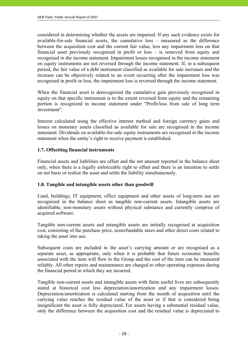considered in determining whether the assets are impaired. If any such evidence exists for available-for-sale financial assets, the cumulative loss – measured as the difference between the acquisition cost and the current fair value, less any impairment loss on that financial asset previously recognised in profit or loss – is removed from equity and recognised in the income statement. Impairment losses recognised in the income statement on equity instruments are not reversed through the income statement. If, in a subsequent period, the fair value of a debt instrument classified as available for sale increases and the increase can be objectively related to an event occurring after the impairment loss was recognised in profit or loss, the impairment loss is reversed through the income statement.

When the financial asset is derecognized the cumulative gain previously recognized in equity on that specific instrument is to the extent reversed from equity and the remaining portion is recognized in income statement under "Profit/loss from sale of long term investment".

Interest calculated using the effective interest method and foreign currency gains and losses on monetary assets classified as available for sale are recognised in the income statement. Dividends on available-for-sale equity instruments are recognised in the income statement when the entity's right to receive payment is established.

# **1.7. Offsetting financial instruments**

Financial assets and liabilities are offset and the net amount reported in the balance sheet only, when there is a legally enforceable right to offset and there is an intention to settle on net basis or realize the asset and settle the liability simultaneously.

#### **1.8. Tangible and intangible assets other than goodwill**

Land, buildings, IT equipment, office equipment and other assets of long-term use are recognized in the balance sheet as tangible non-current assets. Intangible assets are identifiable, non-monetary assets without physical substance and currently comprise of acquired software.

Tangible non-current assets and intangible assets are initially recognised at acquisition cost, consisting of the purchase price, nonrefundable taxes and other direct costs related to taking the asset into use.

Subsequent costs are included in the asset's carrying amount or are recognised as a separate asset, as appropriate, only when it is probable that future economic benefits associated with the item will flow to the Group and the cost of the item can be measured reliably. All other repairs and maintenance are charged to other operating expenses during the financial period in which they are incurred.

Tangible non-current assets and intangible assets with finite useful lives are subsequently stated at historical cost less depreciation/amortization and any impairment losses. Depreciation/amortization is calculated starting from the month of acquisition until the carrying value reaches the residual value of the asset or if that is considered being insignificant the asset is fully depreciated. For assets having a substantial residual value, only the difference between the acquisition cost and the residual value is depreciated to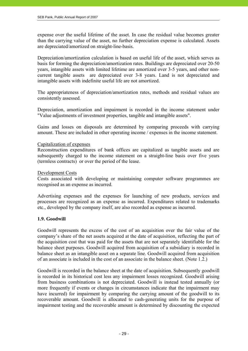expense over the useful lifetime of the asset. In case the residual value becomes greater than the carrying value of the asset, no further depreciation expense is calculated. Assets are depreciated/amortized on straight-line-basis.

Depreciation/amortization calculation is based on useful life of the asset, which serves as basis for forming the depreciation/amortization rates. Buildings are depreciated over 20-50 years, intangible assets with limited lifetime are amortized over 3-5 years, and other noncurrent tangible assets are depreciated over 3-8 years. Land is not depreciated and intangible assets with indefinite useful life are not amortized.

The appropriateness of depreciation/amortization rates, methods and residual values are consistently assessed.

Depreciation, amortization and impairment is recorded in the income statement under "Value adjustments of investment properties, tangible and intangible assets".

Gains and losses on disposals are determined by comparing proceeds with carrying amount. These are included in other operating income / expenses in the income statement.

#### Capitalization of expenses

Reconstruction expenditures of bank offices are capitalized as tangible assets and are subsequently charged to the income statement on a straight-line basis over five years (termless contracts) or over the period of the lease.

#### Development Costs

Costs associated with developing or maintaining computer software programmes are recognised as an expense as incurred.

Advertising expenses and the expenses for launching of new products, services and processes are recognized as an expense as incurred. Expenditures related to trademarks etc., developed by the company itself, are also recorded as expense as incurred.

#### **1.9. Goodwill**

Goodwill represents the excess of the cost of an acquisition over the fair value of the company's share of the net assets acquired at the date of acquisition, reflecting the part of the acquisition cost that was paid for the assets that are not separately identifiable for the balance sheet purposes. Goodwill acquired from acquisition of a subsidiary is recorded in balance sheet as an intangible asset on a separate line. Goodwill acquired from acquisition of an associate is included in the cost of an associate in the balance sheet. (Note 1.2.)

Goodwill is recorded in the balance sheet at the date of acquisition. Subsequently goodwill is recorded in its historical cost less any impairment losses recognized. Goodwill arising from business combinations is not depreciated. Goodwill is instead tested annually (or more frequently if events or changes in circumstances indicate that the impairment may have incurred) for impairment by comparing the carrying amount of the goodwill to its recoverable amount. Goodwill is allocated to cash-generating units for the purpose of impairment testing and the recoverable amount is determined by discounting the expected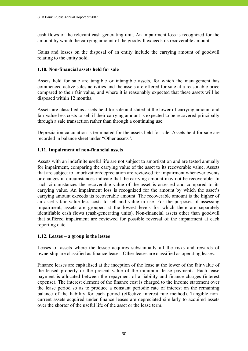cash flows of the relevant cash generating unit. An impairment loss is recognized for the amount by which the carrying amount of the goodwill exceeds its recoverable amount.

Gains and losses on the disposal of an entity include the carrying amount of goodwill relating to the entity sold.

#### **1.10. Non-financial assets held for sale**

Assets held for sale are tangible or intangible assets, for which the management has commenced active sales activities and the assets are offered for sale at a reasonable price compared to their fair value, and where it is reasonably expected that these assets will be disposed within 12 months.

Assets are classified as assets held for sale and stated at the lower of carrying amount and fair value less costs to sell if their carrying amount is expected to be recovered principally through a sale transaction rather than through a continuing use.

Depreciation calculation is terminated for the assets held for sale. Assets held for sale are recorded in balance sheet under "Other assets".

#### **1.11. Impairment of non-financial assets**

Assets with an indefinite useful life are not subject to amortization and are tested annually for impairment, comparing the carrying value of the asset to its recoverable value. Assets that are subject to amortization/depreciation are reviewed for impairment whenever events or changes in circumstances indicate that the carrying amount may not be recoverable. In such circumstances the recoverable value of the asset is assessed and compared to its carrying value. An impairment loss is recognized for the amount by which the asset's carrying amount exceeds its recoverable amount. The recoverable amount is the higher of an asset's fair value less costs to sell and value in use. For the purposes of assessing impairment, assets are grouped at the lowest levels for which there are separately identifiable cash flows (cash-generating units). Non-financial assets other than goodwill that suffered impairment are reviewed for possible reversal of the impairment at each reporting date.

#### **1.12. Leases – a group is the lessee**

Leases of assets where the lessee acquires substantially all the risks and rewards of ownership are classified as finance leases. Other leases are classified as operating leases.

Finance leases are capitalised at the inception of the lease at the lower of the fair value of the leased property or the present value of the minimum lease payments. Each lease payment is allocated between the repayment of a liability and finance charges (interest expense). The interest element of the finance cost is charged to the income statement over the lease period so as to produce a constant periodic rate of interest on the remaining balance of the liability for each period (effective interest rate method). Tangible noncurrent assets acquired under finance leases are depreciated similarly to acquired assets over the shorter of the useful life of the asset or the lease term.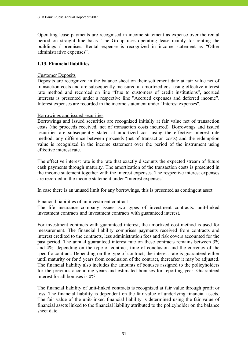Operating lease payments are recognised in income statement as expense over the rental period on straight line basis. The Group uses operating lease mainly for renting the buildings / premises. Rental expense is recognized in income statement as "Other administrative expenses".

#### **1.13. Financial liabilities**

#### Customer Deposits

Deposits are recognized in the balance sheet on their settlement date at fair value net of transaction costs and are subsequently measured at amortized cost using effective interest rate method and recorded on line "Due to customers of credit institutions", accrued interests is presented under a respective line "Accrued expenses and deferred income". Interest expenses are recorded in the income statement under "Interest expenses".

#### Borrowings and issued securities

Borrowings and issued securities are recognized initially at fair value net of transaction costs (the proceeds received, net of transaction costs incurred). Borrowings and issued securities are subsequently stated at amortized cost using the effective interest rate method; any difference between proceeds (net of transaction costs) and the redemption value is recognized in the income statement over the period of the instrument using effective interest rate.

The effective interest rate is the rate that exactly discounts the expected stream of future cash payments through maturity. The amortization of the transaction costs is presented in the income statement together with the interest expenses. The respective interest expenses are recorded in the income statement under "Interest expenses".

In case there is an unused limit for any borrowings, this is presented as contingent asset.

#### Financial liabilities of an investment contract

The life insurance company issues two types of investment contracts: unit-linked investment contracts and investment contracts with guaranteed interest.

For investment contracts with guaranteed interest, the amortized cost method is used for measurement. The financial liability comprises payments received from contracts and interest credited to the contracts, less administration fees and risk covers accounted for the past period. The annual guaranteed interest rate on these contracts remains between 3% and 4%, depending on the type of contract, time of conclusion and the currency of the specific contract. Depending on the type of contract, the interest rate is guaranteed either until maturity or for 5 years from conclusion of the contract, thereafter it may be adjusted. The financial liability also includes the amounts of bonuses assigned to the policyholders for the previous accounting years and estimated bonuses for reporting year. Guaranteed interest for all bonuses is 0%.

The financial liability of unit-linked contracts is recognized at fair value through profit or loss. The financial liability is dependent on the fair value of underlying financial assets. The fair value of the unit-linked financial liability is determined using the fair value of financial assets linked to the financial liability attributed to the policyholder on the balance sheet date.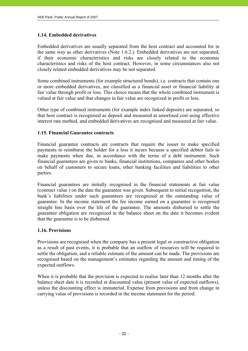### **1.14. Embedded derivatives**

Embedded derivatives are usually separated from the host contract and accounted for in the same way as other derivatives (Note 1.6.2.). Embedded derivatives are not separated, if their economic characteristics and risks are closely related to the economic characteristics and risks of the host contract. However, in some circumstances also not closely related embedded derivatives may be not separated.

Some combined instruments (for example structured bonds), i.e. contracts that contain one or more embedded derivatives, are classified as a financial asset or financial liability at fair value through profit or loss. This choice means that the whole combined instrument is valued at fair value and that changes in fair value are recognized in profit or loss.

Other type of combined instruments (for example index linked deposits) are separated, so that host contract is recognised as deposit and measured at amortised cost using effective interest rate method, and embedded derivatives are recognised and measured at fair value.

#### **1.15. Financial Guarantee contracts**

Financial guarantee contracts are contracts that require the issuer to make specified payments to reimburse the holder for a loss it incurs because a specified debtor fails to make payments when due, in accordance with the terms of a debt instrument. Such financial guarantees are given to banks, financial institutions, companies and other bodies on behalf of customers to secure loans, other banking facilities and liabilities to other parties.

Financial guarantees are initially recognised in the financial statements at fair value (contract value ) on the date the guarantee was given. Subsequent to initial recognition, the bank's liabilities under such guarantees are recognized at the outstanding value of guarantee. In the income statement the fee income earned on a guarantee is recognised straight line basis over the life of the guarantee. The amounts disbursed to settle the guarantee obligation are recognized in the balance sheet on the date it becomes evident that the guarantee is to be disbursed.

#### **1.16. Provisions**

Provisions are recognised when the company has a present legal or constructive obligation as a result of past events, it is probable that an outflow of resources will be required to settle the obligation, and a reliable estimate of the amount can be made. The provisions are recognised based on the management's estimates regarding the amount and timing of the expected outflows.

When it is probable that the provision is expected to realise later than 12 months after the balance sheet date it is recorded at discounted value (present value of expected outflows), unless the discounting effect is immaterial. Expense from provisions and from change in carrying value of provisions is recorded in the income statement for the period.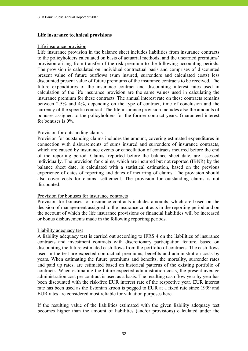#### **Life insurance technical provisions**

#### Life insurance provision

Life insurance provision in the balance sheet includes liabilities from insurance contracts to the policyholders calculated on basis of actuarial methods, and the unearned premiums' provision arising from transfer of the risk premium to the following accounting periods. The provision is calculated on individual contractual basis and comprises of discounted present value of future outflows (sum insured, surrenders and calculated costs) less discounted present value of future premiums of the insurance contracts to be received. The future expenditures of the insurance contract and discounting interest rates used in calculation of the life insurance provision are the same values used in calculating the insurance premium for these contracts. The annual interest rate on these contracts remains between 2.5% and 4%, depending on the type of contract, time of conclusion and the currency of the specific contract. The life insurance provision includes also the amounts of bonuses assigned to the policyholders for the former contract years. Guaranteed interest for bonuses is 0%.

#### Provision for outstanding claims

Provision for outstanding claims includes the amount, covering estimated expenditures in connection with disbursements of sums insured and surrenders of insurance contracts, which are caused by insurance events or cancellation of contracts incurred before the end of the reporting period. Claims, reported before the balance sheet date, are assessed individually. The provision for claims, which are incurred but not reported (IBNR) by the balance sheet date, is calculated with a statistical estimation, based on the previous experience of dates of reporting and dates of incurring of claims. The provision should also cover costs for claims' settlement. The provision for outstanding claims is not discounted.

#### Provision for bonuses for insurance contracts

Provision for bonuses for insurance contracts includes amounts, which are based on the decision of management assigned to the insurance contracts in the reporting period and on the account of which the life insurance provisions or financial liabilities will be increased or bonus disbursements made in the following reporting periods.

#### Liability adequacy test

A liability adequacy test is carried out according to IFRS 4 on the liabilities of insurance contracts and investment contracts with discretionary participation feature, based on discounting the future estimated cash flows from the portfolio of contracts. The cash flows used in the test are expected contractual premiums, benefits and administration costs by years. When estimating the future premiums and benefits, the mortality, surrender rates and paid up rates, are estimated based on historical patterns of the existing portfolio of contracts. When estimating the future expected administration costs, the present average administration cost per contract is used as a basis. The resulting cash flow year by year has been discounted with the risk-free EUR interest rate of the respective year. EUR interest rate has been used as the Estonian kroon is pegged to EUR at a fixed rate since 1999 and EUR rates are considered most reliable for valuation purposes here.

If the resulting value of the liabilities estimated with the given liability adequacy test becomes higher than the amount of liabilities (and/or provisions) calculated under the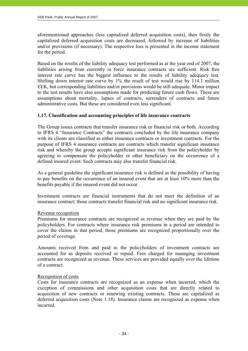aforementioned approaches (less capitalized deferred acquisition costs), then firstly the capitalized deferred acquisition costs are decreased, followed by increase of liabilities and/or provisions (if necessary). The respective loss is presented in the income statement for the period.

Based on the results of the liability adequacy test performed as at the year end of 2007, the liabilities arising from currently in force insurance contracts are sufficient. Risk free interest rate curve has the biggest influence to the results of liability adequacy test. Shifting down interest rate curve by 1% the result of test would rise by 114.1 million EEK, but corresponding liabilities and/or provisions would be still adequate. Minor impact to the test results have also assumptions made for predicting future cash flows. These are assumptions about mortality, lapses of contracts, surrenders of contracts and future administrative costs. But these are considered even less significant.

#### **1.17. Classification and accounting principles of life insurance contracts**

The Group issues contracts that transfer insurance risk or financial risk or both. According to IFRS 4 "Insurance Contracts" the contracts concluded by the life insurance company with its clients are classified as either insurance contracts or investment contracts. For the purpose of IFRS 4 insurance contracts are contracts which transfer significant insurance risk and whereby the group accepts significant insurance risk from the policyholder by agreeing to compensate the policyholder or other beneficiary on the occurrence of a defined insured event. Such contracts may also transfer financial risk.

As a general guideline the significant insurance risk is defined as the possibility of having to pay benefits on the occurrence of an insured event that are at least 10% more than the benefits payable if the insured event did not occur.

Investment contracts are financial instruments that do not meet the definition of an insurance contract; those contracts transfer financial risk and no significant insurance risk.

#### Revenue recognition

Premiums for insurance contracts are recognized as revenue when they are paid by the policyholders. For contracts where insurance risk premiums in a period are intended to cover the claims in that period, those premiums are recognized proportionally over the period of coverage.

Amounts received from and paid to the policyholders of investment contracts are accounted for as deposits received or repaid. Fees charged for managing investment contracts are recognized as revenue. These services are provided equally over the lifetime of a contract.

#### Recognition of costs

Costs for insurance contracts are recognized as an expense when incurred, which the exception of commissions and other acquisition costs that are directly related to acquisition of new contracts or renewing existing contracts. These are capitalized as deferred acquisition costs (Note 1.18). Insurance claims are recognized as expense when incurred.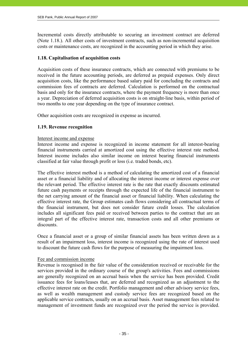Incremental costs directly attributable to securing an investment contract are deferred (Note 1.18.). All other costs of investment contracts, such as non-incremental acquisition costs or maintenance costs, are recognized in the accounting period in which they arise.

#### **1.18. Capitalisation of acquisition costs**

Acquisition costs of these insurance contracts, which are connected with premiums to be received in the future accounting periods, are deferred as prepaid expenses. Only direct acquisition costs, like the performance based salary paid for concluding the contracts and commission fees of contracts are deferred. Calculation is performed on the contractual basis and only for the insurance contracts, where the payment frequency is more than once a year. Depreciation of deferred acquisition costs is on straight-line basis, within period of two months to one year depending on the type of insurance contract.

Other acquisition costs are recognized in expense as incurred.

#### **1.19. Revenue recognition**

#### Interest income and expense

Interest income and expense is recognized in income statement for all interest-bearing financial instruments carried at amortized cost using the effective interest rate method. Interest income includes also similar income on interest bearing financial instruments classified at fair value through profit or loss (i.e. traded bonds, etc).

The effective interest method is a method of calculating the amortized cost of a financial asset or a financial liability and of allocating the interest income or interest expense over the relevant period. The effective interest rate is the rate that exactly discounts estimated future cash payments or receipts through the expected life of the financial instrument to the net carrying amount of the financial asset or financial liability. When calculating the effective interest rate, the Group estimates cash flows considering all contractual terms of the financial instrument, but does not consider future credit losses. The calculation includes all significant fees paid or received between parties to the contract that are an integral part of the effective interest rate, transaction costs and all other premiums or discounts.

Once a financial asset or a group of similar financial assets has been written down as a result of an impairment loss, interest income is recognized using the rate of interest used to discount the future cash flows for the purpose of measuring the impairment loss.

#### Fee and commission income

Revenue is recognised in the fair value of the consideration received or receivable for the services provided in the ordinary course of the group's activities. Fees and commissions are generally recognized on an accrual basis when the service has been provided. Credit issuance fees for loans/leases that, are deferred and recognized as an adjustment to the effective interest rate on the credit. Portfolio management and other advisory service fees, as well as wealth management and custody service fees are recognized based on the applicable service contracts, usually on an accrual basis. Asset management fees related to management of investment funds are recognized over the period the service is provided.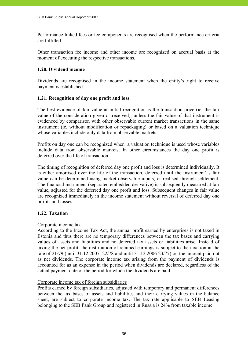Performance linked fees or fee components are recognised when the performance criteria are fulfilled.

Other transaction fee income and other income are recognized on accrual basis at the moment of executing the respective transactions.

#### **1.20. Dividend income**

Dividends are recognised in the income statement when the entity's right to receive payment is established.

### **1.21. Recognition of day one profit and loss**

The best evidence of fair value at initial recognition is the transaction price (ie, the fair value of the consideration given or received), unless the fair value of that instrument is evidenced by comparison with other observable current market transactions in the same instrument (ie, without modification or repackaging) or based on a valuation technique whose variables include only data from observable markets.

Profits on day one can be recognized when a valuation technique is used whose variables include data from observable markets. In other circumstances the day one profit is deferred over the life of transaction.

The timing of recognition of deferred day one profit and loss is determined individually. It is either amortised over the life of the transaction, deferred until the instrument´ s fair value can be determined using market observable inputs, or realised through settlement. The financial instrument (separated embedded derivative) is subsequently measured at fair value, adjusted for the deferred day one profit and loss. Subsequent changes in fair value are recognized immediately in the income statement without reversal of deferred day one profits and losses.

# **1.22. Taxation**

#### Corporate income tax

According to the Income Tax Act, the annual profit earned by enterprises is not taxed in Estonia and thus there are no temporary differences between the tax bases and carrying values of assets and liabilities and no deferred tax assets or liabilities arise. Instead of taxing the net profit, the distribution of retained earnings is subject to the taxation at the rate of 21/79 (until 31.12.2007: 22/78 and until 31.12.2006 23/77) on the amount paid out as net dividends. The corporate income tax arising from the payment of dividends is accounted for as an expense in the period when dividends are declared, regardless of the actual payment date or the period for which the dividends are paid

#### Corporate income tax of foreign subsidiaries

Profits earned by foreign subsidiaries, adjusted with temporary and permanent differences between the tax bases of assets and liabilities and their carrying values in the balance sheet, are subject to corporate income tax. The tax rate applicable to SEB Leasing belonging to the SEB Pank Group and registered in Russia is 24% from taxable income.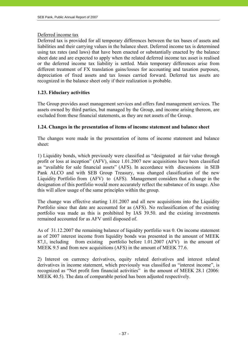#### Deferred income tax

Deferred tax is provided for all temporary differences between the tax bases of assets and liabilities and their carrying values in the balance sheet. Deferred income tax is determined using tax rates (and laws) that have been enacted or substantially enacted by the balance sheet date and are expected to apply when the related deferred income tax asset is realised or the deferred income tax liability is settled. Main temporary differences arise from different treatment of FX translation gains/losses for accounting and taxation purposes, depreciation of fixed assets and tax losses carried forward. Deferred tax assets are recognized in the balance sheet only if their realization is probable.

# **1.23. Fiduciary activities**

The Group provides asset management services and offers fund management services. The assets owned by third parties, but managed by the Group, and income arising thereon, are excluded from these financial statements, as they are not assets of the Group.

### **1.24. Changes in the presentation of items of income statement and balance sheet**

The changes were made in the presentation of items of income statement and balance sheet:

1) Liquidity bonds, which previously were classified as "designated at fair value through profit or loss at inception" (AFV), since 1.01.2007 new acquisitions have been classified as "available for sale financial assets" (AFS). In accordance with discussions in SEB Pank ALCO and with SEB Group Treasury, was changed classification of the new Liquidity Portfolio from (AFV) to (AFS). Management considers that a change in the designation of this portfolio would more accurately reflect the substance of its usage. Also this will allow usage of the same principles within the group.

The change was effective starting 1.01.2007 and all new acquisitions into the Liquidity Portfolio since that date are accounted for as (AFS). No reclassification of the existing portfolio was made as this is prohibited by IAS 39.50. and the existing investments remained accounted for as AFV until disposed of.

As of 31.12.2007 the remaining balance of liquidity portfolio was 0. On income statement as of 2007 interest income from liquidity bonds was presented in the amount of MEEK 87,1, including from existing portfolio before 1.01.2007 (AFV) in the amount of MEEK 9.5 and from new acquisitions (AFS) in the amount of MEEK 77.6.

2) Interest on currency derivatives, equity related derivatives and interest related derivatives in income statement, which previously was classified as "interest income", is recognized as "Net profit fom financial activities" in the amount of MEEK 28.1 (2006: MEEK 40.5). The data of comparable period has been adjusted respectively.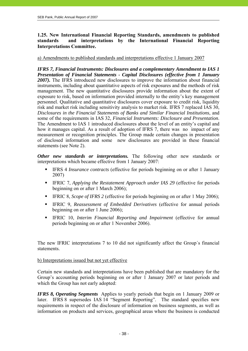# **1.25. New International Financial Reporting Standards, amendments to published standards and interpretations by the International Financial Reporting Interpretations Committee.**

### a) Amendments to published standards and interpretations effective 1 January 2007

*IFRS 7, Financial Instruments: Disclosures and a complementary Amendment to IAS 1 Presentation of Financial Statements - Capital Disclosures (effective from 1 January 2007).* The IFRS introduced new disclosures to improve the information about financial instruments, including about quantitative aspects of risk exposures and the methods of risk management. The new quantitative disclosures provide information about the extent of exposure to risk, based on information provided internally to the entity's key management personnel. Qualitative and quantitative disclosures cover exposure to credit risk, liquidity risk and market risk including sensitivity analysis to market risk. IFRS 7 replaced IAS 30, *Disclosures in the Financial Statements of Banks and Similar Financial Institutions*, and some of the requirements in IAS 32, *Financial Instruments: Disclosure and Presentation*. The Amendment to IAS 1 introduced disclosures about the level of an entity's capital and how it manages capital. As a result of adoption of IFRS 7, there was no impact of any measurement or recognition principles. The Group made certain changes in presentation of disclosed information and some new disclosures are provided in these financial statements (see Note 2).

*Other new standards or interpretations.* The following other new standards or interpretations which became effective from 1 January 2007:

- IFRS 4 *Insurance contracts* (effective for periods beginning on or after 1 January 2007)
- **IFRIC 7, Applying the Restatement Approach under IAS 29 (effective for periods** beginning on or after 1 March 2006);
- IFRIC 8, *Scope of IFRS 2* (effective for periods beginning on or after 1 May 2006);
- IFRIC 9, *Reassessment of Embedded Derivatives* (effective for annual periods beginning on or after 1 June 2006);
- IFRIC 10, *Interim Financial Reporting and Impairment* (effective for annual periods beginning on or after 1 November 2006).

The new IFRIC interpretations 7 to 10 did not significantly affect the Group´s financial statements.

#### b) Interpretations issued but not yet effective

Certain new standards and interpretations have been published that are mandatory for the Group's accounting periods beginning on or after 1 January 2007 or later periods and which the Group has not early adopted:

*IFRS 8, Operating Segments* Applies to yearly periods that begin on 1 January 2009 or later. IFRS 8 supersedes IAS 14 "Segment Reporting". The standard specifies new requirements in respect of the disclosure of information on business segments, as well as information on products and services, geographical areas where the business is conducted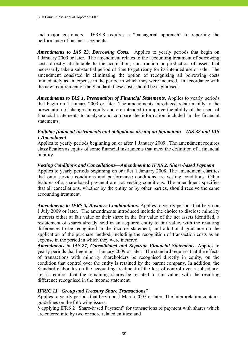and major customers. IFRS 8 requires a "managerial approach" to reporting the performance of business segments.

*Amendments to IAS 23, Borrowing Costs.* Applies to yearly periods that begin on 1 January 2009 or later. The amendment relates to the accounting treatment of borrowing costs directly attributable to the acquisition, construction or production of assets that necessarily take a substantial period of time to get ready for its intended use or sale. The amendment consisted in eliminating the option of recognising all borrowing costs immediately as an expense in the period in which they were incurred. In accordance with the new requirement of the Standard, these costs should be capitalised.

*Amendments to IAS 1, Presentation of Financial Statements*. Applies to yearly periods that begin on 1 January 2009 or later. The amendments introduced relate mainly to the presentation of changes in equity and are intended to improve the ability of the users of financial statements to analyse and compare the information included in the financial statements.

## *Puttable financial instruments and obligations arising on liquidation—IAS 32 and IAS 1 Amendment*

Applies to yearly periods beginning on or after 1 January 2009.. The amendment requires classification as equity of some financial instruments that meet the definition of a financial liability.

#### *Vesting Conditions and Cancellations—Amendment to IFRS 2, Share-based Payment*

Applies to yearly periods beginning on or after 1 January 2008. The amendment clarifies that only service conditions and performance conditions are vesting conditions. Other features of a share-based payment are not vesting conditions. The amendment specifies that all cancellations, whether by the entity or by other parties, should receive the same accounting treatment.

*Amendments to IFRS 3, Business Combinations.* Applies to yearly periods that begin on 1 July 2009 or later. The amendments introduced include the choice to disclose minority interests either at fair value or their share in the fair value of the net assets identified, a restatement of shares already held in an acquired entity to fair value, with the resulting differences to be recognised in the income statement, and additional guidance on the application of the purchase method, including the recognition of transaction costs as an expense in the period in which they were incurred.

*Amendments to IAS 27, Consolidated and Separate Financial Statements.* Applies to yearly periods that begin on 1 January 2009 or later. The standard requires that the effects of transactions with minority shareholders be recognised directly in equity, on the condition that control over the entity is retained by the parent company. In addition, the Standard elaborates on the accounting treatment of the loss of control over a subsidiary, i.e. it requires that the remaining shares be restated to fair value, with the resulting difference recognised in the income statement.

# *IFRIC 11 "Group and Treasury Share Transactions"*

Applies to yearly periods that begin on 1 March 2007 or later. The interpretation contains guidelines on the following issues:

§ applying IFRS 2 "Share-based Payment" for transactions of payment with shares which are entered into by two or more related entities; and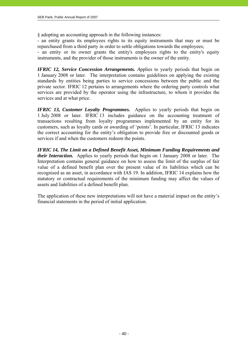§ adopting an accounting approach in the following instances:

- an entity grants its employees rights to its equity instruments that may or must be repurchased from a third party in order to settle obligations towards the employees;

- an entity or its owner grants the entity's employees rights to the entity's equity instruments, and the provider of those instruments is the owner of the entity.

*IFRIC 12, Service Concession Arrangements. Applies to yearly periods that begin on* 1 January 2008 or later. The interpretation contains guidelines on applying the existing standards by entities being parties to service concessions between the public and the private sector. IFRIC 12 pertains to arrangements where the ordering party controls what services are provided by the operator using the infrastructure, to whom it provides the services and at what price.

*IFRIC 13, Customer Loyalty Programmes.* Applies to yearly periods that begin on 1 July 2008 or later. IFRIC 13 includes guidance on the accounting treatment of transactions resulting from loyalty programmes implemented by an entity for its customers, such as loyalty cards or awarding of 'points'. In particular, IFRIC 13 indicates the correct accounting for the entity's obligation to provide free or discounted goods or services if and when the customers redeem the points.

*IFRIC 14, The Limit on a Defined Benefit Asset, Minimum Funding Requirements and their Interaction.* Applies to yearly periods that begin on 1 January 2008 or later. The Interpretation contains general guidance on how to assess the limit of the surplus of fair value of a defined benefit plan over the present value of its liabilities which can be recognised as an asset, in accordance with IAS 19. In addition, IFRIC 14 explains how the statutory or contractual requirements of the minimum funding may affect the values of assets and liabilities of a defined benefit plan.

The application of these new interpretations will not have a material impact on the entity's financial statements in the period of initial application.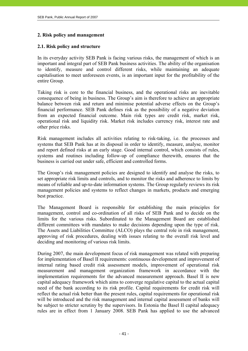### **2. Risk policy and management**

### **2.1. Risk policy and structure**

In its everyday activity SEB Pank is facing various risks, the management of which is an important and integral part of SEB Pank business activities. The ability of the organisation to identify, measure and control different risks, while maintaining an adequate capitalisation to meet unforeseen events, is an important input for the profitability of the entire Group.

Taking risk is core to the financial business, and the operational risks are inevitable consequence of being in business. The Group's aim is therefore to achieve an appropriate balance between risk and return and minimise potential adverse effects on the Group's financial performance. SEB Pank defines risk as the possibility of a negative deviation from an expected financial outcome. Main risk types are credit risk, market risk, operational risk and liquidity risk. Market risk includes currency risk, interest rate and other price risks.

Risk management includes all activities relating to risk-taking, i.e. the processes and systems that SEB Pank has at its disposal in order to identify, measure, analyse, monitor and report defined risks at an early stage. Good internal control, which consists of rules, systems and routines including follow-up of compliance therewith, ensures that the business is carried out under safe, efficient and controlled forms.

The Group's risk management policies are designed to identify and analyse the risks, to set appropriate risk limits and controls, and to monitor the risks and adherence to limits by means of reliable and up-to-date information systems. The Group regularly reviews its risk management policies and systems to reflect changes in markets, products and emerging best practice.

The Management Board is responsible for establishing the main principles for management, control and co-ordination of all risks of SEB Pank and to decide on the limits for the various risks. Subordinated to the Management Board are established different committees with mandates to make decisions depending upon the type of risk. The Assets and Liabilities Committee (ALCO) plays the central role in risk management, approving of risk procedures, dealing with issues relating to the overall risk level and deciding and monitoring of various risk limits.

During 2007, the main development focus of risk management was related with preparing for implementation of Basel II requirements: continuous development and improvement of internal rating based credit risk assessment models, improvement of operational risk measurement and management organization framework in accordance with the implementation requirements for the advanced measurement approach. Basel II is new capital adequacy framework which aims to converge regulative capital to the actual capital need of the bank according to its risk profile. Capital requirements for credit risk will reflect the actual risk better than the present rules, capital requirements for operational risk will be introduced and the risk management and internal capital assessment of banks will be subject to stricter scrutiny by the supervisors. In Estonia the Basel II capital adequacy rules are in effect from 1 January 2008. SEB Pank has applied to use the advanced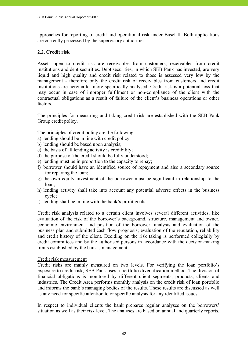approaches for reporting of credit and operational risk under Basel II. Both applications are currently processed by the supervisory authorities.

# **2.2. Credit risk**

Assets open to credit risk are receivables from customers, receivables from credit institutions and debt securities. Debt securities, in which SEB Pank has invested, are very liquid and high quality and credit risk related to those is assessed very low by the management - therefore only the credit risk of receivables from customers and credit institutions are hereinafter more specifically analysed. Credit risk is a potential loss that may occur in case of improper fulfilment or non-compliance of the client with the contractual obligations as a result of failure of the client's business operations or other factors.

The principles for measuring and taking credit risk are established with the SEB Pank Group credit policy.

The principles of credit policy are the following:

- a) lending should be in line with credit policy;
- b) lending should be based upon analysis;
- c) the basis of all lending activity is credibility;
- d) the purpose of the credit should be fully understood;
- e) lending must be in proportion to the capacity to repay;
- f) borrower should have an identified source of repayment and also a secondary source for repaying the loan;
- g) the own equity investment of the borrower must be significant in relationship to the loan;
- h) lending activity shall take into account any potential adverse effects in the business cycle;
- i) lending shall be in line with the bank's profit goals.

Credit risk analysis related to a certain client involves several different activities, like evaluation of the risk of the borrower's background, structure, management and owner, economic environment and position of the borrower, analysis and evaluation of the business plan and submitted cash flow prognosis; evaluation of the reputation, reliability and credit history of the client. Deciding on the risk taking is performed collegially by credit committees and by the authorised persons in accordance with the decision-making limits established by the bank's management.

#### Credit risk measurement

Credit risks are mainly measured on two levels. For verifying the loan portfolio's exposure to credit risk, SEB Pank uses a portfolio diversification method. The division of financial obligations is monitored by different client segments, products, clients and industries*.* The Credit Area performs monthly analysis on the credit risk of loan portfolio and informs the bank's managing bodies of the results. These results are discussed as well as any need for specific attention to or specific analysis for any identified issues.

In respect to individual clients the bank prepares regular analyses on the borrowers' situation as well as their risk level. The analyses are based on annual and quarterly reports,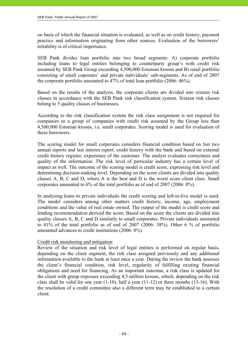on basis of which the financial situation is evaluated, as well as on credit history, payment practice and information originating from other sources. Evaluation of the borrowers' reliability is of critical importance.

SEB Pank divides loan portfolio into two broad segments: A) corporate portfolio including loans to legal entities belonging to counterparty group's with credit risk assumed by SEB Pank Group exceeding 4,500,000 Estonian kroons and B) retail portfolio consisting of small coporates' and private individuals' sub-segments. As of end of 2007 the corporate portfolio amounted to 47% of total loan portfolio (2006: 46%).

Based on the results of the analysis, the corporate clients are divided into sixteen risk classes in accordance with the SEB Pank risk classification system. Sixteen risk classes belong to 5 quality classes of businesses.

According to the risk classification system the risk class assignment is not required for companies or a group of companies with credit risk assumed by the Group less than 4,500,000 Estonian kroons, i.e. small corporates. Scoring model is used for evaluation of these borrowers.

The scoring model for small corporates considers financial condition based on last two annual reports and last interim report, credit history with the bank and based on external credit history register, experience of the customer. The analyst evaluates correctness and quality of the information. The risk level of particular industry has a certain level of impact as well. The outcome of the scoring model is credit score, expressing risk level and determining decision-making level. Depending on the score clients are divided into quality classes A, B, C and D, where A is the best and D is the worst score client class. Small corporates amounted to 6% of the total portfolio as of end of 2007 (2006: 8%).

In analysing loans to private individuals the credit scoring and left-to-live model is used. The model considers among other matters credit history, income, age, employment conditions and the value of real estate owned. The output of the model is credit score and lending recommendation derived the score. Based on the score the clients are divided into quality classes A, B, C and D similarly to small corporates. Private individuals amounted to 41% of the total portfolio as of end of 2007 (2006: 38%). Other 6 % of portfolio amounted advances to credit institutions (2006: 8%).

# Credit risk monitoring and mitigation

Review of the situation and risk level of legal entities is performed on regular basis, depending on the client segment, the risk class assigned previously and any additional information available to the bank at least once a year. During the review the bank assesses the client's financial condition, risk level, regularity of fulfilling existing financial obligations and need for financing. As an important outcome, a risk class is updated for the client with group exposure exceeding 4,5 million kroons, which, depending on the risk class shall be valid for one year (1-10), half a year (11-12) or three months (13-16). With the resolution of a credit committee also a different term may be established to a certain client.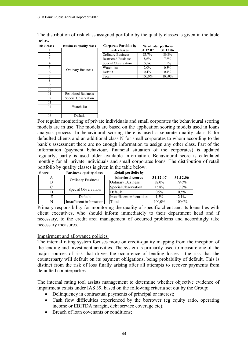The distribution of risk class assigned portfolio by the quality classes is given in the table below. **Corporate Portfolio by** 

| <b>Risk class</b> | <b>Business quality class</b> |
|-------------------|-------------------------------|
|                   |                               |
| 2                 |                               |
| 3                 |                               |
| $\overline{4}$    |                               |
| 5                 |                               |
| 6                 | Ordinary Business             |
|                   |                               |
| 8                 |                               |
| 9                 |                               |
| 10                |                               |
| 11                | <b>Restricted Business</b>    |
| 12                | Special Observation           |
| 13                |                               |
| 14                | Watch-list                    |
| 15                |                               |
| 16                | Default                       |

| lass           | <b>Business quality class</b> | Corporate Portfolio by     | % of rated portfolio |          |
|----------------|-------------------------------|----------------------------|----------------------|----------|
|                |                               | risk classes               | 31.12.07             | 31.12.06 |
| $\overline{c}$ |                               | Ordinary Business          | 83,7%                | 89,8%    |
|                |                               | <b>Restricted Business</b> | 8.6%                 | 7.8%     |
| 4              |                               | Special Observation        | 5.3&                 | 1.5%     |
| 5              | <b>Ordinary Business</b>      | Watch-list                 | $2.0\%$              | 0.5%     |
| 6              |                               | Default                    | $0.4\%$              | 0.4%     |
|                |                               | Total                      | 100,0%               | 100,0%   |
|                |                               |                            |                      |          |

For regular monitoring of private individuals and small corporates the behavioural scoring models are in use. The models are based on the application scoring models used in loans analysis process. In behavioural scoring there is used a separate quality class E for defaulted clients and an additional class N for small corporates to whom according to the bank's assessment there are no enough information to assign any other class. Part of the information (payment behaviour, financial situation of the corporates) is updated regularly, partly is used older available information. Behavioural score is calculated monthly for all private individuals and small corporates loans. The distribution of retail portfolio by quality classes is given in the table below.

| <b>Score</b> | <b>Business quality class</b> | Retail portfolio by      |          |          |
|--------------|-------------------------------|--------------------------|----------|----------|
|              |                               | behavioral scores        | 31.12.07 | 31.12.06 |
|              | Ordinary Business             | <b>Ordinary Business</b> | 82.0%    | 79.6%    |
|              |                               | Special Observation      | 15.8%    | 17,8%    |
|              | Special Observation           | Default                  | $0.9\%$  | $0.5\%$  |
| E            | Default                       | Insufficient information | $1.3\%$  | $2.1\%$  |
| N            | Insufficient information      | Total                    | 100,0%   | 100,0%   |

Primary responsibility for monitoring the quality of specific client and its loans lies with client executives, who should inform immediately to their department head and if necessary, to the credit area management of occurred problems and accordingly take necessary measures.

#### Impairment and allowance policies

The internal rating system focuses more on credit-quality mapping from the inception of the lending and investment activities. The system is primarily used to measure one of the major sources of risk that drives the occurrence of lending losses - the risk that the counterparty will default on its payment obligations, being probability of default. This is distinct from the risk of loss finally arising after all attempts to recover payments from defaulted counterparties.

The internal rating tool assists management to determine whether objective evidence of impairment exists under IAS 39, based on the following criteria set out by the Group:

- Delinquency in contractual payments of principal or interest;
- Cash flow difficulties experienced by the borrower (eg equity ratio, operating income or EBITDA margin, debt service coverage etc);
- Breach of loan covenants or conditions;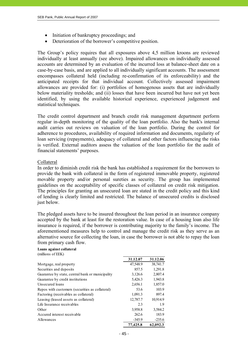- Initiation of bankruptcy proceedings; and
- Deterioration of the borrower's competitive position.

The Group's policy requires that all exposures above 4,5 million kroons are reviewed individually at least annually (see above). Impaired allowances on individually assessed accounts are determined by an evaluation of the incurred loss at balance-sheet date on a case-by-case basis, and are applied to all individually significant accounts. The assessment encompasses collateral held (including re-confirmation of its enforceability) and the anticipated receipts for that individual account. Collectively assessed impairment allowances are provided for: (i) portfolios of homogenous assets that are individually below materiality tresholds; and (ii) losses that have been incurred but have not yet been identified, by using the available historical experience, experienced judgement and statistical techniques.

The credit control department and branch credit risk management department perform regular in-depth monitoring of the quality of the loan portfolio. Also the bank's internal audit carries out reviews on valuation of the loan portfolio. During the control for adherence to procedures, availability of required information and documents, regularity of loan servicing (repayments), adequacy of collateral and other factors influencing the risks is verified. External auditors assess the valuation of the loan portfolio for the audit of financial statements' purposes.

#### Collateral

In order to diminish credit risk the bank has established a requirement for the borrowers to provide the bank with collateral in the form of registered immovable property, registered movable property and/or personal sureties as security. The group has implemented guidelines on the acceptability of specific classes of collateral on credit risk mitigation. The principles for granting an unsecured loan are stated in the credit policy and this kind of lending is clearly limited and restricted. The balance of unsecured credits is disclosed just below.

The pledged assets have to be insured throughout the loan period in an insurance company accepted by the bank at least for the restoration value. In case of a housing loan also life insurance is required, if the borrower is contributing majority to the family's income. The aforementioned measures help to control and manage the credit risk as they serve as an alternative source for collecting the loan, in case the borrower is not able to repay the loan from primary cash flow.

#### **Loans against collateral** (millions of EEK)

|                                                  | 31.12.07 | 31.12.06 |
|--------------------------------------------------|----------|----------|
| Mortgage, real property                          | 47,548.9 | 38,741.7 |
| Securities and deposits                          | 857.5    | 1,291.8  |
| Guarantee by state, central bank or municipality | 3,126.6  | 2,807.4  |
| Guarantee by credit institutions                 | 5,426.3  | 1,943.8  |
| Unsecured loans                                  | 2,656.1  | 1,857.0  |
| Repos with customers (securities as collateral)  | 53.6     | 103.9    |
| Factoring (receivables as collateral)            | 1,091.3  | 897.4    |
| Leasing (leased assets as collateral)            | 12,787.7 | 10,914.9 |
| Life Insurance receivables                       | 2.3      | 1.9      |
| Other                                            | 3,958.8  | 3,584.2  |
| Accured interest receivable                      | 262.6    | 183.9    |
| Allowances                                       | $-345.9$ | $-235.6$ |
|                                                  | 77,425.8 | 62.092.3 |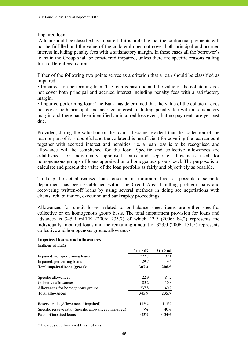#### Impaired loan

 A loan should be classified as impaired if it is probable that the contractual payments will not be fulfilled and the value of the collateral does not cover both principal and accrued interest including penalty fees with a satisfactory margin. In these cases all the borrower's loans in the Group shall be considered impaired, unless there are specific reasons calling for a different evaluation.

Either of the following two points serves as a criterion that a loan should be classified as impaired:

• Impaired non-performing loan: The loan is past due and the value of the collateral does not cover both principal and accrued interest including penalty fees with a satisfactory margin.

• Impaired performing loan: The Bank has determined that the value of the collateral does not cover both principal and accrued interest including penalty fee with a satisfactory margin and there has been identified an incurred loss event, but no payments are yet past due.

Provided, during the valuation of the loan it becomes evident that the collection of the loan or part of it is doubtful and the collateral is insufficient for covering the loan amount together with accrued interest and penalties, i.e. a loan loss is to be recognised and allowance will be established for the loan. Specific and collective allowances are established for individually appraised loans and separate allowances used for homogeneous groups of loans appraised on a homogenous group level. The purpose is to calculate and present the value of the loan portfolio as fairly and objectively as possible.

To keep the actual realised loan losses at as minimum level as possible a separate department has been established within the Credit Area, handling problem loans and recovering written-off loans by using several methods in doing so: negotiations with clients, rehabilitation, execution and bankruptcy proceedings.

Allowances for credit losses related to on-balance sheet items are either specific, collective or on homogenous group basis. The total impairment provision for loans and advances is 345,9 mEEK (2006: 235,7) of which 22,9 (2006: 84,2) represents the individually impaired loans and the remaining amount of 323,0 (2006: 151,5) represents collective and homogenous groups allowances.

#### **Impaired loans and allowances**

(millions of EEK) **31.12.07 31.12.06** Impaired, non-performing loans 277.7 199.1 Impaired, performing loans 29.7 9.4 Total impaired loans (gross)\* 307.4 208.5 Specific allowances 22.9 84.2 Collective allowances 85.2 10.8 Allowances for homogenous groups 237.8 140.7 **Total allowances 345.9 235.7** Reserve ratio (Allowances / Impaired) 113% 113% 113% Specific reserve ratio (Specific allowances / Impaired)  $7\%$  40% Ratio of impaired loans 0.43% 0.34%

\* Includes due from credit institutions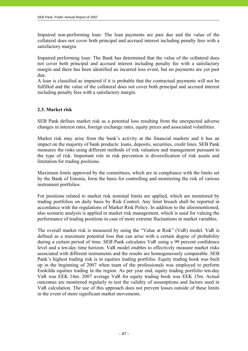Impaired non-performing loan: The loan payments are past due and the value of the collateral does not cover both principal and accrued interest including penalty fees with a satisfactory margin.

Impaired performing loan: The Bank has determined that the value of the collateral does not cover both principal and accrued interest including penalty fee with a satisfactory margin and there has been identified an incurred loss event, but no payments are yet past due.

A loan is classified as impaired if it is probable that the contractual payments will not be fulfilled and the value of the collateral does not cover both principal and accrued interest including penalty fees with a satisfactory margin.

### **2.3. Market risk**

SEB Pank defines market risk as a potential loss resulting from the unexpected adverse changes in interest rates, foreign exchange rates, equity prices and associated volatilities.

Market risk may arise from the bank's activity at the financial markets and it has an impact on the majority of bank products: loans, deposits, securities, credit lines. SEB Pank measures the risks using different methods of risk valuation and management pursuant to the type of risk. Important role in risk prevention is diversification of risk assets and limitation for trading positions.

Maximum limits approved by the committees, which are in compliance with the limits set by the Bank of Estonia, form the basis for controlling and monitoring the risk of various instrument portfolios.

For positions related to market risk nominal limits are applied, which are monitored by trading portfolios on daily basis by Risk Control. Any limit breach shall be reported in accordance with the regulations of Market Risk Policy. In addition to the aforementioned, also scenario analysis is applied in market risk management, which is used for valuing the performance of trading positions in case of more extreme fluctuations in market variables.

The overall market risk is measured by using the "Value at Risk" (VaR) model. VaR is defined as a maximum potential loss that can arise with a certain degree of probability during a certain period of time. SEB Pank calculates VaR using a 99 percent confidence level and a ten-day time horizon. VaR model enables to effectively measure market risks associated with different instruments and the results are homogeneously comparable. SEB Pank's highest trading risk is in equities trading portfolio. Equity trading book was built up in the beginning of 2007 when team of the professionals was employed to perform Enskilda equities trading in the region. As per year end, equity trading portfolio ten-day VaR was EEK 14m. 2007 average VaR for equity trading book was EEK 15m. Actual outcomes are monitored regularly to test the validity of assumptions and factors used in VaR calculation. The use of this approach does not prevent losses outside of these limits in the event of more significant market movements.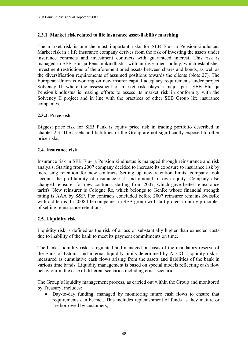#### **2.3.1. Market risk related to life insurance asset-liability matching**

The market risk is one the most important risks for SEB Elu- ja Pensionikindlustus. Market risk in a life insurance company derives from the risk of investing the assets under insurance contracts and investment contracts with guaranteed interest. This risk is managed in SEB Elu- ja Pensionikindlustus with an investment policy, which establishes investment restrictions of the aforementioned assets between shares and bonds, as well as the diversification requirements of assumed positions towards the clients (Note 27). The European Union is working on new insurer capital adequacy requirements under project Solvency II, where the assessment of market risk plays a major part. SEB Elu- ja Pensionikindlustus is making efforts to assess its market risk in conformity with the Solvency II project and in line with the practices of other SEB Group life insurance companies.

# **2.3.2. Price risk**

Biggest price risk for SEB Pank is equity price risk in trading portfolio described in chapter 2.3. The assets and liabilities of the Group are not significantly exposed to other price risks.

### **2.4. Insurance risk**

Insurance risk in SEB Elu- ja Pensionikindlustus is managed through reinsurance and risk analysis. Starting from 2007 company decided to increase its exposure to insurance risk by increasing retention for new contracts. Setting up new retention limits, company took account the profitability of insurance risk and amount of own equity. Company also changed reinsurer for new contracts starting from 2007, which gave better reinsurance tariffs. New reinsurer is Cologne Re, which belongs to GenRe whose financial strength rating is AAA by S&P. For contracts concluded before 2007 reinsurer remains SwissRe with old terms. In 2008 life companies in SEB group will start project to unify principles of setting reinsurance retentions.

# **2.5. Liquidity risk**

Liquidity risk is defined as the risk of a loss or substantially higher than expected costs due to inability of the bank to meet its payment commitments on time.

The bank's liquidity risk is regulated and managed on basis of the mandatory reserve of the Bank of Estonia and internal liquidity limits determined by ALCO. Liquidity risk is measured as cumulative cash flows arising from the assets and liabilities of the bank in various time bands. Liquidity management is based on special models reflecting cash flow behaviour in the case of different scenarios including crisis scenario.

The Group's liquidity management process, as carried out within the Group and monitored by Treasury, includes:

• Day-to-day funding, managed by monitoring future cash flows to ensure that requirements can be met. This includes replenishment of funds as they mature or are borrowed by customers;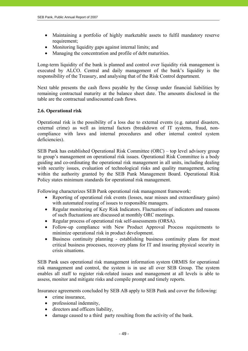- Maintaining a portfolio of highly marketable assets to fulfil mandatory reserve requirement:
- Monitoring liquidity gaps against internal limits; and
- Managing the concentration and profile of debt maturities.

Long-term liquidity of the bank is planned and control over liquidity risk management is executed by ALCO. Central and daily management of the bank's liquidity is the responsibility of the Treasury, and analysing that of the Risk Control department.

Next table presents the cash flows payable by the Group under financial liabilities by remaining contractual maturity at the balance sheet date. The amounts disclosed in the table are the contractual undiscounted cash flows.

# **2.6. Operational risk**

Operational risk is the possibility of a loss due to external events (e.g. natural disasters, external crime) as well as internal factors (breakdown of IT systems, fraud, noncompliance with laws and internal procedures and other internal control system deficiencies).

SEB Pank has established Operational Risk Committee (ORC) – top level advisory group to group's management on operational risk issues. Operational Risk Committee is a body guiding and co-ordinating the operational risk management in all units, including dealing with security issues, evaluation of technological risks and quality management, acting within the authority granted by the SEB Pank Management Board. Operational Risk Policy states minimum standards for operational risk management.

Following characterizes SEB Pank operational risk management framework:

- Reporting of operational risk events (losses, near misses and extraordinary gains) with automated routing of issues to responsible managers.
- Regular monitoring of Key Risk Indicators. Fluctuations of indicators and reasons of such fluctuations are discussed at monthly ORC meetings.
- Regular process of operational risk self-assessments (ORSA).
- Follow-up compliance with New Product Approval Process requirements to minimize operational risk in product development.
- Business continuity planning establishing business continuity plans for most critical business processes, recovery plans for IT and insuring physical security in crisis situations.

SEB Pank uses operational risk management information system ORMIS for operational risk management and control, the system is in use all over SEB Group. The system enables all staff to register risk-related issues and management at all levels is able to assess, monitor and mitigate risks and compile prompt and timely reports.

Insurance agreements concluded by SEB AB apply to SEB Pank and cover the following:

- crime insurance,
- professional indemnity,
- directors and officers liability.
- damage caused to a third party resulting from the activity of the bank.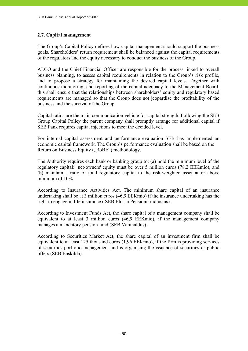# **2.7. Capital management**

The Group's Capital Policy defines how capital management should support the business goals. Shareholders' return requirement shall be balanced against the capital requirements of the regulators and the equity necessary to conduct the business of the Group.

ALCO and the Chief Financial Officer are responsible for the process linked to overall business planning, to assess capital requirements in relation to the Group's risk profile, and to propose a strategy for maintaining the desired capital levels. Together with continuous monitoring, and reporting of the capital adequacy to the Management Board, this shall ensure that the relationships between shareholders' equity and regulatory based requirements are managed so that the Group does not jeopardise the profitability of the business and the survival of the Group.

Capital ratios are the main communication vehicle for capital strength. Following the SEB Group Capital Policy the parent company shall promptly arrange for additional capital if SEB Pank requires capital injections to meet the decided level.

For internal capital assessment and performance evaluation SEB has implemented an economic capital framework. The Group's performance evaluation shall be based on the Return on Business Equity ("RoBE") methodology.

The Authority requires each bank or banking group to: (a) hold the minimum level of the regulatory capital: net-owners' equity must be over 5 million euros (78,2 EEKmio), and (b) maintain a ratio of total regulatory capital to the risk-weighted asset at or above minimum of 10%.

According to Insurance Activities Act, The minimum share capital of an insurance undertaking shall be at 3 million euros (46,9 EEKmio) if the insurance undertaking has the right to engage in life insurance ( SEB Elu- ja Pensionikindlustus).

According to Investment Funds Act, the share capital of a management company shall be equivalent to at least 3 million euros (46,9 EEKmio), if the management company manages a mandatory pension fund (SEB Varahaldus).

According to Securities Market Act, the share capital of an investment firm shall be equivalent to at least 125 thousand euros (1,96 EEKmio), if the firm is providing services of securities portfolio management and is organising the issuance of securities or public offers (SEB Enskilda).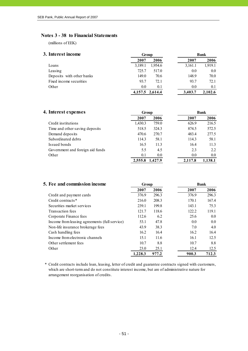#### Notes 3 - 38 to Financial Statements

(millions of EEK)

| 3. Interest income        |         | Group           |         | Bank    |  |  |
|---------------------------|---------|-----------------|---------|---------|--|--|
|                           | 2007    | 2006            | 2007    | 2006    |  |  |
| Loans                     | 3,189.1 | 1,954.6         | 3,161.1 | 1,919.1 |  |  |
| Leasing                   | 725.7   | 517.0           | 0.0     | 0.0     |  |  |
| Deposits with other banks | 149.0   | 70.6            | 148.9   | 70.0    |  |  |
| Fixed income securities   | 93.7    | 72.1            | 93.7    | 72.1    |  |  |
| Other                     | 0.0     | 0.1             | 0.0     | 0.1     |  |  |
|                           |         | 4,157.5 2,614.4 | 3.403.7 | 2.102.6 |  |  |

| 4. Interest expenses             |         | Group   |         | <b>Bank</b> |  |  |
|----------------------------------|---------|---------|---------|-------------|--|--|
|                                  | 2007    | 2006    | 2007    | 2006        |  |  |
| Credit institutions              | 1,430.3 | 759.0   | 626.9   | 216.5       |  |  |
| Time and other saving deposits   | 518.5   | 324.3   | 874.5   | 572.5       |  |  |
| Demand deposits                  | 470.6   | 270.7   | 483.4   | 277.5       |  |  |
| Subordinated debts               | 114.3   | 58.1    | 114.3   | 58.1        |  |  |
| Issued bonds                     | 16.5    | 11.3    | 16.4    | 11.3        |  |  |
| Government and foreign aid funds | 5.5     | 4.5     | 2.3     | 2.2         |  |  |
| Other                            | 0.1     | 0.0     | 0.0     | $0.0\,$     |  |  |
|                                  | 2,555.8 | 1.427.9 | 2,117.8 | 1.138.1     |  |  |

| 5. Fee and commission income                  | Group   |       |       | <b>Bank</b> |
|-----------------------------------------------|---------|-------|-------|-------------|
|                                               | 2007    | 2006  | 2007  | 2006        |
| Credit and payment cards                      | 376.9   | 296.3 | 376.9 | 296.3       |
| Credit contracts*                             | 216.0   | 208.3 | 170.1 | 167.4       |
| Securities market services                    | 239.1   | 199.8 | 143.1 | 75.3        |
| Transaction fees                              | 121.7   | 118.6 | 122.2 | 119.1       |
| Corporate Finance fees                        | 112.6   | 6.2   | 25.6  | 0.0         |
| Income from leasing agreements (full service) | 53.1    | 47.8  | 0.0   | 0.0         |
| Non-life insurance brokerage fees             | 43.9    | 38.3  | 7.0   | 4.0         |
| Cash handling fees                            | 16.2    | 16.4  | 16.2  | 16.4        |
| Income from electronic channels               | 15.1    | 11.6  | 16.1  | 12.5        |
| Other settlement fees                         | 10.7    | 8.8   | 10.7  | 8.8         |
| Other                                         | 23.0    | 25.1  | 12.4  | 12.5        |
|                                               | 1.228.3 | 977.2 | 900.3 | 712.3       |

\* Credit contracts include loan, leasing, letter of credit and guarantee contracts signed with customers, which are short-term and do not constitute interest income, but are of administrative nature for arrangement reorganisation of credits.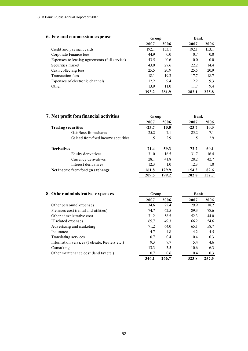# **6. Fee and commission expense Group Bank**

|                                               | 2007  | 2006  | 2007  | 2006  |
|-----------------------------------------------|-------|-------|-------|-------|
| Credit and payment cards                      | 192.1 | 153.1 | 192.1 | 153.1 |
| Corporate Finance fees                        | 44.9  | 0.0   | 0.7   | 0.0   |
| Expenses to leasing agreements (full service) | 43.5  | 40.6  | 0.0   | 0.0   |
| Securities market                             | 43.0  | 27.6  | 22.2  | 14.4  |
| Cash collecting fees                          | 25.5  | 20.9  | 25.5  | 20.9  |
| Transaction fees                              | 18.1  | 19.3  | 17.7  | 18.7  |
| Expenses of electronic channels               | 12.2  | 9.4   | 12.2  | 9.3   |
| Other                                         | 13.9  | 11.0  | 11.7  | 9.4   |
|                                               | 393.2 | 281.9 | 282.1 | 225.8 |

| 7. Net profit fom financial activities | Group   |       | <b>Bank</b> |       |
|----------------------------------------|---------|-------|-------------|-------|
|                                        | 2007    | 2006  | 2007        | 2006  |
| <b>Trading securities</b>              | $-23.7$ | 10.0  | $-23.7$     | 10.0  |
| Gain/loss from shares                  | $-25.2$ | 7.1   | $-25.2$     | 7.1   |
| Gained from fixed income securities    | 1.5     | 2.9   | 1.5         | 2.9   |
| <b>Derivatives</b>                     | 71.4    | 59.3  | 72.2        | 60.1  |
| Equity derivatives                     | 31.0    | 16.5  | 31.7        | 16.4  |
| Currency derivatives                   | 28.1    | 41.8  | 28.2        | 42.7  |
| Interest derivatives                   | 12.3    | 1.0   | 12.3        | 1.0   |
| Net income from foreign exchange       | 161.8   | 129.9 | 154.3       | 82.6  |
|                                        | 209.5   | 199.2 | 202.8       | 152.7 |

| 8. Other administrative expenses              | Group |        | <b>Bank</b> |        |
|-----------------------------------------------|-------|--------|-------------|--------|
|                                               | 2007  | 2006   | 2007        | 2006   |
| Other personnel expenses                      | 34.6  | 22.4   | 29.9        | 18.2   |
| Premises cost (rental and utilities)          | 74.7  | 62.5   | 89.3        | 78.6   |
| Other administrative cost                     | 71.2  | 58.5   | 52.3        | 44.0   |
| IT related expenses                           | 65.7  | 49.3   | 66.2        | 54.6   |
| Advertizing and marketing                     | 71.2  | 64.0   | 65.1        | 58.7   |
| Insurance                                     | 4.7   | 4.8    | 4.2         | 4.5    |
| Translating services                          | 0.7   | 0.4    | 0.4         | 0.3    |
| Information services (Telerate, Reuters etc.) | 9.3   | 7.7    | 5.4         | 4.6    |
| Consulting                                    | 13.3  | $-3.5$ | 10.6        | $-6.3$ |
| Other maintenance cost (land tax etc.)        | 0.7   | 0.6    | 0.4         | 0.3    |
|                                               | 346.1 | 266.7  | 323.8       | 257.5  |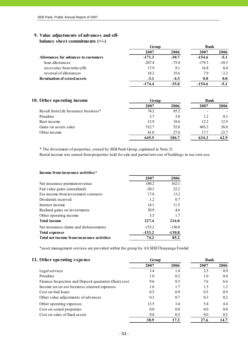#### **9. Value adjustments of advances and offbalance sheet commitments (+/-)**

|                                      | Group    |         | <b>Bank</b> |         |
|--------------------------------------|----------|---------|-------------|---------|
|                                      | 2007     | 2006    | 2007        | 2006    |
| Allowances for advances to customers | $-171.3$ | $-30.7$ | $-154.6$    | $-5.1$  |
| loan allowances                      | $-207.4$ | $-75.4$ | $-179.3$    | $-10.3$ |
| recoveries from write-offs           | 17.9     | 9.1     | 16.8        | 8.4     |
| reversal of allowances               | 18.2     | 35.6    | 7.9         | $-3.2$  |
| <b>Revaluation of seized assets</b>  | $-3.1$   | $-4.3$  | 0.0         | 0.0     |
|                                      | $-174.4$ | $-35.0$ | $-154.6$    |         |

| 10. Other operating income                       | Group |       | <b>Bank</b> |      |
|--------------------------------------------------|-------|-------|-------------|------|
|                                                  | 2007  | 2006  | 2007        | 2006 |
| Result from Life Insurance business <sup>*</sup> | 74.2  | 85.2  |             |      |
| Penalties                                        | 3.7   | 3.0   | 1.2         | 0.3  |
| Rent income                                      | 13.9  | 18.6  | 12.2        | 12.9 |
| Gains on assets sales                            | 512.7 | 52.0  | 603.2       | 26.0 |
| Other income                                     | 41.0  | 27.8  | 17.7        | 23.7 |
|                                                  | 645.5 | 186.7 | 634.3       | 62.9 |

\* The divestment of properties, owned by SEB Pank Group, explained in Note 21.

Rental income was earned from properties held for sale and partial rent-out of buildings in our own use.

| Income from insurance activities*          |          |          |
|--------------------------------------------|----------|----------|
|                                            | 2007     | 2006     |
| Net insurance premium revenue              | 180.2    | 162.1    |
| Fair value gains (unrealized)              | $-20.3$  | 22.2     |
| Fee income from investment contracts       | 17.8     | 13.2     |
| Dividends recieved                         | 1.2      | 0.7      |
| Interest income                            | 14.1     | 11.5     |
| Realized gains on investments              | 30.9     | 4.6      |
| Other operating income                     | 3.5      | 1.7      |
| <b>Total income</b>                        | 227.4    | 216.0    |
| Net insurance claims and disbursements     | $-153.2$ | $-130.8$ |
| <b>Total expenses</b>                      | $-153.2$ | $-130.8$ |
| Total net income from insurance activities | 74.2     | 85.2     |

\*asset management services are provided within the group by AS SEB Ühispanga Fondid

| 11. Other operating expense                           | Group |      | <b>Bank</b> |      |
|-------------------------------------------------------|-------|------|-------------|------|
|                                                       | 2007  | 2006 | 2007        | 2006 |
| Legal services                                        | 3.4   | 1.4  | 2.5         | 0.9  |
| Penalties                                             | 1.0   | 0.2  | 1.0         | 0.0  |
| Finance Inspection and Deposit quarantee (float) cost | 9.6   | 8.5  | 7.6         | 6.6  |
| Income tax on not business oriented expenses          | 1.6   | 1.7  | 1.3         | 1.2  |
| Cost on bad loans                                     | 0.5   | 0.9  | 0.5         | 0.9  |
| Other value adjustments of advances                   | 0.3   | 0.7  | 0.3         | 0.2  |
| Other operating expenses                              | 13.5  | 3.4  | 5.4         | 4.4  |
| Cost on seized properties                             | 0.0   | 0.0  | 0.0         | 0.0  |
| Cost on sales of fixed assets                         | 9.0   | 0.5  | 9.0         | 0.5  |
|                                                       | 38.9  | 17.3 | 27.6        | 14.7 |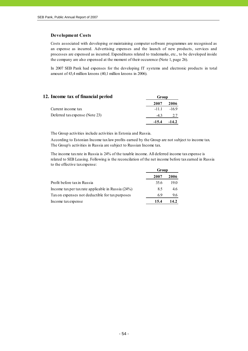#### **Development Costs**

Costs associated with developing or maintaining computer software programmes are recognised as an expense as incurred. Advertising expenses and the launch of new products, services and processes are expensed as incurred. Expenditures related to trademarks, etc., to be developed inside the company are also expensed at the moment of their occurence (Note 1, page 26).

In 2007 SEB Pank had expenses for the developing IT systems and electronic products in total amount of 43,4 million kroons (40,1 million kroons in 2006).

| 12. Income tax of financial period | Group   |         |
|------------------------------------|---------|---------|
|                                    | 2007    | 2006    |
| Current income tax                 | $-111$  | $-169$  |
| Deferred tax expense (Note 23)     | $-43$   | 2.7     |
|                                    | $-15.4$ | $-14.2$ |

The Group activities include activities in Estonia and Russia.

According to Estonian Income tax law profits earned by the Group are not subject to income tax. The Group's activities in Russia are subject to Russian Income tax.

The income tax rate in Russia is 24% of the taxable income. All deferred income tax expense is related to SEB Leasing. Following is the reconcilation of the net income before tax earned in Russia to the effective tax expense:

|                                                      | Group |      |
|------------------------------------------------------|-------|------|
|                                                      | 2007  | 2006 |
| Profit before tax in Russia                          | 35.6  | 19.0 |
| Income tax per tax rate applicable in Russia $(24%)$ | 8.5   | 4.6  |
| Tax on expenses not deductible for tax purposes      | 69    | 9.6  |
| Income tax expense                                   | 15.4  | 14.2 |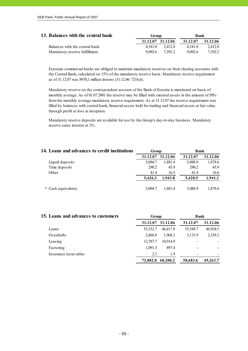| 13. Balances with the central bank | Group             |         | Bank     |          |
|------------------------------------|-------------------|---------|----------|----------|
|                                    | 31.12.07 31.12.06 |         | 31.12.07 | 31.12.06 |
| Balances with the central bank     | 4 1 8 1 0         | 2.412.8 | 4.181.0  | 2.412.8  |
| Mandatory reserve fulfillment      | 90926             | 7.392.2 | 9.092.6  | 7.392.2  |

Estonian commercial banks are obliged to maintain mandatory reserves on their clearing accounts with the Central Bank, calculated on 15% of the mandatory reserve basis. Mandatory reserve requirement as of 31.12.07 was 8970,1 million kroons (31.12.06: 7216,6).

Mandatory reserve on the correspondent account of the Bank of Estonia is monitored on basis of monthly average. As of 01.07.2001 the reserve may be filled with external assets in the amount of 50% from the monthly average mandatory reserve requirement. As at 31.12.07 the reserve requirement was filled by balances with central bank, financial assets held for trading and financial assets at fair value through profit or loss at inception.

Mandatory reserve deposits are available for use by the Group's day-to-day business. Mandatory reserve earns interest at 3%.

| 14. Loans and advances to credit institutions | Group    |          | <b>Bank</b> |          |  |
|-----------------------------------------------|----------|----------|-------------|----------|--|
|                                               | 31.12.07 | 31.12.06 | 31.12.07    | 31.12.06 |  |
| Liquid deposits                               | 5.094.7  | 1,881.4  | 5,088.9     | 1,878.6  |  |
| Time deposits                                 | 290.2    | 45.9     | 290.2       | 45.9     |  |
| Other                                         | 41.4     | 16.5     | 41.4        | 16.6     |  |
|                                               | 5,426.3  | 1,943.8  | 5,420.5     | 1,941.1  |  |
| * Cash equivalents                            | 5.094.7  | 1,881.4  | 5,088.9     | 1,878.6  |  |

| 15. Loans and advances to customers | Group    |          | <b>Bank</b>              |          |  |
|-------------------------------------|----------|----------|--------------------------|----------|--|
|                                     | 31.12.07 | 31.12.06 | 31.12.07                 | 31.12.06 |  |
| Loans                               | 55,332.7 | 46.417.8 | 55,549.7                 | 46,924.5 |  |
| Overdrafts                          | 2,868.8  | 1,968.2  | 3,133.9                  | 2,339.2  |  |
| Leasing                             | 12,787.7 | 10.914.9 |                          |          |  |
| Factoring                           | 1.091.3  | 897.4    |                          |          |  |
| Insurance recievables               | 2.3      | 1.9      | $\overline{\phantom{0}}$ |          |  |
|                                     | 72,082.8 | 60,200.2 | 58,683.6                 | 49,263.7 |  |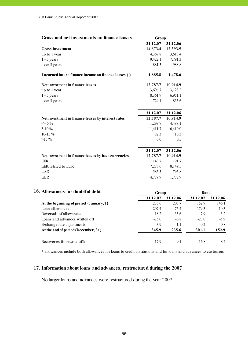| Gross and net investments on finance leases          | Group      |            |
|------------------------------------------------------|------------|------------|
|                                                      | 31.12.07   | 31.12.06   |
| <b>Gross</b> investment                              | 14,673.4   | 12,393.5   |
| up to 1 year                                         | 4,369.8    | 3,613.4    |
| $1 - 5$ years                                        | 9,422.1    | 7,791.3    |
| over 5 years                                         | 881.5      | 988.8      |
| Unearned future finance income on finance leases (-) | $-1,885.8$ | $-1,478.6$ |
| Net investment in finance leases                     | 12,787.7   | 10,914.9   |
| up to 1 year                                         | 3,696.7    | 3,128.2    |
| $1 - 5$ years                                        | 8,361.9    | 6,951.1    |
| over 5 years                                         | 729.1      | 835.6      |
|                                                      | 31.12.07   | 31.12.06   |
| Net investment in finance leases by interest rates   | 12,787.7   | 10,914.9   |
| $\leq$ 5 %                                           | 1,293.7    | 4,488.1    |
| 5-10 $\%$                                            | 11,411.7   | 6,410.0    |
| $10-15%$                                             | 82.3       | 16.3       |
| $>15\%$                                              | 0.0        | 0.5        |
|                                                      | 31.12.07   | 31.12.06   |
| Net investment in finance leases by base currencies  | 12,787.7   | 10,914.9   |
| <b>EEK</b>                                           | 143.7      | 191.7      |
| EEK related to EUR                                   | 7,278.6    | 8,149.5    |
| <b>USD</b>                                           | 585.5      | 795.8      |
| <b>EUR</b>                                           | 4,779.9    | 1,777.9    |

| 16. Allowances for doubtful debt        | Group                | <b>Bank</b> |          |          |
|-----------------------------------------|----------------------|-------------|----------|----------|
|                                         | 31.12.07<br>31.12.06 |             | 31.12.07 | 31.12.06 |
| At the beginning of period (January, 1) | 235.6                | 203.7       | 152.9    | 146.1    |
| Loan allowances                         | 207.4                | 75.4        | 179.3    | 10.3     |
| Reversals of allowances                 | $-18.2$              | $-35.6$     | $-7.9$   | 3.2      |
| Loans and advances written off          | $-75.0$              | $-6.8$      | $-23.0$  | $-5.9$   |
| Exchange rate adjustments               | $-3.9$               | $-1.1$      | $-0.2$   | $-0.8$   |
| At the end of period (December, 31)     | 345.9                | 235.6       | 301.1    | 152.9    |
| Recoveries from write-offs              | 17.9                 | 9.1         | 16.8     | 8.4      |

\* allowances include both allowances for loans to credit institutions and for loans and advances to customers

# **17. Information about loans and advances, restructured during the 2007**

No larger loans and advances were restructured during the year 2007.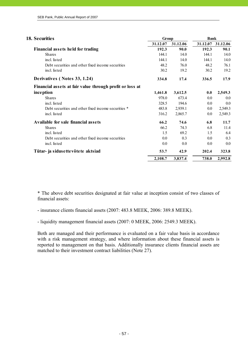| 18. Securities                                           | Group    |          | <b>Bank</b> |          |  |
|----------------------------------------------------------|----------|----------|-------------|----------|--|
|                                                          | 31.12.07 | 31.12.06 | 31.12.07    | 31.12.06 |  |
| Financial assets held for trading                        | 192.3    | 90.0     | 192.3       | 90.1     |  |
| <b>Shares</b>                                            | 144.1    | 14.0     | 144.1       | 14.0     |  |
| incl. listed                                             | 144.1    | 14.0     | 144.1       | 14.0     |  |
| Debt securities and other fixed income securities        | 48.2     | 76.0     | 48.2        | 76.1     |  |
| incl. listed                                             | 30.2     | 19.2     | 30.2        | 19.2     |  |
| Derivatives (Notes 33, 1.24)                             | 334.8    | 17.4     | 336.5       | 17.9     |  |
| Financial assets at fair value through profit or loss at |          |          |             |          |  |
| inception                                                | 1,461.8  | 3,612.5  | 0.0         | 2,549.3  |  |
| <b>Shares</b>                                            | 978.0    | 673.4    | 0.0         | 0.0      |  |
| incl. listed                                             | 328.5    | 194.6    | $0.0\,$     | 0.0      |  |
| Debt securities and other fixed income securities *      | 483.8    | 2,939.1  | $0.0\,$     | 2,549.3  |  |
| incl. listed                                             | 316.2    | 2,865.7  | $0.0\,$     | 2,549.3  |  |
| Available for sale financial assets                      | 66.2     | 74.6     | 6.8         | 11.7     |  |
| <b>Shares</b>                                            | 66.2     | 74.3     | 6.8         | 11.4     |  |
| incl. listed                                             | 1.5      | 69.2     | 1.5         | 6.4      |  |
| Debt securities and other fixed income securities        | 0.0      | 0.3      | 0.0         | 0.3      |  |
| incl. listed                                             | 0.0      | 0.0      | $0.0\,$     | 0.0      |  |
| Tütar- ja sidusettevõtete aktsiad                        | 53.7     | 42.9     | 202.4       | 323.8    |  |
|                                                          | 2,108.7  | 3,837.4  | 738.0       | 2,992.8  |  |

\* The above debt securities designated at fair value at inception consist of two classes of financial assets:

- insurance clients financial assets (2007: 483.8 MEEK, 2006: 389.8 MEEK).

- liquidity management financial assets (2007: 0 MEEK, 2006: 2549.3 MEEK).

Both are managed and their performance is evaluated on a fair value basis in accordance with a risk management strategy, and where information about these financial assets is reported to management on that basis. Additionally insurance clients financial assets are matched to their investment contract liabilities (Note 27).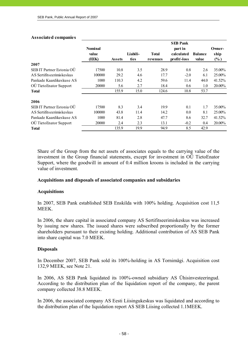#### **Associated companies**

|                           | <b>Nominal</b><br>value |               | Liabili- | <b>Total</b> | <b>SEB Pank</b><br>part in<br>calculated | <b>Balance</b> | Owner-<br>ship |
|---------------------------|-------------------------|---------------|----------|--------------|------------------------------------------|----------------|----------------|
| 2007                      | (EEK)                   | <b>Assets</b> | ties     | revenues     | profit/-loss                             | value          | $(\%)$         |
| SEB IT Partner Estonia OÜ | 17500                   | 10.8          | 3.5      | 28.9         | 0.8                                      | 2.6            | 35.00%         |
| AS Sertifitseerimiskeskus | 100000                  | 29.2          | 4.6      | 17.7         | $-2.0$                                   | 6.1            | 25.00%         |
| Pankade Kaardikeskuse AS  | 1000                    | 110.3         | 4.2      | 59.6         | 11.4                                     | 44.0           | 41.52%         |
| OÜ TietoEnator Support    | 20000                   | 5.6           | 2.7      | 18.4         | 0.6                                      | 1.0            | 20.00%         |
| Total                     |                         | 155.9         | 15.0     | 124.6        | 10.8                                     | 53.7           |                |
| 2006                      |                         |               |          |              |                                          |                |                |
| SEB IT Partner Estonia OÜ | 17500                   | 8.3           | 3.4      | 19.9         | 0.1                                      | 1.7            | 35.00%         |
| AS Sertifitseerimiskeskus | 100000                  | 43.8          | 11.4     | 14.2         | 0.0                                      | 8.1            | 25.00%         |
| Pankade Kaardikeskuse AS  | 1000                    | 81.4          | 2.8      | 47.7         | 8.6                                      | 32.7           | 41.52%         |
| OÜ TietoEnator Support    | 20000                   | 2.4           | 2.3      | 13.1         | $-0.2$                                   | 0.4            | 20.00%         |
| <b>Total</b>              |                         | 135.9         | 19.9     | 94.9         | 8.5                                      | 42.9           |                |

Share of the Group from the net assets of associates equals to the carrying value of the investment in the Group financial statements, except for investment in OÜ TietoEnator Support, where the goodwill in amount of 0.4 million kroons is included in the carrying value of investment.

#### **Acquisitions and disposals of associated companies and subsidaries**

#### **Acquisitions**

In 2007, SEB Pank established SEB Enskilda with 100% holding. Acquisition cost 11,5 **MEEK** 

In 2006, the share capital in associated company AS Sertifitseerimiskeskus was increased by issuing new shares. The issued shares were subscribed proportionally by the former shareholders pursuant to their existing holding. Additional contribution of AS SEB Pank into share capital was 7.0 MEEK.

#### **Disposals**

In December 2007, SEB Pank sold its 100%-holding in AS Tornimägi. Acquisition cost 132,9 MEEK, see Note 21.

In 2006, AS SEB Pank liquidated its 100%-owned subsidiary AS Ühisinvesteeringud. According to the distribution plan of the liquidation report of the company, the parent company collected 38.8 MEEK.

In 2006, the associated company AS Eesti Liisingukeskus was liquidated and according to the distribution plan of the liquidation report AS SEB Liising collected 1.1MEEK.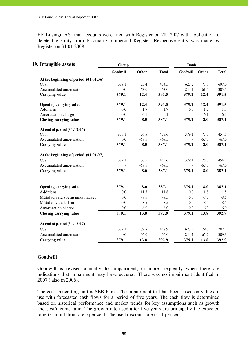HF Liisingu AS final accounts were filed with Register on 28.12.07 with application to delete the entity from Estonian Commercial Register. Respective entry was made by Register on 31.01.2008.

| 19. Intangible assets                   | Group           |         |              | <b>Bank</b>     |         |              |
|-----------------------------------------|-----------------|---------|--------------|-----------------|---------|--------------|
|                                         | <b>Goodwill</b> | Other   | <b>Total</b> | <b>Goodwill</b> | Other   | <b>Total</b> |
| At the beginning of period (01.01.06)   |                 |         |              |                 |         |              |
| Cost                                    | 379.1           | 75.4    | 454.5        | 623.2           | 73.8    | 697.0        |
| Accumulated amortisation                | 0.0             | $-63.0$ | $-63.0$      | $-244.1$        | $-61.4$ | $-305.5$     |
| <b>Carrying value</b>                   | 379.1           | 12.4    | 391.5        | 379.1           | 12.4    | 391.5        |
| Opening carrying value                  | 379.1           | 12.4    | 391.5        | 379.1           | 12.4    | 391.5        |
| Additions                               | 0.0             | 1.7     | 1.7          | 0.0             | 1.7     | 1.7          |
| Amortisation charge                     | 0.0             | $-6.1$  | $-6.1$       |                 | $-6.1$  | $-6.1$       |
| Closing carrying value                  | 379.1           | 8.0     | 387.1        | 379.1           | 8.0     | 387.1        |
| At end of period (31.12.06)             |                 |         |              |                 |         |              |
| Cost                                    | 379.1           | 76.5    | 455.6        | 379.1           | 75.0    | 454.1        |
| Accumulated amortisation                | 0.0             | $-68.5$ | $-68.5$      |                 | $-67.0$ | $-67.0$      |
| Carrying value                          | 379.1           | 8.0     | 387.1        | 379.1           | 8.0     | 387.1        |
| At the beginning of period $(01.01.07)$ |                 |         |              |                 |         |              |
| Cost                                    | 379.1           | 76.5    | 455.6        | 379.1           | 75.0    | 454.1        |
| Accumulated amortisation                |                 | $-68.5$ | $-68.5$      |                 | $-67.0$ | $-67.0$      |
| <b>Carrying value</b>                   | 379.1           | 8.0     | 387.1        | 379.1           | 8.0     | 387.1        |
|                                         |                 |         |              |                 |         |              |
| Opening carrying value                  | 379.1           | 8.0     | 387.1        | 379.1           | 8.0     | 387.1        |
| Additions                               | 0.0             | 11.8    | 11.8         | 0.0             | 11.8    | 11.8         |
| Müüdud vara soetusmaksumuses            | 0.0             | $-8.5$  | $-8.5$       | 0.0             | $-8.5$  | $-8.5$       |
| Müüdud vara kulum                       | 0.0             | 8.5     | 8.5          | 0.0             | 8.5     | 8.5          |
| Amortisation charge                     | 0.0             | $-6.0$  | $-6.0$       | 0.0             | $-6.0$  | $-6.0$       |
| <b>Closing carrying value</b>           | 379.1           | 13.8    | 392.9        | 379.1           | 13.8    | 392.9        |
| At end of period (31.12.07)             |                 |         |              |                 |         |              |
| Cost                                    | 379.1           | 79.8    | 458.9        | 623.2           | 79.0    | 702.2        |
| Accumulated amortisation                | 0.0             | $-66.0$ | $-66.0$      | $-244.1$        | $-65.2$ | $-309.3$     |
| <b>Carrying value</b>                   | 379.1           | 13.8    | 392.9        | 379.1           | 13.8    | 392.9        |

#### **Goodwill**

Goodwill is revised annually for impairment, or more frequently when there are indications that impairment may have occured. There was no impairment identified in 2007 ( also in 2006).

The cash generating unit is SEB Pank. The impairment test has been based on values in use with forecasted cash flows for a period of five years. The cash flow is determined based on historical performance and market trends for key assumptions such as growth and cost/income ratio. The growth rate used after five years are principally the expected long-term inflation rate 5 per cent. The used discount rate is 11 per cent.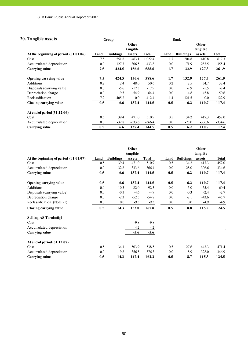#### **20. Tangible assets Group Bank**

|                                         |         |                  | Other    |          |         |                  | Other    |              |
|-----------------------------------------|---------|------------------|----------|----------|---------|------------------|----------|--------------|
|                                         |         |                  | tangible |          |         |                  | tangible |              |
| At the beginning of period $(01.01.06)$ | Land    | <b>Buildings</b> | assets   | Total    | Land    | <b>Buildings</b> | assets   | <b>Total</b> |
| Cost                                    | 7.5     | 551.8            | 463.1    | 1,022.4  | 1.7     | 204.8            | 410.8    | 617.3        |
| Accumulated depreciation                | 0.0     | $-127.3$         | $-306.5$ | $-433.8$ | $0.0\,$ | $-71.9$          | $-283.5$ | $-355.4$     |
| Carrying value                          | 7.5     | 424.5            | 156.6    | 588.6    | 1.7     | 132.9            | 127.3    | 261.9        |
| Opening carrying value                  | 7.5     | 424.5            | 156.6    | 588.6    | 1.7     | 132.9            | 127.3    | 261.9        |
| Additions                               | 0.2     | 2.4              | 48.0     | 50.6     | 0.2     | 2.5              | 34.7     | 37.4         |
| Disposals (carrying value)              | 0.0     | $-5.6$           | $-12.3$  | $-17.9$  | 0.0     | $-2.9$           | $-5.5$   | $-8.4$       |
| Depreciation charge                     | 0.0     | $-9.5$           | $-54.9$  | $-64.4$  | 0.0     | $-4.8$           | $-45.8$  | $-50.6$      |
| Reclassification                        | $-7.2$  | $-405.2$         | 0.0      | $-412.4$ | $-1.4$  | $-121.5$         | $0.0\,$  | $-122.9$     |
| Closing carrying value                  | 0.5     | 6.6              | 137.4    | 144.5    | 0.5     | 6.2              | 110.7    | 117.4        |
| At end of period $(31.12.06)$           |         |                  |          |          |         |                  |          |              |
| Cost                                    | 0.5     | 39.4             | 471.0    | 510.9    | 0.5     | 34.2             | 417.3    | 452.0        |
| Accumulated depreciation                | $0.0\,$ | $-32.8$          | $-333.6$ | $-366.4$ | $0.0\,$ | $-28.0$          | $-306.6$ | $-334.6$     |
| Carrying value                          | 0.5     | 6.6              | 137.4    | 144.5    | 0.5     | 6.2              | 110.7    | 117.4        |

|                                         |         |                  | Other<br>tangible |              |      |                  | Other<br>tangible |              |
|-----------------------------------------|---------|------------------|-------------------|--------------|------|------------------|-------------------|--------------|
| At the beginning of period $(01.01.07)$ | Land    | <b>Buildings</b> | assets            | <b>Total</b> | Land | <b>Buildings</b> | assets            | <b>Total</b> |
| Cost                                    | 0.5     | 39.4             | 471.0             | 510.9        | 0.5  | 34.2             | 417.3             | 452.0        |
| Accumulated depreciation                | 0.0     | $-32.8$          | $-333.6$          | $-366.4$     | 0.0  | $-28.0$          | $-306.6$          | $-334.6$     |
| <b>Carrying value</b>                   | 0.5     | 6.6              | 137.4             | 144.5        | 0.5  | 6.2              | 110.7             | 117.4        |
| Opening carrying value                  | 0.5     | 6.6              | 137.4             | 144.5        | 0.5  | 6.2              | 110.7             | 117.4        |
| Additions                               | 0.0     | 10.3             | 82.0              | 92.3         | 0.0  | 5.0              | 55.4              | 60.4         |
| Disposals (carrying value)              | 0.0     | $-0.3$           | $-4.6$            | $-4.9$       | 0.0  | $-0.3$           | $-2.4$            | $-2.7$       |
| Depreciation charge                     | 0.0     | $-2.3$           | $-52.5$           | $-54.8$      | 0.0  | $-2.1$           | $-43.6$           | $-45.7$      |
| Reclassification (Note 21)              | $0.0\,$ | 0.0              | $-9.3$            | $-9.3$       | 0.0  | 0.0              | $-4.9$            | $-4.9$       |
| Closing carrying value                  | 0.5     | 14.3             | 153.0             | 167.8        | 0.5  | 8.8              | 115.2             | 124.5        |
| Selling AS Tornimägi                    |         |                  |                   |              |      |                  |                   |              |
| Cost                                    |         |                  | $-9.8$            | $-9.8$       |      |                  |                   |              |
| Accumulated depreciation                |         |                  | 4.2               | 4.2          |      |                  |                   |              |
| Carrying value                          |         |                  | $-5.6$            | $-5.6$       |      |                  |                   |              |
| At end of period (31.12.07)             |         |                  |                   |              |      |                  |                   |              |
| Cost                                    | 0.5     | 34.1             | 503.9             | 538.5        | 0.5  | 27.6             | 443.3             | 471.4        |
| Accumulated depreciation                | 0.0     | $-19.8$          | $-356.5$          | $-376.3$     | 0.0  | $-18.9$          | $-328.0$          | $-346.9$     |
| Carrying value                          | 0.5     | 14.3             | 147.4             | 162.2        | 0.5  | 8.7              | 115.3             | 124.5        |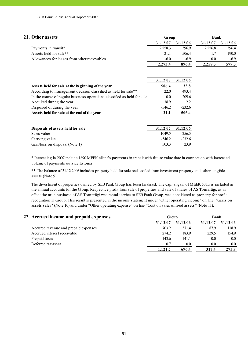| 21. Other assets                                                         | Group    |          | <b>Bank</b> |          |
|--------------------------------------------------------------------------|----------|----------|-------------|----------|
|                                                                          | 31.12.07 | 31.12.06 | 31.12.07    | 31.12.06 |
| Payments in transit*                                                     | 2,258.3  | 396.9    | 2,256.8     | 396.4    |
| Assets held for sale**                                                   | 21.1     | 506.4    | 1.7         | 190.0    |
| Allowances for losses from other recievables                             | $-6.0$   | $-6.9$   | 0.0         | $-6.9$   |
|                                                                          | 2,273.4  | 896.4    | 2,258.5     | 579.5    |
|                                                                          |          |          |             |          |
|                                                                          | 31.12.07 | 31.12.06 |             |          |
| Assets held for sale at the beginning of the year                        | 506.4    | 33.8     |             |          |
| According to management decision classified as held for sale**           | 22.0     | 493.4    |             |          |
| In the course of regular business operations classified as held for sale | 0.0      | 209.6    |             |          |
| Acquired during the year                                                 | 38.9     | 2.2      |             |          |
| Disposed of during the year                                              | $-546.2$ | $-232.6$ |             |          |
| Assets held for sale at the end of the year                              | 21.1     | 506.4    |             |          |
|                                                                          |          |          |             |          |
| Disposals of assets held for sale                                        | 31.12.07 | 31.12.06 |             |          |
| Sales value                                                              | 1049.5   | 256.5    |             |          |
| Carrying value                                                           | $-546.2$ | $-232.6$ |             |          |
| Gain/loss on disposal (Note 1)                                           | 503.3    | 23.9     |             |          |

\* Increasing in 2007 include 1690 MEEK client's payments in transit with future value date in connection with increased volume of payments outside Estonia

\*\* The balance of 31.12.2006 includes property held for sale reclassified from investment property and other tangible assets (Note 9)

The divestment of properties owned by SEB Pank Group has been finalised. The capital gain of MEEK 503,5 is included in the annual accounts for the Group. Respective profit from sale of properties and sale of shares of AS Tornimägi, as in effect the main business of AS Tornimägi was rental service to SEB Pank Group, was considered as property for profit recognition in Group. This result is presented in the income statement under "Other operating income" on line "Gains on assets sales" (Note 10) and under "Other operating expense" on line "Cost on sales of fixed assets" (Note 11).

|         |         | 31.12.07             | 31.12.06 |
|---------|---------|----------------------|----------|
| 703.2   | 371.4   | 87.9                 | 118.9    |
| 274.2   | 183.9   | 229.5                | 154.9    |
| 143.6   | 141.1   | 0.0                  | $0.0\,$  |
| 0.7     | $0.0\,$ | 0.0                  | 0.0      |
| 1,121.7 | 696.4   | 317.4                | 273.8    |
|         |         | 31.12.06<br>31.12.07 |          |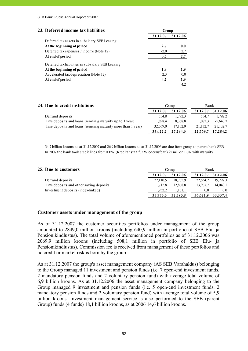| 23. Deferred income tax liabilities               | Group    |          |
|---------------------------------------------------|----------|----------|
|                                                   | 31.12.07 | 31.12.06 |
| Deferred tax assets in subsidary SEB Leasing      |          |          |
| At the beginning of period                        | 2.7      | 0.0      |
| Deferred tax expenses / income (Note 12)          | $-2.0$   | 2.7      |
| At end of period                                  | 0.7      | 2.7      |
| Deferred tax liabilities in subsidary SEB Leasing |          |          |
| At the beginning of period                        | 1.9      | 1.9      |
| Accelerated tax depreciation (Note 12)            | 2.3      | 0.0      |
| At end of period                                  | 4.2      | 1.9      |
|                                                   |          | 4.2      |

| 24. Due to credit institutions                               |          | Bank<br>Group |          |            |
|--------------------------------------------------------------|----------|---------------|----------|------------|
|                                                              | 31.12.07 | 31.12.06      | 31.12.07 | 31.12.06   |
| Demand deposits                                              | 554.8    | 1.792.3       | 554.7    | 1.792.2    |
| Time deposits and loans (remainig maturity up to 1 year)     | 1.898.4  | 8.368.8       | 1.082.3  | $-5.640.7$ |
| Time deposits and loans (remainig maturity more than 1 year) | 32.569.0 | 17.132.9      | 21.132.7 | 21.132.7   |
|                                                              | 35,022.2 | 27.294.0      | 22,769.7 | 17.284.2   |

34.7 billion kroons as at 31.12.2007 and 26.9 billion kroons as at 31.12.2006 are due from group to parent bank SEB. In 2007 the bank took credit lines from KFW (Kreditanstalt für Wiederaufbau) 25 million EUR with maturity

| 25. Due to customers                    |          | Group    |          |            |
|-----------------------------------------|----------|----------|----------|------------|
|                                         | 31.12.07 | 31.12.06 | 31.12.07 | 31.12.06   |
| Demand deposits                         | 22,110.5 | 18.765.9 | 22,654.2 | 19.297.3   |
| Time deposits and other saving deposits | 11.712.8 | 12.868.8 | 13.967.7 | 14.040.1   |
| Investment deposits (index-linked)      | 1.952.2  | 1.161.1  | 0.0      | 0.0        |
|                                         | 35,775.5 | 32,795.8 | 36,621.9 | 33, 337. 4 |

#### **Customer assets under management of the group**

As of 31.12.2007 the customer securities portfolios under management of the group amounted to 2849,0 million kroons (including 640,9 million in portfolio of SEB Elu- ja Pensionikindlustus). The total volume of aforementioned portfolios as of 31.12.2006 was 2069,9 million kroons (including 508,1 million in portfolio of SEB Elu- ja Pensionikindlustus). Commission fee is received from management of these portfolios and no credit or market risk is born by the group.

As at 31.12.2007 the group's asset management company (AS SEB Varahaldus) belonging to the Group managed 11 investment and pension funds (i.e. 7 open-end investment funds, 2 mandatory pension funds and 2 voluntary pension fund) with average total volume of 6,9 billion kroons. As at 31.12.2006 the asset management company belonging to the Group managed 9 investment and pension funds (i.e. 5 open-end investment funds, 2 mandatory pension funds and 2 voluntary pension fund) with average total volume of 5,9 billion kroons. Investment management service is also performed to the SEB (parent Group) funds (4 funds) 18,1 billion kroons, as at 2006 14,6 billion kroons.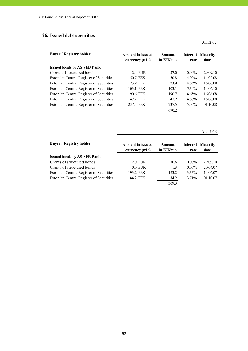#### **26. Issued debt securities**

| <b>Buyer / Registry holder</b>          | <b>Amount in issued</b><br>currency (mio) | Amount<br>in EEKmio | rate     | Interest Maturity<br>date |
|-----------------------------------------|-------------------------------------------|---------------------|----------|---------------------------|
| <b>Issued bonds by AS SEB Pank</b>      |                                           |                     |          |                           |
| Clients of structured bonds             | 2.4 FUR                                   | 37.0                | $0.00\%$ | 29.09.10                  |
| Estonian Central Register of Securities | 50.7 EEK                                  | 50.8                | $4.09\%$ | 14.02.08                  |
| Estonian Central Register of Securities | 23.9 EEK                                  | 23.9                | $4.65\%$ | 16.06.08                  |
| Estonian Central Register of Securities | 103.1 EEK                                 | 103.1               | 5.30%    | 14.06.10                  |
| Estonian Central Register of Securities | 190.6 EEK                                 | 190.7               | $4.65\%$ | 16.06.08                  |
| Estonian Central Register of Securities | 47.2 EEK                                  | 47.2                | 4.68%    | 16.06.08                  |
| Estonian Central Register of Securities | 237.5 EEK                                 | 237.5               | $5.00\%$ | 01.10.08                  |
|                                         |                                           | 690.2               |          |                           |

**31.12.06**

**31.12.07**

| <b>Buyer / Registry holder</b>          | <b>Amount in issued</b><br>currency (mio) | Amount<br>in EEKmio | rate     | <b>Interest Maturity</b><br>date |
|-----------------------------------------|-------------------------------------------|---------------------|----------|----------------------------------|
|                                         |                                           |                     |          |                                  |
| <b>Issued bonds by AS SEB Pank</b>      |                                           |                     |          |                                  |
| Clients of structured bonds             | 2.0 EUR                                   | 30.6                | $0.00\%$ | 29.09.10                         |
| Clients of structured bonds             | $0.0$ EUR                                 | 1.3                 | $0.00\%$ | 20.04.07                         |
| Estonian Central Register of Securities | 193.2 EEK                                 | 193.2               | 3.33%    | 14.06.07                         |
| Estonian Central Register of Securities | 84.2 EEK                                  | 84.2                | 3.71%    | 01.10.07                         |
|                                         |                                           | 309.3               |          |                                  |

- 63 -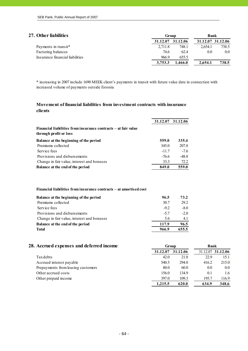| 27. Other liabilities           | Group    |          | Bank    |                   |  |
|---------------------------------|----------|----------|---------|-------------------|--|
|                                 | 31.12.07 | 31.12.06 |         | 31.12.07 31.12.06 |  |
| Payments in transit*            | 2.711.8  | 748.1    | 2.654.1 | 738.5             |  |
| Factoring balances              | 74.6     | 62.4     | 0.0     | $0.0\,$           |  |
| Insurance financial liabilities | 966.9    | 655.5    |         |                   |  |
|                                 | 3.753.3  | .466.0   | 2.654.1 | 738.5             |  |

\* increasing in 2007 include 1690 MEEK client's payments in transit with future value date in connection with increased volume of payments outside Estonia

### **Movement of financial liabilities from investment contracts with insurance clients**

|                                                                                          |         | 31.12.07 31.12.06 |
|------------------------------------------------------------------------------------------|---------|-------------------|
| Financial liabilities from insurance contracts – at fair value<br>through profit or loss |         |                   |
| Balance at the beginning of the period                                                   | 559.0   | 335.4             |
| Premiums collected                                                                       | 345.0   | 207.8             |
| Service fees                                                                             | $-11.7$ | $-7.6$            |
| Provisions and disbursements                                                             | $-76.6$ | $-48.8$           |
| Change in fair value, interest and bonuses                                               | 33.3    | 72.2              |
| <b>Balance at the end of the period</b>                                                  | 849.0   | 559.0             |

#### **Financial liabilities from insurance contracts – at amortised cost**

| Balance at the beginning of the period     | 96.5   | 73.2   |
|--------------------------------------------|--------|--------|
| Premiums collected                         | 30.7   | 29.2   |
| Service fees                               | $-9.2$ | $-8.0$ |
| Provisions and disbursements               | $-5.7$ | $-2.0$ |
| Change in fair value, interest and bonuses | 5.6    | 4.1    |
| <b>Balance at the end of the period</b>    | 117.9  | 96.5   |
| <b>Total</b>                               | 966.9  | 655.5  |
|                                            |        |        |

#### **28. Accrued expenses and deferred income Group Bank 31.12.07 31.12.06** 31.12.07 **31.12.06** Tax debts 22.9 15.1 Accrued interest payable 540.5 294.0 416.2 215.0 Prepayments from leasing customers 80.0 60.0 0.0 0.0 Other accrued costs 156.0 134.9 0.1 1.6 Other prepaid income 397.0 109.3 195.7 116.9 **1,215.5 620.0 634.9 348.6**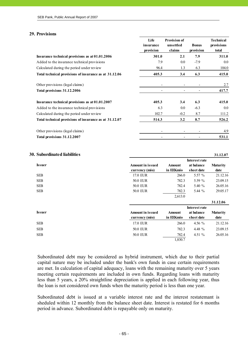#### **29. Provisions**

|                                                        | Life<br>insurance<br>provision | <b>Provision of</b><br>unsettled<br>claims | <b>Bonus</b><br>provision | <b>Technical</b><br>provisions<br>total |
|--------------------------------------------------------|--------------------------------|--------------------------------------------|---------------------------|-----------------------------------------|
| Insurance technical provisions as at 01.01.2006        | 301.0                          | 2.1                                        | 7.9                       | 311.0                                   |
| Added to the insurance technical provisions            | 7.9                            | $0.0\,$                                    | $-7.9$                    | $0.0\,$                                 |
| Calculated during the period under review              | 96.4                           | 1.3                                        | 6.3                       | 104.0                                   |
| Total technical provisions of insurance as at 31.12.06 | 405.3                          | 3.4                                        | 6.3                       | 415.0                                   |
| Other provisions (legal claims)                        |                                | -                                          |                           | 2.7                                     |
| Total provisions 31.12.2006                            |                                |                                            |                           | 417.7                                   |
| Insurance technical provisions as at 01.01.2007        | 405.3                          | 3.4                                        | 6.3                       | 415.0                                   |
| Added to the insurance technical provisions            | 6.3                            | $0.0\,$                                    | $-6.3$                    | 0.0                                     |
| Calculated during the period under review              | 102.7                          | $-0.2$                                     | 8.7                       | 111.2                                   |
| Total technical provisions of insurance as at 31.12.07 | 514.3                          | 3.2                                        | 8.7                       | 526.2                                   |
| Other provisions (legal claims)                        |                                |                                            |                           | 4.9                                     |
| Total provisions 31.12.2007                            |                                |                                            |                           | 531.1                                   |

#### **30. Subordinated liabilities 31.12.07**

|            |                         |               | Interest rate |                 |
|------------|-------------------------|---------------|---------------|-----------------|
| Issuer     | <b>Amount in issued</b> | <b>Amount</b> | at balance    | <b>Maturity</b> |
|            | currency (mio)          | in EEKmio     | sheet date    | date            |
| <b>SEB</b> | 17.0 EUR                | 266.0         | 5.57 %        | 21.12.16        |
| SEB        | <b>50.0 EUR</b>         | 782.3         | 5.59 %        | 23.09.15        |
| SEB        | 50.0 EUR                | 782.4         | 5.40 %        | 26.05.16        |
| <b>SEB</b> | <b>50.0 EUR</b>         | 782.3         | 5.44 $%$      | 29.05.17        |
|            |                         | 2,613.0       |               |                 |
|            |                         |               |               | 31.12.06        |
|            |                         |               | Interest rate |                 |
| Issuer     | <b>Amount in issued</b> | <b>Amount</b> | at balance    | <b>Maturity</b> |
|            | currency (mio)          | in EEKmio     | sheet date    | date            |
| <b>SEB</b> | 17.0 EUR                | 266.0         | 4.56 $%$      | 21.12.16        |
| SEB        | <b>50.0 EUR</b>         | 782.3         | 4.48 %        | 23.09.15        |
| <b>SEB</b> | <b>50.0 EUR</b>         | 782.4         | 4.51 $%$      | 26.05.16        |
|            |                         | 1,830.7       |               |                 |

Subordinated debt may be considered as hybrid instrument, which due to their partial capital nature may be included under the bank's own funds in case certain requirements are met. In calculation of capital adequacy, loans with the remaining maturity over 5 years meeting certain requirements are included in own funds. Regarding loans with maturity less than 5 years, a 20% straightline depreciation is applied in each following year, thus the loan is not considered own funds when the maturity period is less than one year.

Subordinated debt is issued at a variable interest rate and the interest restatemant is sheduled within 12 monthly from the balance sheet date. Interest is restated for 6 months period in advance. Subordinated debt is repayable only on maturity.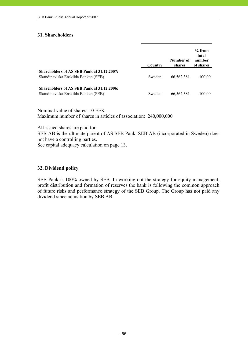## **31. Shareholders**

|                                                                                   | Country | Number of<br>shares | $%$ from<br>total<br>number<br>of shares |
|-----------------------------------------------------------------------------------|---------|---------------------|------------------------------------------|
| Shareholders of AS SEB Pank at 31.12.2007:<br>Skandinaviska Enskilda Banken (SEB) | Sweden  | 66,562,381          | 100.00                                   |
| Shareholders of AS SEB Pank at 31.12.2006:<br>Skandinaviska Enskilda Banken (SEB) | Sweden  | 66,562,381          | 100.00                                   |

Nominal value of shares: 10 EEK Maximum number of shares in articles of association: 240,000,000

All issued shares are paid for.

SEB AB is the ultimate parent of AS SEB Pank. SEB AB (incorporated in Sweden) does not have a controlling parties.

See capital adequacy calculation on page 13.

### **32. Dividend policy**

SEB Pank is 100%-owned by SEB. In working out the strategy for equity management, profit distribution and formation of reserves the bank is following the common approach of future risks and performance strategy of the SEB Group. The Group has not paid any dividend since aquisition by SEB AB.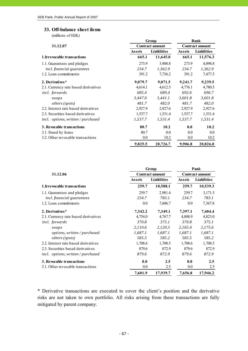#### **33. Off-balance sheet ilems**

(millions of EEK)

|                                      | Group         | <b>Bank</b>            |                        |                    |  |
|--------------------------------------|---------------|------------------------|------------------------|--------------------|--|
| 31.12.07                             |               | <b>Contract amount</b> | <b>Contract amount</b> |                    |  |
|                                      | <b>Assets</b> | <b>Liabilities</b>     | <b>Assets</b>          | <b>Liabilities</b> |  |
| 1. Irrevocable transactions          | 665.1         | 11,645.0               | 665.1                  | 11,576.3           |  |
| 1.1. Guarantees and pledges          | 273.9         | 3,908.8                | 273.9                  | 4,098.8            |  |
| incl. financial guarantees           | 234.7         | 1,362.9                | 234.7                  | 1,362.9            |  |
| 1.2. Loan commitments                | 391.2         | 7,736.2                | 391.2                  | 7,477.5            |  |
| 2. Derivatives*                      | 9,079.7       | 9,071.5                | 9,241.7                | 9,239.5            |  |
| 2.1. Currency rate based derivatives | 4,614.1       | 4,612.5                | 4,776.1                | 4,780.5            |  |
| incl. forwards                       | 685.4         | 689.4                  | 692.6                  | 696.7              |  |
| swaps                                | 3,447.0       | 3,441.1                | 3.601.8                | 3,601.8            |  |
| <i>others</i> ( <i>spots</i> )       | 481.7         | 482.0                  | 481.7                  | 482.0              |  |
| 2.2. Interest rate based derivatives | 2,927.9       | 2,927.6                | 2,927.9                | 2,927.6            |  |
| 2.3. Securities based derivatives    | 1,537.7       | 1,531.4                | 1,537.7                | 1,531.4            |  |
| incl. options, written / purchased   | 1,537.7       | 1,531.4                | 1,537.7                | 1,531.4            |  |
| 3. Revocable transactions            | 80.7          | 10.2                   | 0.0                    | 10.2               |  |
| 3.1. Stand by loans                  | 80.7          | 0.0                    | 0.0                    | 0.0                |  |
| 3.2. Other revocable transactions    | 0.0           | 10.2                   | 0.0                    | 10.2               |  |
|                                      | 9,825.5       | 20,726.7               | 9,906.8                | 20,826.0           |  |

|                                      | Group         | Pank                   |               |                        |
|--------------------------------------|---------------|------------------------|---------------|------------------------|
| 31.12.06                             |               | <b>Contract amount</b> |               | <b>Contract amount</b> |
|                                      | <b>Assets</b> | <b>Liabilities</b>     | <b>Assets</b> | <b>Liabilities</b>     |
| 1. Irrevocable transactions          | 259.7         | 10,588.1               | 259.7         | 10,539.3               |
| 1.1. Guarantees and pledges          | 259.7         | 2,981.4                | 259.7         | 3,171.5                |
| incl. financial guarantees           | 234.7         | 783.1                  | 234.7         | 783.1                  |
| 1.2. Loan commitments                | 0.0           | 7,606.7                | $0.0\,$       | 7,367.8                |
| 2. Derivatives*                      | 7,342.2       | 7,349.1                | 7,397.1       | 7,404.4                |
| 2.1. Currency rate based derivatives | 4,754.0       | 4,767.7                | 4,808.9       | 4,823.0                |
| incl. forwards                       | 370.8         | 375.1                  | 370.8         | 375.1                  |
| swaps                                | 2,110.6       | 2,120.3                | 2,165.4       | 2,175.6                |
| options, written / purchased         | 1,687.1       | 1,687.1                | 1,687.1       | 1,687.1                |
| <i>others</i> ( <i>spots</i> )       | 585.5         | 585.2                  | 585.5         | 585.2                  |
| 2.2. Interest rate based derivatives | 1,708.6       | 1,708.5                | 1,708.6       | 1,708.5                |
| 2.3. Securities based derivatives    | 879.6         | 872.9                  | 879.6         | 872.9                  |
| incl. options, written / purchased   | 879.6         | 872.9                  | 879.6         | 872.9                  |
| 3. Revocable transactions            | 0.0           | 2.5                    | 0.0           | 2.5                    |
| 3.1. Other revocable transactions    | 0.0           | 2.5                    | $0.0\,$       | 2.5                    |
|                                      | 7,601.9       | 17,939.7               | 7,656.8       | 17,946.2               |

\* Derivative transactions are executed to cover the client's position and the derivative risks are not taken to own portfolio. All risks arising from these transactions are fully mitigated by parent company.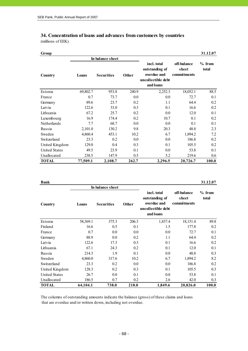#### **34. Concentration of loans and advances from customers by countries** (millions of EEK)

| Group                |          |                   |       |                                                                                 |                                     | 31.12.07          |
|----------------------|----------|-------------------|-------|---------------------------------------------------------------------------------|-------------------------------------|-------------------|
|                      |          | In balance sheet  |       |                                                                                 |                                     |                   |
| Country              | Loans    | <b>Securities</b> | Other | incl. total<br>outstanding of<br>overdue and<br>uncollectible debt<br>and loans | off-balance<br>sheet<br>commitments | $%$ from<br>total |
| Estonia              | 69,802.7 | 953.8             | 240.9 | 2,252.3                                                                         | 18,052.1                            | 88.5              |
| France               | 0.7      | 73.7              | 0.0   | 0.0                                                                             | 72.7                                | 0.1               |
| Germany              | 89.6     | 23.7              | 0.2   | 1.1                                                                             | 64.4                                | 0.2               |
| Latvia               | 122.6    | 33.0              | 0.3   | 0.1                                                                             | 16.6                                | 0.2               |
| Lithuania            | 67.2     | 25.7              | 0.2   | 0.0                                                                             | 12.0                                | 0.1               |
| Luxembourg           | 16.9     | 174.4             | 0.2   | 10.7                                                                            | 0.1                                 | 0.2               |
| Netherlands          | 7.7      | 68.7              | 0.0   | 0.0                                                                             | 0.1                                 | 0.1               |
| Russia               | 2,101.0  | 130.2             | 9.8   | 20.3                                                                            | 48.8                                | 2.3               |
| Sweden               | 4,860.4  | 453.1             | 10.2  | 6.7                                                                             | 1,894.2                             | 7.2               |
| Switzerland          | 23.3     | 0.2               | 0.0   | 0.0                                                                             | 186.8                               | 0.2               |
| United Kingdom       | 129.0    | 0.4               | 0.3   | 0.1                                                                             | 105.5                               | 0.2               |
| <b>United States</b> | 49.5     | 23.9              | 0.1   | 0.0                                                                             | 53.8                                | 0.1               |
| Unallocated          | 238.5    | 147.9             | 0.5   | 5.2                                                                             | 219.6                               | 0.6               |
| <b>TOTAL</b>         | 77,509.1 | 2,108.7           | 262.7 | 2,296.5                                                                         | 20,726.7                            | 100.0             |

**Bank 31.12.07** 

|                      |          | In balance sheet  |              |                                                                                 |                                     |                   |
|----------------------|----------|-------------------|--------------|---------------------------------------------------------------------------------|-------------------------------------|-------------------|
| Country              | Loans    | <b>Securities</b> | <b>Other</b> | incl. total<br>outstanding of<br>overdue and<br>uncollectible debt<br>and loans | off-balance<br>sheet<br>commitments | $%$ from<br>total |
| Estonia              | 58,369.1 | 375.3             | 206.3        | 1,837.4                                                                         | 18,151.4                            | 89.8              |
| Finland              | 16.6     | 0.5               | 0.1          | 1.5                                                                             | 177.8                               | 0.2               |
| France               | 0.7      | 0.0               | 0.0          | 0.0                                                                             | 72.7                                | 0.1               |
| Germany              | 88.9     | 0.0               | 0.2          | 1.1                                                                             | 64.4                                | 0.2               |
| Latvia               | 122.6    | 17.3              | 0.3          | 0.1                                                                             | 16.6                                | 0.2               |
| Lithuania            | 67.1     | 24.3              | 0.2          | 0.1                                                                             | 12.0                                | 0.1               |
| Russia               | 214.3    | 1.9               | 0.1          | 0.0                                                                             | 48.8                                | 0.3               |
| Sweden               | 4,860.0  | 317.6             | 10.2         | 6.7                                                                             | 1,894.2                             | 8.2               |
| Switzerland          | 23.3     | 0.2               | 0.0          | 0.0                                                                             | 186.8                               | 0.2               |
| United Kingdom       | 128.3    | 0.2               | 0.3          | 0.1                                                                             | 105.5                               | 0.3               |
| <b>United States</b> | 26.7     | 0.0               | 0.1          | 0.0                                                                             | 53.8                                | 0.1               |
| Unallocated          | 186.5    | 0.7               | 0.2          | 2.6                                                                             | 42.0                                | 0.3               |
| <b>TOTAL</b>         | 64,104.1 | 738.0             | 218.0        | 1,849.6                                                                         | 20,826.0                            | 100.0             |

The columns of outstanding amounts indicate the balance (gross) of these claims and loans that are overdue and/or written down, including not overdue.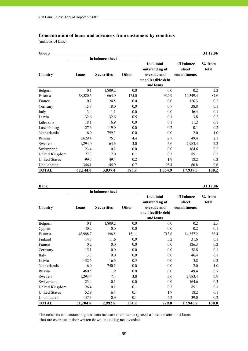#### **Concentration of loans and advances from customers by countries**

(millions of EEK)

| Group                |          |                            |       |                                                                                 |                                     | 31.12.06          |
|----------------------|----------|----------------------------|-------|---------------------------------------------------------------------------------|-------------------------------------|-------------------|
|                      |          | In balance sheet           |       |                                                                                 |                                     |                   |
| Country              | Loans    | <b>Securities</b><br>Other |       | incl. total<br>outstanding of<br>overdue and<br>uncollectible debt<br>and loans | off-balance<br>sheet<br>commitments | $%$ from<br>total |
| Belgium              | 0.1      | 1,809.2                    | 0.0   | 0.0                                                                             | 0.2                                 | 2.2               |
| Estonia              | 58,520.5 | 664.0                      | 175.0 | 924.9                                                                           | 14,349.4                            | 87.6              |
| France               | 0.2      | 24.5                       | 0.0   | 0.0                                                                             | 126.3                               | 0.2               |
| Germany              | 15.8     | 18.0                       | 0.0   | 0.7                                                                             | 38.8                                | 0.1               |
| Italy                | 3.4      | 1.1                        | 0.0   | 0.0                                                                             | 46.4                                | 0.1               |
| Latvia               | 132.6    | 32.6                       | 0.5   | 0.1                                                                             | 3.8                                 | 0.2               |
| Lithuania            | 18.1     | 16.9                       | 0.0   | 0.1                                                                             | 11.2                                | 0.1               |
| Luxembourg           | 27.6     | 119.0                      | 0.0   | 0.2                                                                             | 0.1                                 | 0.2               |
| Netherlands          | 6.0      | 799.3                      | 0.0   | 0.0                                                                             | 2.0                                 | 1.0               |
| Russia               | 1,629.4  | 75.7                       | 4.4   | 2.7                                                                             | 49.4                                | 2.1               |
| Sweden               | 1,294.0  | 64.6                       | 3.0   | 5.6                                                                             | 2,983.4                             | 5.2               |
| Switzerland          | 23.4     | 0.2                        | 0.0   | 0.0                                                                             | 164.6                               | 0.2               |
| United Kingdom       | 27.3     | 17.0                       | 0.1   | 0.3                                                                             | 85.1                                | 0.2               |
| <b>United States</b> | 99.5     | 49.4                       | 0.2   | 1.9                                                                             | 18.2                                | 0.2               |
| Unallocated          | 346.1    | 145.9                      | 0.7   | 98.4                                                                            | 60.8                                | 0.6               |
| <b>TOTAL</b>         | 62,144.0 | 3,837.4                    | 183.9 | 1,034.9                                                                         | 17,939.7                            | 100.2             |

**Bank 31.12.06**

|                      |          | In balance sheet  |              |                                                                                 |                                     |                   |
|----------------------|----------|-------------------|--------------|---------------------------------------------------------------------------------|-------------------------------------|-------------------|
| Country              | Loans    | <b>Securities</b> | <b>Other</b> | incl. total<br>outstanding of<br>overdue and<br>uncollectible debt<br>and loans | off-balance<br>sheet<br>commitments | $%$ from<br>total |
| Belgium              | 0.1      | 1,809.2           | 0.0          | 0.0                                                                             | 0.2                                 | 2.5               |
| Cyprus               | 40.2     | 0.0               | 0.0          | 0.0                                                                             | 0.2                                 | 0.1               |
| Estonia              | 48,988.7 | 398.5             | 151.1        | 713.6                                                                           | 14,357.2                            | 88.4              |
| Finland              | 14.7     | 11.6              | 0.0          | 3.2                                                                             | 31.6                                | 0.1               |
| France               | 0.2      | 0.0               | 0.0          | 0.0                                                                             | 126.3                               | 0.2               |
| Germany              | 15.1     | 0.0               | 0.0          | 0.0                                                                             | 38.8                                | 0.1               |
| Italy                | 3.3      | 0.0               | 0.0          | 0.0                                                                             | 46.4                                | 0.1               |
| Latvia               | 132.6    | 16.6              | 0.5          | $0.0\,$                                                                         | 3.8                                 | 0.2               |
| Netherlands          | 6.0      | 740.1             | 0.0          | 0.0                                                                             | 2.0                                 | 1.0               |
| Russia               | 460.5    | 1.9               | 0.0          | 0.0                                                                             | 49.4                                | 0.7               |
| Sweden               | 1,293.4  | 7.4               | 3.0          | 5.6                                                                             | 2,983.4                             | 5.9               |
| Switzerland          | 23.4     | 0.1               | 0.0          | 0.0                                                                             | 164.6                               | 0.3               |
| United Kingdom       | 26.4     | 0.1               | 0.1          | 0.3                                                                             | 85.1                                | 0.1               |
| <b>United States</b> | 52.9     | 6.4               | 0.1          | 1.9                                                                             | 18.2                                | 0.1               |
| Unallocated          | 147.3    | 0.9               | 0.1          | 5.2                                                                             | 39.0                                | 0.2               |
| <b>TOTAL</b>         | 51,204.8 | 2,992.8           | 154.9        | 729.8                                                                           | 17,946.2                            | 100.0             |

The columns of outstanding amounts indicate the balance (gross) of these claims and loans that are overdue and/or written down, including not overdue.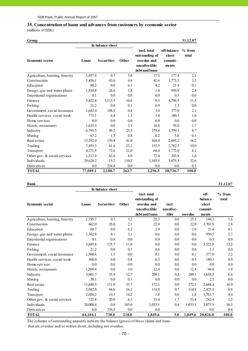#### **35. Concentration of loans and advances from customers by economic sector** (millions of EEK)

| Group                          |          |                   |       |                                                                                 |                                          | 31.12.07          |
|--------------------------------|----------|-------------------|-------|---------------------------------------------------------------------------------|------------------------------------------|-------------------|
|                                |          | In balance sheet  |       |                                                                                 |                                          |                   |
| <b>Economic sector</b>         | Loans    | <b>Securities</b> | Other | incl. total<br>outstanding of<br>overdue and<br>uncollectible<br>debt and loans | off-balance<br>sheet<br>commit-<br>ments | $%$ from<br>total |
| Agriculture, hunting, forestry | 1,957.8  | 0.7               | 5.0   | 37.5                                                                            | 177.4                                    | 2.1               |
| Construction                   | 1,456.1  | 43.6              | 4.4   | 41.6                                                                            | 1,775.3                                  | 3.3               |
| Education                      | 88.2     | 0.0               | 6.3   | 4.2                                                                             | 21.4                                     | 0.1               |
| Energy, gas and water plants   | 1,830.8  | 26.6              | 3.8   | 1.4                                                                             | 950.9                                    | 2.8               |
| Exterritorial organisations    | 0.1      | 0.0               | 0.0   | 0.0                                                                             | 0.5                                      | 0.0               |
| Finance                        | 5,432.8  | 1,113.5           | 10.6  | 0.3                                                                             | 4,794.5                                  | 11.3              |
| Fishing                        | 31.2     | 0.0               | 0.1   | 0.9                                                                             | 1.3                                      | 0.0               |
| Government, social insurance   | 1,643.0  | 108.8             | 0.4   | 3.0                                                                             | 377.0                                    | 2.1               |
| Health services, social work   | 773.1    | 6.4               | 1.3   | 1.4                                                                             | 180.3                                    | 1.0               |
| Home services                  | 0.0      | 0.0               | 0.0   | 0.0                                                                             | 0.0                                      | 0.0               |
| Hotels, restaurants            | 1,635.9  | 0.0               | 3.1   | 16.4                                                                            | 95.0                                     | 1.7               |
| Industry                       | 6,795.5  | 99.2              | 23.5  | 379.4                                                                           | 1,799.1                                  | 8.7               |
| Mining                         | 67.2     | 1.3               | 0.8   | 0.2                                                                             | 5.0                                      | 0.1               |
| Real estate                    | 13,392.0 | 159.8             | 41.0  | 416.4                                                                           | 2,695.2                                  | 16.2              |
| Trading                        | 7,193.3  | 61.6              | 23.2  | 153.5                                                                           | 2,762.5                                  | 10.0              |
| Transport                      | 4,271.5  | 73.6              | 21.0  | 64.4                                                                            | 1,772.0                                  | 6.1               |
| Other gov. & social services   | 1,312.4  | 63.6              | 8.0   | 72.4                                                                            | 243.8                                    | 1.6               |
| Individuals                    | 29,628.2 | 15.2              | 110.2 | 1,103.5                                                                         | 3,075.5                                  | 32.6              |
| Derivatives                    | 0.0      | 334.8             | 0.0   | 0.0                                                                             | 0.0                                      | 0.3               |
| <b>TOTAL</b>                   | 77,509.1 | 2,108.7           | 262.7 | 2,296.5                                                                         | 20,726.7                                 | 100.0             |

|                                |          | In balance sheet  |       |                                                                                 |                             |         |                                              |                   |
|--------------------------------|----------|-------------------|-------|---------------------------------------------------------------------------------|-----------------------------|---------|----------------------------------------------|-------------------|
| <b>Economic sector</b>         | Loans    | <b>Securities</b> | Other | incl. total<br>outstanding of<br>overdue and<br>uncollectible<br>debt and loans | incl.<br>uncollec-<br>tible | overdue | off-<br>balance<br>sheet<br>commit-<br>ments | $%$ from<br>total |
| Agriculture, hunting, forestry | 1,195.7  | 0.7               | 3.2   | 25.3                                                                            | 0.0                         | 25.3    | 144.3                                        | 1.6               |
| Construction                   | 662.0    | 28.6              | 2.1   | 22.0                                                                            | $0.0\,$                     | 22.0    | 1,701.8                                      | 2.8               |
| Education                      | 69.7     | 0.0               | 6.2   | 3.9                                                                             | 0.0                         | 3.9     | 21.4                                         | 0.1               |
| Energy, gas and water plants   | 1,362.8  | 4.1               | 3.1   | 0.6                                                                             | 0.0                         | 0.6     | 950.5                                        | 2.7               |
| Exterritorial organisations    | 0.1      | 0.0               | 0.0   | 0.0                                                                             | 0.0                         | 0.0     | 0.5                                          | 0.0               |
| Finance                        | 5,685.8  | 135.7             | 11.6  | 0.0                                                                             | 0.0                         | 0.0     | 5,521.9                                      | 13.2              |
| Fishing                        | 21.2     | 0.0               | 0.1   | 0.6                                                                             | 0.0                         | 0.6     | 1.3                                          | 0.0               |
| Government, social insurance   | 1,500.6  | 1.5               | 0.0   | 0.1                                                                             | 0.0                         | 0.1     | 377.0                                        | 2.2               |
| Health services, social work   | 568.0    | 0.0               | 0.8   | 0.3                                                                             | 0.0                         | 0.3     | 180.3                                        | 0.9               |
| Home services                  | 0.0      | 0.0               | 0.0   | 0.0                                                                             | 0.0                         | 0.0     | 0.0                                          | 0.0               |
| Hotels, restaurants            | 1,569.4  | 0.0               | 3.0   | 12.4                                                                            | 0.0                         | 12.4    | 94.8                                         | 1.9               |
| Industry                       | 3,961.7  | 35.9              | 12.7  | 209.1                                                                           | 0.2                         | 209.1   | 1,638.5                                      | 6.6               |
| Mining                         | 30.1     | 0.0               | 0.1   | 0.0                                                                             | 0.0                         | 0.0     | 2.5                                          | 0.0               |
| Real estate                    | 11,680.3 | 111.0             | 33.7  | 372.1                                                                           | 0.0                         | 372.1   | 2,684.4                                      | 16.9              |
| Trading                        | 5,042.4  | 44.6              | 16.1  | 114.8                                                                           | 0.7                         | 114.8   | 2,425.3                                      | 8.8               |
| Transport                      | 2,020.2  | 19.3              | 14.2  | 1.8                                                                             | 0.0                         | 1.8     | 1,763.7                                      | 4.4               |
| Other gov. & social services   | 725.8    | 20.0              | 6.3   | 53.4                                                                            | 1.7                         | 53.4    | 242.4                                        | 1.2               |
| Individuals                    | 28,008.4 | 0.0               | 105.0 | 1,033.1                                                                         | 0.4                         | 1,033.1 | 3,075.5                                      | 36.3              |
| Derivatives                    | 0.0      | 336.5             | 0.0   | 0.0                                                                             |                             |         | 0.0                                          | 0.4               |
| <b>TOTAL</b>                   | 64.104.1 | 738.0             | 218.0 | 1.849.6                                                                         | 3.0                         | 1,849.6 | 20,826.0                                     | 100.0             |

The columns of outstanding amounts indicate the balance (gross) of these claims and loans that are overdue and/or written down, including not overdue.

**Bank 31.12.07**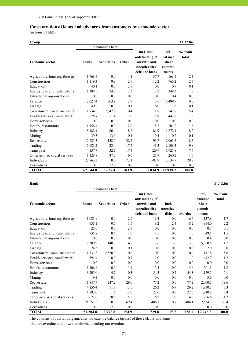#### **Concentration of loans and advances from customers by economic sector**

(millions of EEK)

| Group                          |          |                   |       |                                                                                 |                                              | 31.12.06          |
|--------------------------------|----------|-------------------|-------|---------------------------------------------------------------------------------|----------------------------------------------|-------------------|
|                                |          | In balance sheet  |       |                                                                                 |                                              |                   |
| <b>Economic sector</b>         | Loans    | <b>Securities</b> | Other | incl. total<br>outstanding of<br>overdue and<br>uncollectible<br>debt and loans | off-<br>balance<br>sheet<br>commit-<br>ments | $%$ from<br>total |
| Agriculture, hunting, forestry | 1,768.5  | 0.0               | 4.1   | 37.7                                                                            | 163.5                                        | 2.3               |
| Construction                   | 1,119.3  | 9.9               | 2.6   | 12.2                                                                            | 965.2                                        | 2.5               |
| Education                      | 40.1     | 0.0               | 2.7   | 0.0                                                                             | 0.7                                          | 0.1               |
| Energy, gas and water plants   | 1,188.5  | 24.5              | 2.3   | 2.2                                                                             | 349.3                                        | 1.9               |
| Exterritorial organisations    | 0.0      | 0.0               | 0.0   | 0.0                                                                             | 0.4                                          | 0.0               |
| Finance                        | 2,027.4  | 803.9             | 2.9   | 3.6                                                                             | 5,499.9                                      | 9.5               |
| Fishing                        | 40.2     | 0.0               | 0.1   | 6.0                                                                             | 3.8                                          | 0.1               |
| Government, social insurance   | 1,734.9  | 2,647.6           | 0.4   | 1.8                                                                             | 141.8                                        | 5.4               |
| Health services, social work   | 628.7    | 11.4              | 1.0   | 1.9                                                                             | 442.8                                        | 1.3               |
| Home services                  | 0.0      | 0.0               | 0.0   | 0.0                                                                             | 0.0                                          | 0.0               |
| Hotels, restaurants            | 1,156.4  | 0.0               | 2.0   | 15.7                                                                            | 201.2                                        | 1.6               |
| Industry                       | 5,482.4  | 66.4              | 18.2  | 84.9                                                                            | 1,272.4                                      | 8.2               |
| Mining                         | 39.3     | 13.6              | 0.1   | 0.4                                                                             | 10.2                                         | 0.1               |
| Real estate                    | 12,785.3 | 138.6             | 32.7  | 91.7                                                                            | 2,063.5                                      | 18.5              |
| Trading                        | 5,983.2  | 23.4              | 17.7  | 41.3                                                                            | 2,108.3                                      | 9.8               |
| Transport                      | 4,157.7  | 32.7              | 17.4  | 129.9                                                                           | 1,921.8                                      | 7.4               |
| Other gov. & social services   | 1,128.8  | 47.5              | 6.6   | 21.7                                                                            | 260.2                                        | 1.6               |
| Individuals                    | 22,863.3 | 0.0               | 73.1  | 583.9                                                                           | 2,534.7                                      | 29.7              |
| Derivatives                    | 0.0      | 17.9              | 0.0   | 0.0                                                                             | 0.0                                          | 0.0               |
| <b>TOTAL</b>                   | 62,144.0 | 3,837.4           | 183.9 | 1,034.9                                                                         | 17,939.7                                     | 100.0             |

#### **Bank 31.12.06**

|                                | In balance sheet |                   |       |                                                                                 |                             |         |                                              |                   |
|--------------------------------|------------------|-------------------|-------|---------------------------------------------------------------------------------|-----------------------------|---------|----------------------------------------------|-------------------|
| <b>Economic sector</b>         | Loans            | <b>Securities</b> | Other | incl. total<br>outstanding of<br>overdue and<br>uncollectible<br>debt and loans | incl.<br>uncollec-<br>tible | overdue | off-<br>balance<br>sheet<br>commit-<br>ments | $%$ from<br>total |
| Agriculture, hunting, forestry | 1,081.9          | 0.0               | 2.6   | 16.4                                                                            | 0.0                         | 16.4    | 137.8                                        | 1.7               |
| Construction                   | 635.1            | 0.5               | 1.5   | 8.2                                                                             | 2.4                         | 8.2     | 954.0                                        | 2.2               |
| Education                      | 25.0             | 0.0               | 2.7   | 0.0                                                                             | 0.0                         | 0.0     | 0.7                                          | 0.1               |
| Energy, gas and water plants   | 735.8            | 0.6               | 1.6   | 1.5                                                                             | 0.0                         | 1.5     | 349.1                                        | 1.5               |
| Exterritorial organisations    | 0.0              | 0.0               | 0.0   | 0.0                                                                             | 0.0                         | 0.0     | 0.4                                          | 0.0               |
| Finance                        | 2,389.9          | 140.0             | 4.2   | 3.6                                                                             | 3.6                         | 3.6     | 5,960.5                                      | 11.7              |
| Fishing                        | 24.5             | 0.0               | 0.1   | 0.8                                                                             | 0.0                         | 0.8     | 2.0                                          | 0.0               |
| Government, social insurance   | 1,531.3          | 2,550.0           | 0.0   | 0.0                                                                             | 0.0                         | 0.0     | 141.8                                        | 5.8               |
| Health services, social work   | 391.4            | 0.0               | 0.7   | 1.0                                                                             | 0.0                         | 1.0     | 442.7                                        | 1.2               |
| Home services                  | 0.0              | 0.0               | 0.0   | 0.0                                                                             | 0.0                         | 0.0     | 0.0                                          | 0.0               |
| Hotels, restaurants            | 1,106.4          | 0.0               | 1.9   | 15.4                                                                            | 0.0                         | 15.4    | 201.1                                        | 1.8               |
| Industry                       | 3,205.0          | 4.7               | 10.3  | 54.3                                                                            | 0.2                         | 54.3    | 1,159.5                                      | 6.1               |
| Mining                         | 9.1              | 0.0               | 0.0   | 0.0                                                                             | 0.0                         | 0.0     | 3.6                                          | 0.0               |
| Real estate                    | 11,847.7         | 247.2             | 29.0  | 77.2                                                                            | 0.0                         | 77.2    | 2,060.5                                      | 19.6              |
| Trading                        | 4,156.4          | 11.8              | 13.5  | 26.2                                                                            | 6.9                         | 26.2    | 1,830.5                                      | 8.3               |
| Transport                      | 1,893.0          | 1.6               | 12.0  | 22.6                                                                            | 0.0                         | 22.6    | 1,910.8                                      | 5.4               |
| Other gov. $&$ social services | 621.0            | 18.6              | 5.5   | 16.2                                                                            | 1.9                         | 14.6    | 256.6                                        | 1.2               |
| Individuals                    | 21,551.3         | 0.0               | 69.4  | 486.1                                                                           | 0.7                         | 486.1   | 2,534.7                                      | 33.4              |
| Derivatives                    | 0.0              | 17.9              | 0.0   | 0.0                                                                             |                             |         | 0.0                                          | 0.0               |
| <b>TOTAL</b>                   | 51,204.8         | 2.992.8           | 154.9 | 729.8                                                                           | 15.7                        | 728.1   | 17,946.2                                     | 100.0             |

The columns of outstanding amounts indicate the balance (gross) of these claims and loans that are overdue and/or written down, including not overdue.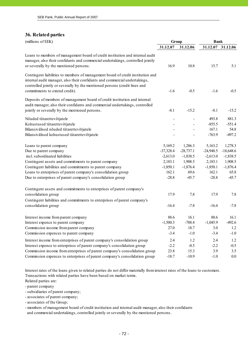### **36. Related parties**

| (millions of EEK)                                                                                                                                                                                                                           |                          | Group                        |             | <b>Bank</b>       |  |
|---------------------------------------------------------------------------------------------------------------------------------------------------------------------------------------------------------------------------------------------|--------------------------|------------------------------|-------------|-------------------|--|
|                                                                                                                                                                                                                                             | 31.12.07                 | 31.12.06                     |             | 31.12.07 31.12.06 |  |
| Loans to members of management board of credit institution and internal audit<br>manager, also their confidants and commercial undertakings, controlled jointly<br>or severally by the mentioned persons.                                   | 16.9                     | 10.8                         | 15.7        | 5.1               |  |
| Contingent liabilities to members of management board of credit institution and<br>internal audit manager, also their confidants and commercial undertakings,<br>controlled jointly or severally by the mentioned persons (credit lines and |                          |                              |             |                   |  |
| commitments to extend credit).                                                                                                                                                                                                              | $-1.6$                   | $-0.5$                       | $-1.6$      | $-0.5$            |  |
| Deposits of members of management board of credit institution and internal<br>audit manager, also their confidants and commercial undertakings, controlled                                                                                  |                          |                              |             |                   |  |
| jointly or severally by the mentioned persons.                                                                                                                                                                                              | $-8.1$                   | $-15.2$                      | $-8.1$      | $-15.2$           |  |
| Nõuded tütarettevõtjatele                                                                                                                                                                                                                   | $\overline{\phantom{a}}$ | $\frac{1}{2}$                | 493.8       | 881.3             |  |
| Kohustused tütarettevõtjatele                                                                                                                                                                                                               |                          | $\qquad \qquad \blacksquare$ | $-855.5$    | $-551.4$          |  |
| Bilansivälised nõuded tütarettevõtjatele                                                                                                                                                                                                    |                          |                              | 167.1       | 54.8              |  |
| Bilansivälised kohustused tütarettevõtjatele                                                                                                                                                                                                |                          |                              | $-763.9$    | $-497.2$          |  |
| Loans to parent company                                                                                                                                                                                                                     | 5,169.2                  | 1,286.3                      | 5,163.2     | 1,278.3           |  |
| Due to parent company                                                                                                                                                                                                                       | $-37,328.4$              | $-28,737.1$                  | $-24,948.5$ | $-18,648.6$       |  |
| incl. subordinated liabilities                                                                                                                                                                                                              | $-2,613.0$               | $-1,838.5$                   | $-2,613.0$  | $-1,838.5$        |  |
| Contingent assets and commitments to parent company                                                                                                                                                                                         | 2,183.1                  | 1,908.5                      | 2,183.1     | 1,908.5           |  |
| Contingent liabilities and commitments to parent company                                                                                                                                                                                    | $-1,850.1$               | $-1,876.4$                   | $-1,850.1$  | $-1,876.4$        |  |
| Loans to enterprises of parent company's consolidation group                                                                                                                                                                                | 162.1                    | 69.6                         | 162.1       | 65.8              |  |
| Due to enterprises of parent company's consolidation group                                                                                                                                                                                  | $-28.8$                  | $-45.7$                      | $-28.8$     | $-45.7$           |  |
| Contingent assets and commitments to enterprises of parent company's                                                                                                                                                                        |                          |                              |             |                   |  |
| consolidation group                                                                                                                                                                                                                         | 17.9                     | 7.8                          | 17.9        | 7.8               |  |
| Contingent liabilities and commitments to enterprises of parent company's                                                                                                                                                                   |                          |                              |             |                   |  |
| consolidation group                                                                                                                                                                                                                         | $-16.4$                  | $-7.8$                       | $-16.4$     | $-7.8$            |  |
| Interest income from parent company                                                                                                                                                                                                         | 88.6                     | 16.1                         | 88.6        | 16.1              |  |
| Interest expence to parent company                                                                                                                                                                                                          | $-1,500.3$               | $-788.4$                     | $-1,045.9$  | $-492.6$          |  |
| Commission income from parent company                                                                                                                                                                                                       | 27.0                     | 18.7                         | 3.0         | 1.2               |  |
| Commission expences to parent company                                                                                                                                                                                                       | $-3.4$                   | $-1.0$                       | $-3.4$      | $-1.0$            |  |
| Interest income from enterprises of parent company's consolidation group                                                                                                                                                                    | 2.4                      | 1.2                          | 2.4         | 1.2               |  |
| Interest expence to enterprises of parent company's consolidation group                                                                                                                                                                     | $-2.2$                   | $-0.5$                       | $-2.2$      | $-0.5$            |  |
| Commission income from enterprises of parent company's consolidation group                                                                                                                                                                  | 23.8                     | 15.3                         | 3.9         | 3.5               |  |
| Commission expences to enterprises of parent company's consolidation group                                                                                                                                                                  | $-18.7$                  | $-10.9$                      | $-1.0$      | 0.0               |  |

Interest rates of the loans given to related parties do not differ materially from interest rates of the loans to customers. Transactions with related parties have been based on market terms.

Related parties are:

- parent company

- subsidiaries of parent company;

- associates of parent company;

- associates of the Group;

- members of management board of credit institution and internal audit manager, also their confidants and commercial undertakings, controlled jointly or severally by the mentioned persons.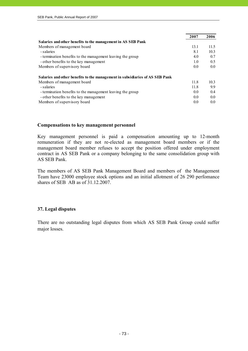|                                                                              | 2007 | 2006 |
|------------------------------------------------------------------------------|------|------|
| Salaries and other benefits to the management in AS SEB Pank                 |      |      |
| Members of management board                                                  | 13.1 | 11.5 |
| - salaries                                                                   | 8.1  | 10.3 |
| - termination benefits to the management leaving the group                   | 4.0  | 0.7  |
| - other benefits to the key management                                       | 1.0  | 0.5  |
| Members of supervisory board                                                 | 0.0  | 0.0  |
| Salaries and other benefits to the management in subsidiaries of AS SEB Pank |      |      |
| Members of management board                                                  | 11.8 | 10.3 |
| - salaries                                                                   | 11.8 | 9.9  |
| - termination benefits to the management leaving the group                   | 0.0  | 0.4  |
| - other benefits to the key management                                       | 0.0  | 0.0  |
| Members of supervisory board                                                 | 0.0  | 0.0  |

#### **Compensations to key management personnel**

Key management personnel is paid a compensation amounting up to 12-month remuneration if they are not re-elected as management board members or if the management board member refuses to accept the position offered under employment contract in AS SEB Pank or a company belonging to the same consolidation group with AS SEB Pank.

The members of AS SEB Pank Management Board and members of the Management Team have 23000 employee stock options and an initial allotment of 26 290 perfomance shares of SEB AB as of 31.12.2007.

#### **37. Legal disputes**

There are no outstanding legal disputes from which AS SEB Pank Group could suffer major losses.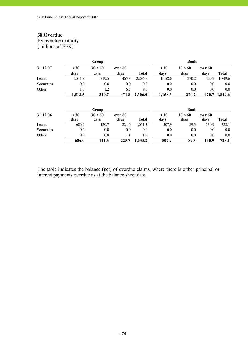# **38.Overdue**

By overdue maturity (millions of EEK)

|            | Group             |                 |                 |              | <b>Bank</b>       |                 |                 |               |
|------------|-------------------|-----------------|-----------------|--------------|-------------------|-----------------|-----------------|---------------|
| 31.12.07   | $\leq 30$<br>days | 30 < 60<br>days | over 60<br>days | <b>Total</b> | $30$<br>days      | 30 < 60<br>days | over 60<br>days | <b>Total</b>  |
| Loans      | 1,511.8           | 319.5           | 465.3           | 2,296.5      | 1,158.6           | 270.2           | 420.7           | 1,849.6       |
| Securities | 0.0               | 0.0             | 0.0             | 0.0          | 0.0               | 0.0             | 0.0             | 0.0           |
| Other      | 1.7               | 1.2             | 6.5             | 9.5          | 0.0               | 0.0             | 0.0             | 0.0           |
|            | 1,513.5           | 320.7           | 471.8           | 2,306.0      | 1,158.6           | 270.2           |                 | 420.7 1,849.6 |
|            |                   | Group           |                 |              |                   | <b>Bank</b>     |                 |               |
| 31.12.06   | $\leq 30$<br>days | 30 < 60<br>days | over 60<br>days | <b>Total</b> | $\leq 30$<br>days | 30 < 60<br>days | over 60<br>days | <b>Total</b>  |
| Loans      | 686.0             | 120.7           | 224.6           | 1,031.3      | 507.9             | 89.3            | 130.9           | 728.1         |
| Securities | 0.0               | 0.0             | 0.0             | 0.0          | 0.0               | 0.0             | 0.0             | 0.0           |
| Other      | 0.0               | 0.8             | 1.1             | 1.9          | 0.0               | 0.0             | 0.0             | 0.0           |
|            |                   |                 |                 |              |                   |                 |                 |               |

The table indicates the balance (net) of overdue claims, where there is either principal or interest payments overdue as at the balance sheet date.